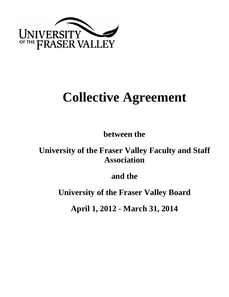

# **Collective Agreement**

**between the** 

**University of the Fraser Valley Faculty and Staff Association** 

**and the** 

**University of the Fraser Valley Board** 

**April 1, 2012 - March 31, 2014**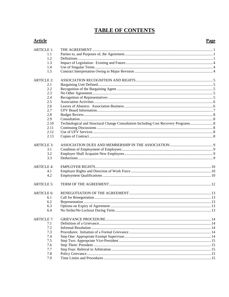# **TABLE OF CONTENTS**

# **Article**

# **Page**

| <b>ARTICLE 1:</b> |                                                                                   |  |
|-------------------|-----------------------------------------------------------------------------------|--|
| 1.1               |                                                                                   |  |
| 1.2               |                                                                                   |  |
| 1.3               |                                                                                   |  |
| 1.4               |                                                                                   |  |
| 1.5               |                                                                                   |  |
| <b>ARTICLE 2:</b> |                                                                                   |  |
| 2.1               |                                                                                   |  |
| 2.2               |                                                                                   |  |
| 2.3               |                                                                                   |  |
| 2.4               |                                                                                   |  |
| 2.5               |                                                                                   |  |
| 2.6               |                                                                                   |  |
| 2.7               |                                                                                   |  |
| 2.8               |                                                                                   |  |
| 2.9               |                                                                                   |  |
| 2.10              | Technological and Structural Change Consultation Including Cost Recovery Programs |  |
| 2.11              |                                                                                   |  |
| 2.12              |                                                                                   |  |
| 2.13              |                                                                                   |  |
| <b>ARTICLE 3:</b> |                                                                                   |  |
| 3.1               |                                                                                   |  |
| 3.2               |                                                                                   |  |
| 3.3               |                                                                                   |  |
| <b>ARTICLE 4:</b> |                                                                                   |  |
| 4.1               |                                                                                   |  |
| 4.2               |                                                                                   |  |
| <b>ARTICLE 5:</b> |                                                                                   |  |
| <b>ARTICLE 6:</b> |                                                                                   |  |
| 6.1               |                                                                                   |  |
| 6.2               |                                                                                   |  |
| 6.3               |                                                                                   |  |
| 6.4               |                                                                                   |  |
| <b>ARTICLE 7:</b> |                                                                                   |  |
| 7.1               |                                                                                   |  |
| 7.2               |                                                                                   |  |
| 7.3               |                                                                                   |  |
| 7.4               |                                                                                   |  |
| 7.5               |                                                                                   |  |
| 7.6               |                                                                                   |  |
| 7.7               |                                                                                   |  |
| 7.8               |                                                                                   |  |
| 7.9               |                                                                                   |  |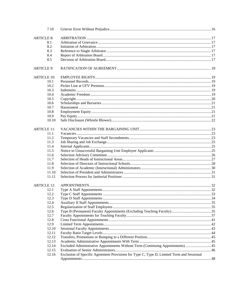| 7.10               |                                                                                           |  |
|--------------------|-------------------------------------------------------------------------------------------|--|
| <b>ARTICLE 8:</b>  |                                                                                           |  |
| 8.1                |                                                                                           |  |
| 8.2                |                                                                                           |  |
| 8.3                |                                                                                           |  |
| 8.4                |                                                                                           |  |
| 8.5                |                                                                                           |  |
| <b>ARTICLE 9:</b>  |                                                                                           |  |
|                    |                                                                                           |  |
| <b>ARTICLE 10:</b> |                                                                                           |  |
| 10.1               |                                                                                           |  |
| 10.2               |                                                                                           |  |
| 10.3               |                                                                                           |  |
| 10.4               |                                                                                           |  |
| 10.5               |                                                                                           |  |
| 10.6               |                                                                                           |  |
| 10.7               |                                                                                           |  |
| 10.8               |                                                                                           |  |
| 10.9               |                                                                                           |  |
| 10.10              |                                                                                           |  |
| <b>ARTICLE 11:</b> |                                                                                           |  |
| 11.1               |                                                                                           |  |
| 11.2               |                                                                                           |  |
| 11.3               |                                                                                           |  |
| 11.4               |                                                                                           |  |
| 11.5               |                                                                                           |  |
| 11.6               |                                                                                           |  |
| 11.7               |                                                                                           |  |
| 11.8               |                                                                                           |  |
| 11.9               |                                                                                           |  |
| 11.10              |                                                                                           |  |
| 11.11              |                                                                                           |  |
| <b>ARTICLE 12:</b> |                                                                                           |  |
| 12.1               |                                                                                           |  |
| 12.2               |                                                                                           |  |
| 12.3               |                                                                                           |  |
|                    |                                                                                           |  |
| 12.4               |                                                                                           |  |
| 12.5<br>12.6       |                                                                                           |  |
|                    |                                                                                           |  |
| 12.7               |                                                                                           |  |
| 12.8               |                                                                                           |  |
| 12.9               |                                                                                           |  |
| 12.10              |                                                                                           |  |
| 12.11              |                                                                                           |  |
| 12.12              |                                                                                           |  |
| 12.13              |                                                                                           |  |
| 12.14              | Excluded Administrative Appointments Without Term (Continuing Appointments)  45           |  |
| 12.15              |                                                                                           |  |
| 12.16              | Exclusion of Specific Agreement Provisions for Type C, Type D, Limited Term and Sessional |  |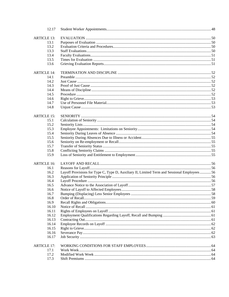| 12.17              |                                                                                             |  |
|--------------------|---------------------------------------------------------------------------------------------|--|
|                    |                                                                                             |  |
| <b>ARTICLE 13:</b> |                                                                                             |  |
| 13.1               |                                                                                             |  |
| 13.2               |                                                                                             |  |
| 13.3               |                                                                                             |  |
| 13.4               |                                                                                             |  |
| 13.5               |                                                                                             |  |
| 13.6               |                                                                                             |  |
| <b>ARTICLE 14:</b> |                                                                                             |  |
| 14.1               |                                                                                             |  |
| 14.2               |                                                                                             |  |
| 14.3               |                                                                                             |  |
| 14.4               |                                                                                             |  |
| 14.5               |                                                                                             |  |
| 14.6               |                                                                                             |  |
| 14.7               |                                                                                             |  |
| 14.8               |                                                                                             |  |
|                    |                                                                                             |  |
| <b>ARTICLE 15:</b> |                                                                                             |  |
| 15.1               |                                                                                             |  |
| 15.2               |                                                                                             |  |
| 15.3               |                                                                                             |  |
| 15.4               |                                                                                             |  |
| 15.5               |                                                                                             |  |
| 15.6               |                                                                                             |  |
| 15.7               |                                                                                             |  |
| 15.8               |                                                                                             |  |
| 15.9               |                                                                                             |  |
| <b>ARTICLE 16:</b> |                                                                                             |  |
| 16.1               |                                                                                             |  |
| 16.2               | Layoff Provisions for Type C, Type D, Auxiliary II, Limited Term and Sessional Employees 56 |  |
| 16.3               |                                                                                             |  |
| 16.4               |                                                                                             |  |
| 16.5               |                                                                                             |  |
| 16.6               |                                                                                             |  |
| 16.7               |                                                                                             |  |
| 16.8               |                                                                                             |  |
| 16.9               |                                                                                             |  |
| 16.10              |                                                                                             |  |
| 16.11              |                                                                                             |  |
| 16.12              |                                                                                             |  |
| 16.13              |                                                                                             |  |
| 16.14              |                                                                                             |  |
| 16.15              |                                                                                             |  |
| 16.16              |                                                                                             |  |
| 16.17              |                                                                                             |  |
|                    |                                                                                             |  |
| <b>ARTICLE 17:</b> |                                                                                             |  |
| 17.1<br>17.2       |                                                                                             |  |
| 17.3               |                                                                                             |  |
|                    |                                                                                             |  |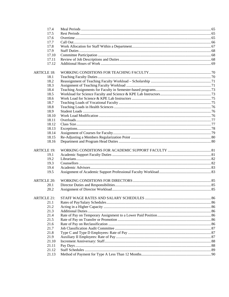| 17.4               |  |
|--------------------|--|
| 17.5               |  |
| 17.6               |  |
| 17.7               |  |
| 17.8               |  |
| 17.9               |  |
| 17.10              |  |
| 17.11              |  |
| 17.12              |  |
| <b>ARTICLE 18:</b> |  |
| 18.1               |  |
| 18.2               |  |
| 18.3               |  |
| 18.4               |  |
| 18.5               |  |
| 18.6               |  |
| 18.7               |  |
| 18.8               |  |
| 18.9               |  |
| 18.10              |  |
| 18.11              |  |
| 18.12              |  |
| 18.13              |  |
| 18.14              |  |
| 18.15              |  |
| 18.16              |  |
| <b>ARTICLE 19:</b> |  |
| 19.1               |  |
| 19.2               |  |
| 19.3               |  |
| 19.4               |  |
| 19.5               |  |
| <b>ARTICLE 20:</b> |  |
| 20.1               |  |
| 20.2               |  |
| <b>ARTICLE 21:</b> |  |
| 21.1               |  |
| 21.2               |  |
| 21.3               |  |
| 21.4               |  |
| 21.5               |  |
| 21.6               |  |
| 21.7               |  |
| 21.8               |  |
| 21.9               |  |
| 21.10              |  |
| 21.11              |  |
| 21.12              |  |
| 21.13              |  |
|                    |  |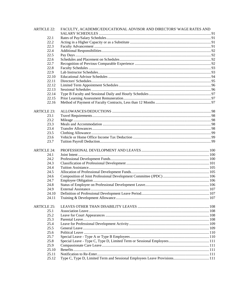| <b>ARTICLE 22:</b> | FACULTY, ACADEMIC/EDUCATIONAL ADVISOR AND DIRECTORS' WAGE RATES AND |  |
|--------------------|---------------------------------------------------------------------|--|
|                    |                                                                     |  |
| 22.1               |                                                                     |  |
| 22.2               |                                                                     |  |
| 22.3               |                                                                     |  |
| 22.4               |                                                                     |  |
| 22.5               |                                                                     |  |
| 22.6               |                                                                     |  |
| 22.7               |                                                                     |  |
| 22.8               |                                                                     |  |
| 22.9               |                                                                     |  |
| 22.10              |                                                                     |  |
| 22.11              |                                                                     |  |
| 22.12              |                                                                     |  |
| 22.13              |                                                                     |  |
| 22.14              |                                                                     |  |
| 22.15              |                                                                     |  |
| 22.16              |                                                                     |  |
| <b>ARTICLE 23:</b> |                                                                     |  |
| 23.1               |                                                                     |  |
| 23.2               |                                                                     |  |
| 23.3               |                                                                     |  |
| 23.4               |                                                                     |  |
| 23.5               |                                                                     |  |
| 23.6               |                                                                     |  |
| 23.7               |                                                                     |  |
| <b>ARTICLE 24:</b> |                                                                     |  |
| 24.1               |                                                                     |  |
| 24.2               |                                                                     |  |
| 24.3               |                                                                     |  |
| 24.4               |                                                                     |  |
| 24.5               |                                                                     |  |
| 24.6               |                                                                     |  |
| 24.7               |                                                                     |  |
| 24.8               |                                                                     |  |
| 24.9               |                                                                     |  |
| 24.10              |                                                                     |  |
| 24.11              |                                                                     |  |
| <b>ARTICLE 25:</b> |                                                                     |  |
| 25.1               |                                                                     |  |
| 25.2               |                                                                     |  |
| 25.3               |                                                                     |  |
| 25.4               |                                                                     |  |
| 25.5               |                                                                     |  |
| 25.6               |                                                                     |  |
| 25.7               |                                                                     |  |
| 25.8               |                                                                     |  |
| 25.9               |                                                                     |  |
| 25.10              |                                                                     |  |
| 25.11              |                                                                     |  |
| 25.12              |                                                                     |  |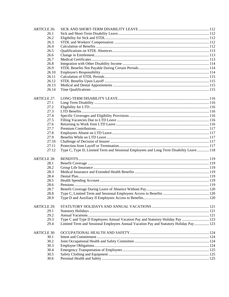| <b>ARTICLE 26:</b> |                                                                                          |  |  |  |
|--------------------|------------------------------------------------------------------------------------------|--|--|--|
| 26.1               |                                                                                          |  |  |  |
| 26.2               |                                                                                          |  |  |  |
| 26.3               |                                                                                          |  |  |  |
| 26.4               |                                                                                          |  |  |  |
| 26.5               |                                                                                          |  |  |  |
| 26.6               |                                                                                          |  |  |  |
| 26.7               |                                                                                          |  |  |  |
| 26.8               |                                                                                          |  |  |  |
| 26.9               |                                                                                          |  |  |  |
| 26.10              |                                                                                          |  |  |  |
| 26.11              |                                                                                          |  |  |  |
| 26.12              |                                                                                          |  |  |  |
|                    |                                                                                          |  |  |  |
| 26.13              |                                                                                          |  |  |  |
| 26.14              |                                                                                          |  |  |  |
| <b>ARTICLE 27:</b> |                                                                                          |  |  |  |
| 27.1               |                                                                                          |  |  |  |
| 27.2               |                                                                                          |  |  |  |
| 27.3               |                                                                                          |  |  |  |
| 27.4               |                                                                                          |  |  |  |
| 27.5               |                                                                                          |  |  |  |
| 27.6               |                                                                                          |  |  |  |
| 27.7               |                                                                                          |  |  |  |
| 27.8               |                                                                                          |  |  |  |
| 27.9               |                                                                                          |  |  |  |
| 27.10              |                                                                                          |  |  |  |
|                    |                                                                                          |  |  |  |
| 27.11<br>27.12     | Type C, Type D, Limited Term and Sessional Employees and Long Term Disability Leave  118 |  |  |  |
|                    |                                                                                          |  |  |  |
| <b>ARTICLE 28:</b> |                                                                                          |  |  |  |
| 28.1               |                                                                                          |  |  |  |
| 28.2               |                                                                                          |  |  |  |
| 28.3               |                                                                                          |  |  |  |
| 28.4               |                                                                                          |  |  |  |
| 28.5               |                                                                                          |  |  |  |
| 28.6               |                                                                                          |  |  |  |
| 28.7               |                                                                                          |  |  |  |
| 28.8               |                                                                                          |  |  |  |
| 28.9               |                                                                                          |  |  |  |
|                    |                                                                                          |  |  |  |
| <b>ARTICLE 29:</b> |                                                                                          |  |  |  |
| 29.1               |                                                                                          |  |  |  |
| 29.2               |                                                                                          |  |  |  |
| 29.3               | Type C and Type D Employees Annual Vacation Pay and Statutory Holiday Pay  123           |  |  |  |
| 29.4               | Limited Term and Sessional Employees Annual Vacation Pay and Statutory Holiday Pay  123  |  |  |  |
|                    |                                                                                          |  |  |  |
| <b>ARTICLE 30:</b> |                                                                                          |  |  |  |
| 30.1               |                                                                                          |  |  |  |
| 30.2               |                                                                                          |  |  |  |
| 30.3               |                                                                                          |  |  |  |
| 30.4               |                                                                                          |  |  |  |
| 30.5               |                                                                                          |  |  |  |
| 30.6               |                                                                                          |  |  |  |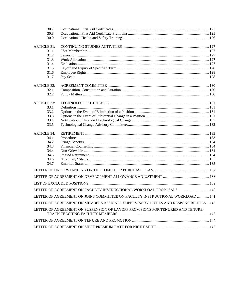| 30.8<br>30.9<br><b>ARTICLE 31:</b><br>31.1<br>31.2<br>31.3<br>31.4<br>31.5<br>31.6<br>31.7<br><b>ARTICLE 32:</b><br>32.1<br>32.2<br><b>ARTICLE 33:</b><br>33.1<br>33.2<br>33.3<br>33.4<br>33.5<br><b>ARTICLE 34:</b><br>34.1<br>34.2<br>34.3<br>34.4<br>34.5<br>34.6<br>34.7<br>LETTER OF AGREEMENT ON FACULTY INSTRUCTIONAL WORKLOAD PROPOSALS  140<br>LETTER OF AGREEMENT ON JOINT COMMITTEE ON FACULTY INSTRUCTIONAL WORKLOAD  141<br>LETTER OF AGREEMENT ON MEMBERS ASSIGNED SUPERVISORY DUTIES AND RESPONSIBILITIES  142 | 30.7 |                                                                                |  |
|-------------------------------------------------------------------------------------------------------------------------------------------------------------------------------------------------------------------------------------------------------------------------------------------------------------------------------------------------------------------------------------------------------------------------------------------------------------------------------------------------------------------------------|------|--------------------------------------------------------------------------------|--|
|                                                                                                                                                                                                                                                                                                                                                                                                                                                                                                                               |      |                                                                                |  |
|                                                                                                                                                                                                                                                                                                                                                                                                                                                                                                                               |      |                                                                                |  |
|                                                                                                                                                                                                                                                                                                                                                                                                                                                                                                                               |      |                                                                                |  |
|                                                                                                                                                                                                                                                                                                                                                                                                                                                                                                                               |      |                                                                                |  |
|                                                                                                                                                                                                                                                                                                                                                                                                                                                                                                                               |      |                                                                                |  |
|                                                                                                                                                                                                                                                                                                                                                                                                                                                                                                                               |      |                                                                                |  |
|                                                                                                                                                                                                                                                                                                                                                                                                                                                                                                                               |      |                                                                                |  |
|                                                                                                                                                                                                                                                                                                                                                                                                                                                                                                                               |      |                                                                                |  |
|                                                                                                                                                                                                                                                                                                                                                                                                                                                                                                                               |      |                                                                                |  |
|                                                                                                                                                                                                                                                                                                                                                                                                                                                                                                                               |      |                                                                                |  |
|                                                                                                                                                                                                                                                                                                                                                                                                                                                                                                                               |      |                                                                                |  |
|                                                                                                                                                                                                                                                                                                                                                                                                                                                                                                                               |      |                                                                                |  |
|                                                                                                                                                                                                                                                                                                                                                                                                                                                                                                                               |      |                                                                                |  |
|                                                                                                                                                                                                                                                                                                                                                                                                                                                                                                                               |      |                                                                                |  |
|                                                                                                                                                                                                                                                                                                                                                                                                                                                                                                                               |      |                                                                                |  |
|                                                                                                                                                                                                                                                                                                                                                                                                                                                                                                                               |      |                                                                                |  |
|                                                                                                                                                                                                                                                                                                                                                                                                                                                                                                                               |      |                                                                                |  |
|                                                                                                                                                                                                                                                                                                                                                                                                                                                                                                                               |      |                                                                                |  |
|                                                                                                                                                                                                                                                                                                                                                                                                                                                                                                                               |      |                                                                                |  |
|                                                                                                                                                                                                                                                                                                                                                                                                                                                                                                                               |      |                                                                                |  |
|                                                                                                                                                                                                                                                                                                                                                                                                                                                                                                                               |      |                                                                                |  |
|                                                                                                                                                                                                                                                                                                                                                                                                                                                                                                                               |      |                                                                                |  |
|                                                                                                                                                                                                                                                                                                                                                                                                                                                                                                                               |      |                                                                                |  |
|                                                                                                                                                                                                                                                                                                                                                                                                                                                                                                                               |      |                                                                                |  |
|                                                                                                                                                                                                                                                                                                                                                                                                                                                                                                                               |      |                                                                                |  |
|                                                                                                                                                                                                                                                                                                                                                                                                                                                                                                                               |      |                                                                                |  |
|                                                                                                                                                                                                                                                                                                                                                                                                                                                                                                                               |      |                                                                                |  |
|                                                                                                                                                                                                                                                                                                                                                                                                                                                                                                                               |      |                                                                                |  |
|                                                                                                                                                                                                                                                                                                                                                                                                                                                                                                                               |      |                                                                                |  |
|                                                                                                                                                                                                                                                                                                                                                                                                                                                                                                                               |      |                                                                                |  |
|                                                                                                                                                                                                                                                                                                                                                                                                                                                                                                                               |      |                                                                                |  |
|                                                                                                                                                                                                                                                                                                                                                                                                                                                                                                                               |      |                                                                                |  |
|                                                                                                                                                                                                                                                                                                                                                                                                                                                                                                                               |      |                                                                                |  |
|                                                                                                                                                                                                                                                                                                                                                                                                                                                                                                                               |      | LETTER OF AGREEMENT ON SUSPENSION OF LAYOFF PROVISIONS FOR TENURED AND TENURE- |  |
|                                                                                                                                                                                                                                                                                                                                                                                                                                                                                                                               |      |                                                                                |  |
|                                                                                                                                                                                                                                                                                                                                                                                                                                                                                                                               |      |                                                                                |  |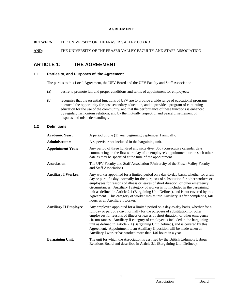#### **AGREEMENT**

#### **BETWEEN:** THE UNIVERSITY OF THE FRASER VALLEY BOARD

**AND**: THE UNIVERSITY OF THE FRASER VALLEY FACULTY AND STAFF ASSOCIATION

# **ARTICLE 1: THE AGREEMENT**

## **1.1 Parties to, and Purposes of, the Agreement**

The parties to this Local Agreement, the UFV Board and the UFV Faculty and Staff Association:

- (a) desire to promote fair and proper conditions and terms of appointment for employees;
- (b) recognize that the essential functions of UFV are to provide a wide range of educational programs to extend the opportunity for post secondary education, and to provide a program of continuing education for the use of the community, and that the performance of these functions is enhanced by regular, harmonious relations, and by the mutually respectful and peaceful settlement of disputes and misunderstandings.

# **1.2 Definitions**

| <b>Academic Year:</b><br>A period of one (1) year beginning September 1 annually. |                                                                                                                                                                                                                                                                                                                                                                                                                                                                                                                                                                         |
|-----------------------------------------------------------------------------------|-------------------------------------------------------------------------------------------------------------------------------------------------------------------------------------------------------------------------------------------------------------------------------------------------------------------------------------------------------------------------------------------------------------------------------------------------------------------------------------------------------------------------------------------------------------------------|
| Administrator:                                                                    | A supervisor not included in the bargaining unit.                                                                                                                                                                                                                                                                                                                                                                                                                                                                                                                       |
| <b>Appointment Year:</b>                                                          | Any period of three hundred and sixty-five (365) consecutive calendar days,<br>commencing on the first work day of an employee's appointment, or on such other<br>date as may be specified at the time of the appointment.                                                                                                                                                                                                                                                                                                                                              |
| <b>Association:</b>                                                               | The UFV Faculty and Staff Association (University of the Fraser Valley Faculty<br>and Staff Association).                                                                                                                                                                                                                                                                                                                                                                                                                                                               |
| <b>Auxiliary I Worker:</b>                                                        | Any worker appointed for a limited period on a day-to-day basis, whether for a full<br>day or part of a day, normally for the purposes of substitution for other workers or<br>employees for reasons of illness or leaves of short duration, or other emergency<br>circumstances. Auxiliary I category of worker is not included in the bargaining<br>unit as defined in Article 2.1 (Bargaining Unit Defined), and is not covered by this<br>Agreement. This category of worker moves into Auxiliary II after completing 140<br>hours as an Auxiliary I worker.        |
| <b>Auxiliary II Employee</b>                                                      | Any employee appointed for a limited period on a day-to-day basis, whether for a<br>full day or part of a day, normally for the purposes of substitution for other<br>employees for reasons of illness or leaves of short duration, or other emergency<br>circumstances. Auxiliary II category of employee is included in the bargaining<br>unit as defined in Article 2.1 (Bargaining Unit Defined), and is covered by this<br>Agreement. Appointment to an Auxiliary II position will be made when an<br>Auxiliary I worker has worked more than 140 hours in a year. |
| <b>Bargaining Unit:</b>                                                           | The unit for which the Association is certified by the British Columbia Labour<br>Relations Board and described in Article 2.1 (Bargaining Unit Defined).                                                                                                                                                                                                                                                                                                                                                                                                               |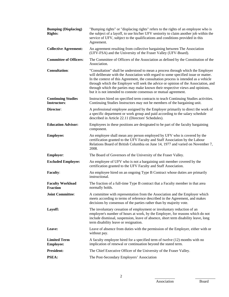| "Bumping rights" or "displacing rights" refers to the rights of an employee who is<br><b>Bumping (Displacing)</b><br><b>Rights:</b><br>the subject of a layoff, to use his/her UFV seniority to claim another job within the<br>service of UFV, subject to the qualifications and conditions provided in this<br>Agreement. |                                                                                                                                                                                                                                                                                                                                                                                                                                                                                                          |
|-----------------------------------------------------------------------------------------------------------------------------------------------------------------------------------------------------------------------------------------------------------------------------------------------------------------------------|----------------------------------------------------------------------------------------------------------------------------------------------------------------------------------------------------------------------------------------------------------------------------------------------------------------------------------------------------------------------------------------------------------------------------------------------------------------------------------------------------------|
| <b>Collective Agreement:</b>                                                                                                                                                                                                                                                                                                | An agreement resulting from collective bargaining between The Association<br>(UFV-FSA) and the University of the Fraser Valley (UFV-Board).                                                                                                                                                                                                                                                                                                                                                              |
| <b>Committee of Officers:</b>                                                                                                                                                                                                                                                                                               | The Committee of Officers of the Association as defined by the Constitution of the<br>Association.                                                                                                                                                                                                                                                                                                                                                                                                       |
| <b>Consultation:</b>                                                                                                                                                                                                                                                                                                        | "Consultation" shall be understood to mean a process through which the Employer<br>will deliberate with the Association with regard to some specified issue or matter.<br>In the context of this Agreement, the consultation process is intended as a vehicle<br>through which the Employer will seek the advice or opinion of the Association, and<br>through which the parties may make known their respective views and opinions,<br>but it is not intended to connote consensus or mutual agreement. |
| <b>Continuing Studies</b><br><b>Instructors:</b>                                                                                                                                                                                                                                                                            | Instructors hired on specified term contracts to teach Continuing Studies activities.<br>Continuing Studies Instructors may not be members of the bargaining unit.                                                                                                                                                                                                                                                                                                                                       |
| Director:                                                                                                                                                                                                                                                                                                                   | A professional employee assigned by the Employer primarily to direct the work of<br>a specific department or work group and paid according to the salary schedule<br>described in Article 22.11 (Directors' Schedules).                                                                                                                                                                                                                                                                                  |
| <b>Education Advisor:</b>                                                                                                                                                                                                                                                                                                   | Employees in these positions are designated to be part of the faculty bargaining<br>component.                                                                                                                                                                                                                                                                                                                                                                                                           |
| <b>Employee:</b>                                                                                                                                                                                                                                                                                                            | An employee shall mean any person employed by UFV who is covered by the<br>certification granted to the UFV Faculty and Staff Association by the Labour<br>Relations Board of British Columbia on June 14, 1977 and varied on November 7,<br>2008.                                                                                                                                                                                                                                                       |
| <b>Employer:</b>                                                                                                                                                                                                                                                                                                            | The Board of Governors of the University of the Fraser Valley.                                                                                                                                                                                                                                                                                                                                                                                                                                           |
| <b>Excluded Employee:</b>                                                                                                                                                                                                                                                                                                   | An employee of UFV who is not a bargaining unit member covered by the<br>certification granted to the UFV Faculty and Staff Association.                                                                                                                                                                                                                                                                                                                                                                 |
| <b>Faculty:</b>                                                                                                                                                                                                                                                                                                             | An employee hired on an ongoing Type B Contract whose duties are primarily<br>instructional.                                                                                                                                                                                                                                                                                                                                                                                                             |
| <b>Faculty Workload</b><br><b>Fraction</b>                                                                                                                                                                                                                                                                                  | The fraction of a full-time Type B contract that a Faculty member in that area<br>normally holds.                                                                                                                                                                                                                                                                                                                                                                                                        |
| <b>Joint Committee:</b>                                                                                                                                                                                                                                                                                                     | A committee with representation from the Association and the Employer which<br>meets according to terms of reference described in the Agreement, and makes<br>decisions by consensus of the parties rather than by majority vote.                                                                                                                                                                                                                                                                        |
| Layoff:                                                                                                                                                                                                                                                                                                                     | The involuntary cessation of employment or involuntary reduction of an<br>employee's number of hours at work, by the Employer, for reasons which do not<br>include dismissal, suspension, leave of absence, short term disability leave, long<br>term disability leave or resignation.                                                                                                                                                                                                                   |
| Leave:                                                                                                                                                                                                                                                                                                                      | Leave of absence from duties with the permission of the Employer, either with or<br>without pay.                                                                                                                                                                                                                                                                                                                                                                                                         |
| <b>Limited Term</b><br><b>Employee:</b>                                                                                                                                                                                                                                                                                     | A faculty employee hired for a specified term of twelve (12) months with no<br>implication of renewal or continuation beyond the stated term.                                                                                                                                                                                                                                                                                                                                                            |
| <b>President:</b>                                                                                                                                                                                                                                                                                                           | The Chief Executive Officer of the University of the Fraser Valley.                                                                                                                                                                                                                                                                                                                                                                                                                                      |
| <b>PSEA:</b>                                                                                                                                                                                                                                                                                                                | The Post-Secondary Employers' Association                                                                                                                                                                                                                                                                                                                                                                                                                                                                |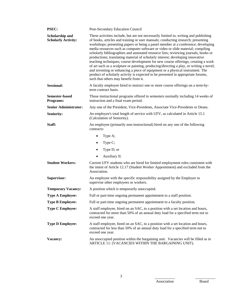| <b>PSEC:</b>                                         | Post-Secondary Education Council                                                                                                                                                                                                                                                                                                                                                                                                                                                                                                                                                                                                                                                                                                                                                                                                                                                                                       |  |
|------------------------------------------------------|------------------------------------------------------------------------------------------------------------------------------------------------------------------------------------------------------------------------------------------------------------------------------------------------------------------------------------------------------------------------------------------------------------------------------------------------------------------------------------------------------------------------------------------------------------------------------------------------------------------------------------------------------------------------------------------------------------------------------------------------------------------------------------------------------------------------------------------------------------------------------------------------------------------------|--|
| <b>Scholarship and</b><br><b>Scholarly Activity:</b> | These activities include, but are not necessarily limited to, writing and publishing<br>of books, articles and training or user manuals; conducting research; presenting<br>workshops; presenting papers or being a panel member at a conference; developing<br>media resources such as computer software or video or slide material; compiling<br>scholarly bibliographies and annotated resource lists; reviewing journals, books or<br>productions; translating material of scholarly interest; developing innovative<br>teaching techniques; course development for new course offerings; creating a work<br>of art such as a sculpture or painting, producing/directing a play, or writing a novel;<br>and inventing or enhancing a piece of equipment or a physical instrument. The<br>product of scholarly activity is expected to be presented in appropriate forums,<br>such that others may benefit from it. |  |
| <b>Sessional:</b>                                    | A faculty employee hired to instruct one or more course offerings on a term-by-<br>term contract basis.                                                                                                                                                                                                                                                                                                                                                                                                                                                                                                                                                                                                                                                                                                                                                                                                                |  |
| <b>Semester-based</b><br>Programs:                   | Those instructional programs offered in semesters normally including 14 weeks of<br>instruction and a final exam period.                                                                                                                                                                                                                                                                                                                                                                                                                                                                                                                                                                                                                                                                                                                                                                                               |  |
| <b>Senior Administrator:</b>                         | Any one of the President, Vice-Presidents, Associate Vice-Presidents or Deans.                                                                                                                                                                                                                                                                                                                                                                                                                                                                                                                                                                                                                                                                                                                                                                                                                                         |  |
| Seniority:                                           | An employee's total length of service with UFV, as calculated in Article 15.1<br>(Calculation of Seniority).                                                                                                                                                                                                                                                                                                                                                                                                                                                                                                                                                                                                                                                                                                                                                                                                           |  |
| Staff:                                               | An employee (primarily non-instructional) hired on any one of the following<br>contracts:                                                                                                                                                                                                                                                                                                                                                                                                                                                                                                                                                                                                                                                                                                                                                                                                                              |  |
|                                                      | Type A;<br>٠                                                                                                                                                                                                                                                                                                                                                                                                                                                                                                                                                                                                                                                                                                                                                                                                                                                                                                           |  |
|                                                      | Type C;<br>٠                                                                                                                                                                                                                                                                                                                                                                                                                                                                                                                                                                                                                                                                                                                                                                                                                                                                                                           |  |
|                                                      | Type D; or<br>٠                                                                                                                                                                                                                                                                                                                                                                                                                                                                                                                                                                                                                                                                                                                                                                                                                                                                                                        |  |
|                                                      | Auxiliary II.<br>$\bullet$                                                                                                                                                                                                                                                                                                                                                                                                                                                                                                                                                                                                                                                                                                                                                                                                                                                                                             |  |
| <b>Student Workers:</b>                              | Current UFV students who are hired for limited employment roles consistent with<br>the intent of Article 12.17 (Student Worker Appointment) and excluded from the<br>Association.                                                                                                                                                                                                                                                                                                                                                                                                                                                                                                                                                                                                                                                                                                                                      |  |
| Supervisor:                                          | An employee with the specific responsibility assigned by the Employer to<br>supervise other employees or workers.                                                                                                                                                                                                                                                                                                                                                                                                                                                                                                                                                                                                                                                                                                                                                                                                      |  |
| <b>Temporary Vacancy:</b>                            | A position which is temporarily unoccupied.                                                                                                                                                                                                                                                                                                                                                                                                                                                                                                                                                                                                                                                                                                                                                                                                                                                                            |  |
| <b>Type A Employee:</b>                              | Full or part-time ongoing permanent appointment to a staff position.                                                                                                                                                                                                                                                                                                                                                                                                                                                                                                                                                                                                                                                                                                                                                                                                                                                   |  |
| <b>Type B Employee:</b>                              | Full or part-time ongoing permanent appointment to a faculty position.                                                                                                                                                                                                                                                                                                                                                                                                                                                                                                                                                                                                                                                                                                                                                                                                                                                 |  |
| <b>Type C Employee:</b>                              | A staff employee, hired on an SAC, to a position with a set location and hours,<br>contracted for more than 50% of an annual duty load for a specified term not to<br>exceed one year.                                                                                                                                                                                                                                                                                                                                                                                                                                                                                                                                                                                                                                                                                                                                 |  |
| <b>Type D Employee:</b>                              | A staff employee, hired on an SAC, to a position with a set location and hours,<br>contracted for less than 50% of an annual duty load for a specified term not to<br>exceed one year.                                                                                                                                                                                                                                                                                                                                                                                                                                                                                                                                                                                                                                                                                                                                 |  |
| Vacancy:                                             | An unoccupied position within the bargaining unit. Vacancies will be filled as in<br>ARTICLE 11: (VACANCIES WITHIN THE BARGAINING UNIT).                                                                                                                                                                                                                                                                                                                                                                                                                                                                                                                                                                                                                                                                                                                                                                               |  |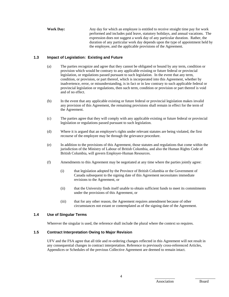**Work Day:** Any day for which an employee is entitled to receive straight time pay for work performed and includes paid leave, statutory holidays, and annual vacations. The expression does not suggest a work day of any particular duration. Rather, the duration of any particular work day depends upon the type of appointment held by the employee, and the applicable provisions of the Agreement.

# **1.3 Impact of Legislation: Existing and Future**

- (a) The parties recognize and agree that they cannot be obligated or bound by any term, condition or provision which would be contrary to any applicable existing or future federal or provincial legislation, or regulations passed pursuant to such legislation. In the event that any term, condition, or provision, or part thereof, which is incorporated into this Agreement, whether by inadvertence, error, or misunderstanding, is in fact or in law contrary to such applicable federal or provincial legislation or regulations, then such term, condition or provision or part thereof is void and of no effect.
- (b) In the event that any applicable existing or future federal or provincial legislation makes invalid any provision of this Agreement, the remaining provisions shall remain in effect for the term of the Agreement.
- (c) The parties agree that they will comply with any applicable existing or future federal or provincial legislation or regulations passed pursuant to such legislation.
- (d) Where it is argued that an employee's rights under relevant statutes are being violated, the first recourse of the employee may be through the grievance procedure.
- (e) In addition to the provisions of this Agreement, those statutes and regulations that come within the jurisdiction of the Ministry of Labour of British Columbia, and also the Human Rights Code of British Columbia, will govern Employer-Human Resources.
- (f) Amendments to this Agreement may be negotiated at any time where the parties jointly agree:
	- (i) that legislation adopted by the Province of British Columbia or the Government of Canada subsequent to the signing date of this Agreement necessitates immediate revisions to the Agreement, or
	- (ii) that the University finds itself unable to obtain sufficient funds to meet its commitments under the provisions of this Agreement, or
	- (iii) that for any other reason, the Agreement requires amendment because of other circumstances not extant or contemplated as of the signing date of the Agreement.

# **1.4 Use of Singular Terms**

Wherever the singular is used, the reference shall include the plural where the context so requires.

#### **1.5 Contract Interpretation Owing to Major Revision**

UFV and the FSA agree that all title and re-ordering changes reflected in this Agreement will not result in any consequential changes in contract interpretation. Reference to previously cross-referenced Articles, Appendices or Schedules of the previous Collective Agreement are deemed to remain intact.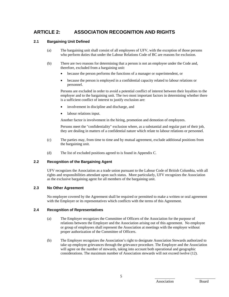# **ARTICLE 2: ASSOCIATION RECOGNITION AND RIGHTS**

# **2.1 Bargaining Unit Defined**

- (a) The bargaining unit shall consist of all employees of UFV, with the exception of those persons who perform duties that under the Labour Relations Code of BC are reasons for exclusion.
- (b) There are two reasons for determining that a person is not an employee under the Code and, therefore, excluded from a bargaining unit:
	- because the person performs the functions of a manager or superintendent, or
	- because the person is employed in a confidential capacity related to labour relations or personnel.

Persons are excluded in order to avoid a potential conflict of interest between their loyalties to the employer and to the bargaining unit. The two most important factors in determining whether there is a sufficient conflict of interest to justify exclusion are:

- involvement in discipline and discharge, and
- labour relations input.

Another factor is involvement in the hiring, promotion and demotion of employees.

Persons meet the "confidentiality" exclusion where, as a substantial and regular part of their job, they are dealing in matters of a confidential nature which relate to labour relations or personnel.

- (c) The parties may, from time to time and by mutual agreement, exclude additional positions from the bargaining unit.
- (d) The list of excluded positions agreed to is found in Appendix C.

#### **2.2 Recognition of the Bargaining Agent**

UFV recognizes the Association as a trade union pursuant to the Labour Code of British Columbia, with all rights and responsibilities attendant upon such status. More particularly, UFV recognizes the Association as the exclusive bargaining agent for all members of the bargaining unit.

# **2.3 No Other Agreement**

No employee covered by the Agreement shall be required or permitted to make a written or oral agreement with the Employer or its representatives which conflicts with the terms of this Agreement.

#### **2.4 Recognition of Representatives**

- (a) The Employer recognizes the Committee of Officers of the Association for the purpose of relations between the Employer and the Association arising out of this agreement. No employee or group of employees shall represent the Association at meetings with the employer without proper authorization of the Committee of Officers.
- (b) The Employer recognizes the Association's right to designate Association Stewards authorized to take up employee grievances through the grievance procedure. The Employer and the Association will agree on the number of stewards, taking into account both operational and geographic considerations. The maximum number of Association stewards will not exceed twelve (12).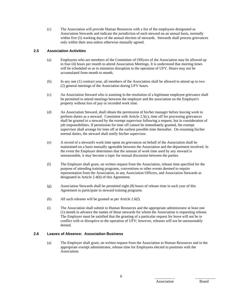(c) The Association will provide Human Resources with a list of the employees designated as Association Stewards and indicate the jurisdiction of each steward on an annual basis, normally within five (5) working days of the annual election of stewards. Stewards shall process grievances only within their area unless otherwise mutually agreed.

## **2.5 Association Activities**

- (a) Employees who are members of the Committee of Officers of the Association may be allowed up to four (4) hours per month to attend Association Meetings. It is understood that meeting times will be scheduled so as to minimize disruption to the operation of UFV. Hours may not be accumulated from month to month.
- (b) In any one (1) contract year, all members of the Association shall be allowed to attend up to two (2) general meetings of the Association during UFV hours.
- (c) An Association Steward who is assisting in the resolution of a legitimate employee grievance shall be permitted to attend meetings between the employer and the association on the Employer's property without loss of pay or recorded work time.
- (d) An Association Steward, shall obtain the permission of his/her manager before leaving work to perform duties as a steward. Consistent with Article 2.5(c), time off for processing grievances shall be granted to a steward by the exempt supervisor following a request, but in consideration of job responsibilities. If permission for time off cannot be immediately granted, the exempt supervisor shall arrange for time off at the earliest possible time thereafter. On resuming his/her normal duties, the steward shall notify his/her supervisor.
- (e) A record of a steward's work time spent on grievances on behalf of the Association shall be maintained on a basis mutually agreeable between the Association and the department involved. In the event the Employer determines that the amount of work time used by any steward is unreasonable, it may become a topic for mutual discussion between the parties.
- (f) The Employer shall grant, on written request from the Association, release time specified for the purpose of attending training programs, conventions or other events deemed to require representation from the Association, to any Association Officers, and Association Stewards as designated in Article 2.4(b) of this Agreement.
- (g) Association Stewards shall be permitted eight (8) hours of release time in each year of this Agreement to participate in steward training programs.
- (h) All such releases will be granted as per Article 2.6(f).
- (i) The Association shall submit to Human Resources and the appropriate administrator at least one (1) month in advance the names of those stewards for whom the Association is requesting release. The Employer must be satisfied that the granting of a particular request for leave will not be in conflict with or disruptive to the operation of UFV; however, releases will not be unreasonably denied.

#### **2.6 Leaves of Absence: Association Business**

(a) The Employer shall grant, on written request from the Association to Human Resources and to the appropriate exempt administrator, release time for Employees elected to positions with the Association.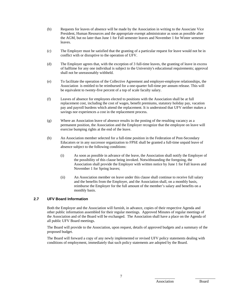- (b) Requests for leaves of absence will be made by the Association in writing to the Associate Vice President, Human Resources and the appropriate exempt administrator as soon as possible after the AGM, but no later than June 1 for Fall semester leaves and November 1 for Winter semester leaves.
- (c) The Employer must be satisfied that the granting of a particular request for leave would not be in conflict with or disruptive to the operation of UFV.
- (d) The Employer agrees that, with the exception of 3 full-time leaves, the granting of leave in excess of halftime for any one individual is subject to the University's educational requirements; approval shall not be unreasonably withheld.
- (e) To facilitate the operation of the Collective Agreement and employer-employee relationships, the Association is entitled to be reimbursed for a one-quarter full-time per annum release. This will be equivalent to twenty-five percent of a top of scale faculty salary.
- (f) Leaves of absence for employees elected to positions with the Association shall be at full replacement cost, including the cost of wages, benefit premiums, statutory holiday pay, vacation pay and payroll burdens which attend the replacement. It is understood that UFV neither makes a savings nor experiences a cost in the replacement process.
- (g) Where an Association leave of absence results in the posting of the resulting vacancy as a permanent position, the Association and the Employer recognize that the employee on leave will exercise bumping rights at the end of the leave.
- (h) An Association member selected for a full-time position in the Federation of Post-Secondary Educators or in any successor organization to FPSE shall be granted a full-time unpaid leave of absence subject to the following conditions:
	- (i) As soon as possible in advance of the leave, the Association shall notify the Employer of the possibility of this clause being invoked. Notwithstanding the foregoing, the Association shall provide the Employer with written notice by June 1 for Fall leaves and November 1 for Spring leaves;
	- (ii) An Association member on leave under this clause shall continue to receive full salary and the benefits from the Employer, and the Association shall, on a monthly basis, reimburse the Employer for the full amount of the member's salary and benefits on a monthly basis.

# **2.7 UFV Board Information**

Both the Employer and the Association will furnish, in advance, copies of their respective Agenda and other public information assembled for their regular meetings. Approved Minutes of regular meetings of the Association and of the Board will be exchanged. The Association shall have a place on the Agenda of all public UFV Board meetings.

The Board will provide to the Association, upon request, details of approved budgets and a summary of the proposed budget.

The Board will forward a copy of any newly implemented or revised UFV policy statements dealing with conditions of employment, immediately that such policy statements are adopted by the Board.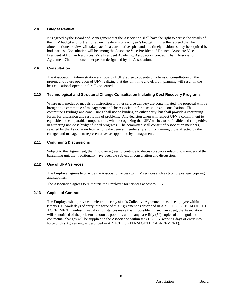# **2.8 Budget Review**

It is agreed by the Board and Management that the Association shall have the right to peruse the details of the UFV budget and further to review the details of each year's budget. It is further agreed that the aforementioned review will take place in a consultative spirit and in a timely fashion as may be required by both parties. Consultation will be among the Associate Vice President of Finance, Associate Vice President of Human Resources, Vice President Academic, Association Contract Chair, Association Agreement Chair and one other person designated by the Association.

#### **2.9 Consultation**

The Association, Administration and Board of UFV agree to operate on a basis of consultation on the present and future operation of UFV realizing that the joint time and effort in planning will result in the best educational operation for all concerned.

## **2.10 Technological and Structural Change Consultation Including Cost Recovery Programs**

Where new modes or models of instruction or other service delivery are contemplated, the proposal will be brought to a committee of management and the Association for discussion and consultation. The committee's findings and conclusions shall not be binding on either party, but shall provide a continuing forum for discussion and resolution of problems. Any decision taken will respect UFV's commitment to equitable and comparable compensation, while recognizing that UFV wishes to be flexible and competitive in attracting non-base budget funded programs. The committee shall consist of Association members, selected by the Association from among the general membership and from among those affected by the change, and management representatives as appointed by management.

# **2.11 Continuing Discussions**

Subject to this Agreement, the Employer agrees to continue to discuss practices relating to members of the bargaining unit that traditionally have been the subject of consultation and discussion.

# **2.12 Use of UFV Services**

The Employer agrees to provide the Association access to UFV services such as typing, postage, copying, and supplies.

The Association agrees to reimburse the Employer for services at cost to UFV.

# **2.13 Copies of Contract**

The Employer shall provide an electronic copy of this Collective Agreement to each employee within twenty (20) work days of entry into force of this Agreement as described in ARTICLE 5: (TERM OF THE AGREEMENT), unless unusual circumstances make this impossible. In such an event, the Association will be notified of the problem as soon as possible, and in any case fifty (50) copies of all negotiated contractual changes will be supplied to the Association within ten (10) UFV working days of entry into force of this Agreement, as described in ARTICLE 5: (TERM OF THE AGREEMENT).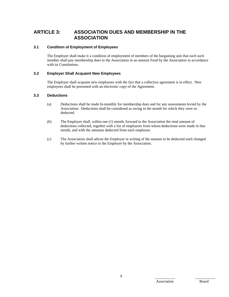# **ARTICLE 3: ASSOCIATION DUES AND MEMBERSHIP IN THE ASSOCIATION**

#### **3.1 Condition of Employment of Employees**

The Employer shall make it a condition of employment of members of the bargaining unit that each such member shall pay membership dues to the Association in an amount fixed by the Association in accordance with its Constitution.

## **3.2 Employer Shall Acquaint New Employees**

The Employer shall acquaint new employees with the fact that a collective agreement is in effect. New employees shall be presented with an electronic copy of the Agreement.

## **3.3 Deductions**

- (a) Deductions shall be made bi-monthly for membership dues and for any assessments levied by the Association. Deductions shall be considered as owing in the month for which they were so deducted.
- (b) The Employer shall, within one (1) month, forward to the Association the total amount of deductions collected, together with a list of employees from whom deductions were made in that month, and with the amounts deducted from each employee.
- (c) The Association shall advise the Employer in writing of the amount to be deducted until changed by further written notice to the Employer by the Association.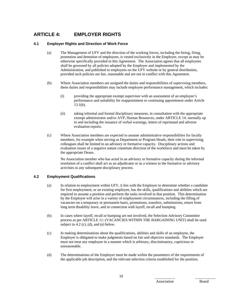# **ARTICLE 4: EMPLOYER RIGHTS**

## **4.1 Employer Rights and Direction of Work Force**

- (a) The Management of UFV and the direction of the working forces, including the hiring, firing, promotion and demotion of employees, is vested exclusively in the Employer, except as may be otherwise specifically provided in this Agreement. The Association agrees that all employees shall be governed by all policies adopted by the Employer and implemented by the Administration, and published to employees on the UFV website or by general distribution, provided such policies are fair, reasonable and are not in conflict with this Agreement.
- (b) Where Association members are assigned the duties and responsibilities of supervising members, these duties and responsibilities may include employee performance management, which includes:
	- (i) providing the appropriate exempt supervisor with an assessment of an employee's performance and suitability for reappointment or continuing appointment under Article  $13.1(b)$ .
	- (ii) taking informal and formal disciplinary measures, in consultation with the appropriate exempt administrator and/or AVP, Human Resources, under ARTICLE 14: normally up to and including the issuance of verbal warnings, letters of reprimand and adverse evaluation reports.
- (c) Where Association members are expected to assume administrative responsibilities for faculty members, for example when serving as Department or Program Heads, their role in supervising colleagues shall be limited to an advisory or formative capacity. Disciplinary actions and evaluation issues of a negative nature constitute direction of the workforce and must be taken by the appropriate Deans.

No Association member who has acted in an advisory or formative capacity during the informal resolution of a conflict shall act as an adjudicator or as a witness to the formative or advisory activities in any subsequent disciplinary process.

#### **4.2 Employment Qualifications**

- (a) In relation to employment within UFV, it lies with the Employer to determine whether a candidate for first employment, or an existing employee, has the skills, qualifications and abilities which are required to assume a position and perform the tasks involved in that position. This determination by the Employer will arise in a variety of employment circumstances, including the filling of vacancies on a temporary or permanent basis, promotions, transfers, substitutions, return from long term disability leave, and in connection with layoff, recall and bumping.
- (b) In cases where layoff, recall or bumping are not involved, the Selection Advisory Committee process as per ARTICLE 11: (VACANCIES WITHIN THE BARGAINING UNIT) shall be used subject to 4.2 (c), (d), and (e) below.
- (c) In making determinations about the qualifications, abilities and skills of an employee, the Employer is obligated to make judgments based on fair and objective standards. The Employer must not treat any employee in a manner which is arbitrary, discriminatory, capricious or unreasonable.
- (d) The determinations of the Employer must be made within the parameters of the requirements of the applicable job description, and the relevant selection criteria established for the position.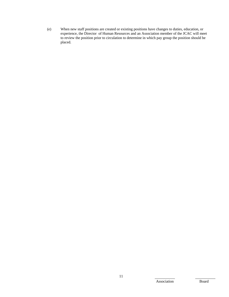(e) When new staff positions are created or existing positions have changes to duties, education, or experience, the Director of Human Resources and an Association member of the JCAC will meet to review the position prior to circulation to determine in which pay group the position should be placed.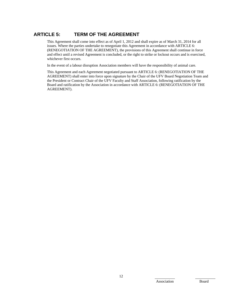# **ARTICLE 5: TERM OF THE AGREEMENT**

This Agreement shall come into effect as of April 1, 2012 and shall expire as of March 31, 2014 for all issues. Where the parties undertake to renegotiate this Agreement in accordance with ARTICLE 6: (RENEGOTIATION OF THE AGREEMENT), the provisions of this Agreement shall continue in force and effect until a revised Agreement is concluded, or the right to strike or lockout occurs and is exercised, whichever first occurs.

In the event of a labour disruption Association members will have the responsibility of animal care.

This Agreement and each Agreement negotiated pursuant to ARTICLE 6: (RENEGOTIATION OF THE AGREEMENT) shall enter into force upon signature by the Chair of the UFV Board Negotiation Team and the President or Contract Chair of the UFV Faculty and Staff Association, following ratification by the Board and ratification by the Association in accordance with ARTICLE 6: (RENEGOTIATION OF THE AGREEMENT).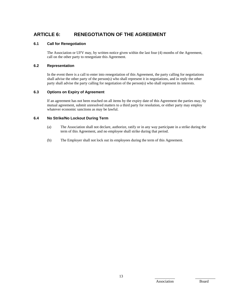# **ARTICLE 6: RENEGOTIATION OF THE AGREEMENT**

# **6.1 Call for Renegotiation**

The Association or UFV may, by written notice given within the last four (4) months of the Agreement, call on the other party to renegotiate this Agreement.

## **6.2 Representation**

In the event there is a call to enter into renegotiation of this Agreement, the party calling for negotiations shall advise the other party of the person(s) who shall represent it in negotiations, and in reply the other party shall advise the party calling for negotiation of the person(s) who shall represent its interests.

## **6.3 Options on Expiry of Agreement**

If an agreement has not been reached on all items by the expiry date of this Agreement the parties may, by mutual agreement, submit unresolved matters to a third party for resolution, or either party may employ whatever economic sanctions as may be lawful.

## **6.4 No Strike/No Lockout During Term**

- (a) The Association shall not declare, authorize, ratify or in any way participate in a strike during the term of this Agreement, and no employee shall strike during that period.
- (b) The Employer shall not lock out its employees during the term of this Agreement.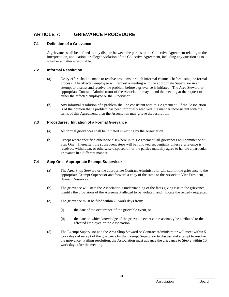# **ARTICLE 7: GRIEVANCE PROCEDURE**

# **7.1 Definition of a Grievance**

A grievance shall be defined as any dispute between the parties to the Collective Agreement relating to the interpretation, application, or alleged violation of the Collective Agreement, including any question as to whether a matter is arbitrable.

# **7.2 Informal Resolution**

- (a) Every effort shall be made to resolve problems through informal channels before using the formal process. The affected employee will request a meeting with the appropriate Supervisor in an attempt to discuss and resolve the problem before a grievance is initiated. The Area Steward or appropriate Contract Administrator of the Association may attend the meeting at the request of either the affected employee or the Supervisor.
- (b) Any informal resolution of a problem shall be consistent with this Agreement. If the Association is of the opinion that a problem has been informally resolved in a manner inconsistent with the terms of this Agreement, then the Association may grieve the resolution.

# **7.3 Procedures: Initiation of a Formal Grievance**

- (a) All formal grievances shall be initiated in writing by the Association.
- (b) Except where specified otherwise elsewhere in this Agreement, all grievances will commence at Step One. Thereafter, the subsequent steps will be followed sequentially unless a grievance is resolved, withdrawn, or otherwise disposed of, or the parties mutually agree to handle a particular grievance in a different manner.

# **7.4 Step One: Appropriate Exempt Supervisor**

- (a) The Area Shop Steward or the appropriate Contract Administrator will submit the grievance to the appropriate Exempt Supervisor and forward a copy of the same to the Associate Vice President, Human Resources.
- (b) The grievance will state the Association's understanding of the facts giving rise to the grievance, identify the provisions of the Agreement alleged to be violated, and indicate the remedy requested.
- (c) The grievance must be filed within 20 work days from:
	- (i) the date of the occurrence of the grievable event, or
	- (ii) the date on which knowledge of the grievable event can reasonably be attributed to the affected employee or the Association.
- (d) The Exempt Supervisor and the Area Shop Steward or Contract Administrator will meet within 5 work days of receipt of the grievance by the Exempt Supervisor to discuss and attempt to resolve the grievance. Failing resolution, the Association must advance the grievance to Step 2 within 10 work days after the meeting.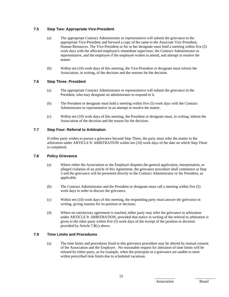# **7.5 Step Two: Appropriate Vice-President**

- (a) The appropriate Contract Administrator or representative will submit the grievance to the appropriate Vice-President and forward a copy of the same to the Associate Vice President, Human Resources. The Vice-President or his or her designate must hold a meeting within five (5) work days with the affected employee's immediate supervisor, the Contract Administrator or representative, and the employee if the employee wishes to attend, and attempt to resolve the matter.
- (b) Within ten (10) work days of this meeting, the Vice-President or designate must inform the Association, in writing, of the decision and the reasons for the decision.

# **7.6 Step Three: President**

- (a) The appropriate Contract Administrator or representative will submit the grievance to the President, who may designate an administrator to respond to it.
- (b) The President or designate must hold a meeting within five (5) work days with the Contract Administrator or representative in an attempt to resolve the matter.
- (c) Within ten (10) work days of this meeting, the President or designate must, in writing, inform the Association of the decision and the reason for the decision.

## **7.7 Step Four: Referral to Arbitration**

If either party wishes to pursue a grievance beyond Step Three, the party must refer the matter to the arbitration under ARTICLE 8: ARBITRATION within ten (10) work days of the date on which Step Three is completed.

#### **7.8 Policy Grievance**

- (a) Where either the Association or the Employer disputes the general application, interpretation, or alleged violation of an article of this Agreement, the grievance procedure shall commence at Step 3 and the grievance will be presented directly to the Contract Administrator or the President, as applicable.
- (b) The Contract Administrator and the President or designate must call a meeting within five (5) work days in order to discuss the grievance.
- (c) Within ten (10) work days of this meeting, the responding party must answer the grievance in writing, giving reasons for its position or decision.
- (d) Where no satisfactory agreement is reached, either party may refer the grievance to arbitration under ARTICLE 8: ARBITRATION, provided that notice in writing of the referral to arbitration is given to the other party within five (5) work days of the receipt of the position or decision provided by Article 7.8(c) above.

# **7.9 Time Limits and Procedures**

(a) The time limits and procedures fixed in this grievance procedure may be altered by mutual consent of the Association and the Employer. No reasonable request for alteration of time limits will be refused by either party, as for example, when the principals to a grievance are unable to meet within prescribed time limits due to scheduled vacations.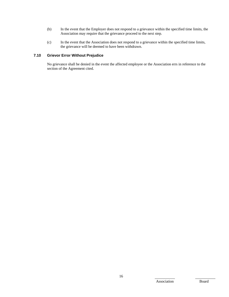- (b) In the event that the Employer does not respond to a grievance within the specified time limits, the Association may require that the grievance proceed to the next step.
- (c) In the event that the Association does not respond to a grievance within the specified time limits, the grievance will be deemed to have been withdrawn.

# **7.10 Grievor Error Without Prejudice**

No grievance shall be denied in the event the affected employee or the Association errs in reference to the section of the Agreement cited.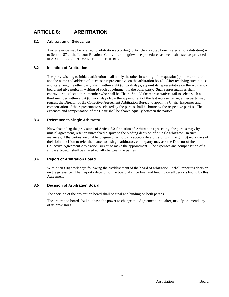# **ARTICLE 8: ARBITRATION**

# **8.1 Arbitration of Grievance**

Any grievance may be referred to arbitration according to Article 7.7 (Step Four: Referral to Arbitration) or to Section 87 of the Labour Relations Code, after the grievance procedure has been exhausted as provided in ARTICLE 7: (GRIEVANCE PROCEDURE).

# **8.2 Initiation of Arbitration**

The party wishing to initiate arbitration shall notify the other in writing of the question(s) to be arbitrated and the name and address of its chosen representative on the arbitration board. After receiving such notice and statement, the other party shall, within eight (8) work days, appoint its representative on the arbitration board and give notice in writing of such appointment to the other party. Such representatives shall endeavour to select a third member who shall be Chair. Should the representatives fail to select such a third member within eight (8) work days from the appointment of the last representative, either party may request the Director of the Collective Agreement Arbitration Bureau to appoint a Chair. Expenses and compensation of the representatives selected by the parties shall be borne by the respective parties. The expenses and compensation of the Chair shall be shared equally between the parties.

## **8.3 Reference to Single Arbitrator**

Notwithstanding the provisions of Article 8.2 (Initiation of Arbitration) preceding, the parties may, by mutual agreement, refer an unresolved dispute to the binding decision of a single arbitrator. In such instances, if the parties are unable to agree on a mutually acceptable arbitrator within eight (8) work days of their joint decision to refer the matter to a single arbitrator, either party may ask the Director of the Collective Agreement Arbitration Bureau to make the appointment. The expenses and compensation of a single arbitrator shall be shared equally between the parties.

# **8.4 Report of Arbitration Board**

Within ten (10) work days following the establishment of the board of arbitration, it shall report its decision on the grievance. The majority decision of the board shall be final and binding on all persons bound by this Agreement.

# **8.5 Decision of Arbitration Board**

The decision of the arbitration board shall be final and binding on both parties.

The arbitration board shall not have the power to change this Agreement or to alter, modify or amend any of its provisions.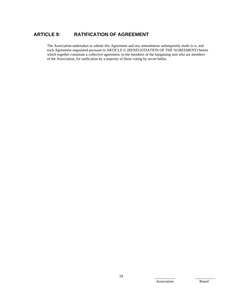# **ARTICLE 9: RATIFICATION OF AGREEMENT**

The Association undertakes to submit this Agreement and any amendments subsequently made to it, and each Agreement negotiated pursuant to ARTICLE 6: (RENEGOTIATION OF THE AGREEMENT) herein which together constitute a collective agreement, to the members of the bargaining unit who are members of the Association, for ratification by a majority of those voting by secret ballot.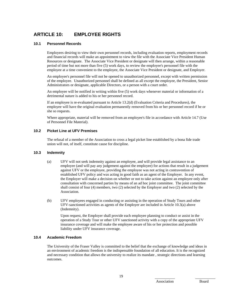# **ARTICLE 10: EMPLOYEE RIGHTS**

# **10.1 Personnel Records**

Employees desiring to view their own personnel records, including evaluation reports, employment records and financial records will make an appointment to view the file with the Associate Vice President Human Resources or designate. The Associate Vice President or designate will then arrange, within a reasonable period of time but not more than five (5) work days, to review the employee's personnel file with the employee at a time convenient to the employee, the Associate Vice President or designate, and Employer.

An employee's personnel file will not be opened to unauthorized personnel, except with written permission of the employee. Unauthorized personnel shall be defined as all except the employee, the President, Senior Administrators or designate, applicable Directors, or a person with a court order.

An employee will be notified in writing within five (5) work days whenever material or information of a detrimental nature is added to his or her personnel record.

If an employee is re-evaluated pursuant to Article 13.2(d) (Evaluation Criteria and Procedures), the employee will have the original evaluation permanently removed from his or her personnel record if he or she so requests.

Where appropriate, material will be removed from an employee's file in accordance with Article 14.7 (Use of Personnel File Material).

## **10.2 Picket Line at UFV Premises**

The refusal of a member of the Association to cross a legal picket line established by a bona fide trade union will not, of itself, constitute cause for discipline.

#### **10.3 Indemnity**

- (a) UFV will not seek indemnity against an employee, and will provide legal assistance to an employee (and will pay any judgement against the employee) for actions that result in a judgement against UFV or the employee, providing the employee was not acting in contravention of established UFV policy and was acting in good faith as an agent of the Employer. In any event, the Employer will make a decision on whether or not to take action against an employee only after consultation with concerned parties by means of an ad hoc joint committee. The joint committee shall consist of four (4) members, two (2) selected by the Employer and two (2) selected by the Association.
- (b) UFV employees engaged in conducting or assisting in the operation of Study Tours and other UFV-sanctioned activities as agents of the Employer are included in Article 10.3(a) above (Indemnity).

Upon request, the Employer shall provide each employee planning to conduct or assist in the operation of a Study Tour or other UFV sanctioned activity with a copy of the appropriate UFV insurance coverage and will make the employee aware of his or her protection and possible liability under UFV insurance coverage.

#### **10.4 Academic Freedom**

The University of the Fraser Valley is committed to the belief that the exchange of knowledge and ideas in an environment of academic freedom is the indispensable foundation of all education. It is the recognized and necessary condition that allows the university to realize its mandate , strategic directions and learning outcomes.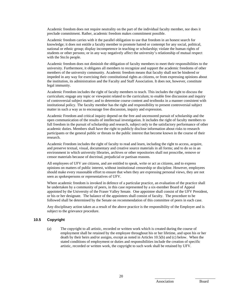Academic freedom does not require neutrality on the part of the individual faculty member, nor does it preclude commitment. Rather, academic freedom makes commitment possible.

Academic freedom carries with it the parallel obligation to use that freedom in an honest search for knowledge; it does not entitle a faculty member to promote hatred or contempt for any social, political, national or ethnic group; display incompetence in teaching or scholarship; violate the human rights of students or other persons; or in any way negatively affect the university's relationship of mutual respect with the Sto:lo people.

Academic freedom does not diminish the obligation of faculty members to meet their responsibilities to the university. Furthermore, it obligates all members to recognize and support the academic freedoms of other members of the university community. Academic freedom means that faculty shall not be hindered or impeded in any way for exercising their constitutional rights as citizens, or from expressing opinions about the institution, its administration and the Faculty and Staff Association. It does not, however, constitute legal immunity.

Academic Freedom includes the right of faculty members to teach. This includes the right to discuss the curriculum; engage any topic or viewpoint related to the curriculum; to enable free discussion and inquiry of controversial subject matter; and to determine course content and textbooks in a manner consistent with institutional policy. The faculty member has the right and responsibility to present controversial subject matter in such a way as to encourage free discussion, inquiry and expression.

Academic Freedom and critical inquiry depend on the free and uncensored pursuit of scholarship and the open communication of the results of intellectual investigation. It includes the right of faculty members to full freedom in the pursuit of scholarship and research, subject only to the satisfactory performance of other academic duties. Members shall have the right to publicly disclose information about risks to research participants or the general public or threats to the public interest that become known in the course of their research.

Academic Freedom includes the right of faculty to read and learn, including the right to access, acquire, and preserve textual, visual, documentary and creative source materials in all forms; and to do so in an environment in which university libraries, archives or other repositories shall not proscribe, remove or censor materials because of doctrinal, prejudicial or partisan reasons.

All employees of UFV are citizens, and are entitled to speak, write or act as citizens, and to express opinions on matters of public interest, without institutional censorship or discipline. However, employees should make every reasonable effort to ensure that when they are expressing personal views, they are not seen as spokespersons or representatives of UFV.

Where academic freedom is invoked in defence of a particular practice, an evaluation of the practice shall be undertaken by a community of peers, in this case represented by a six-member Board of Appeal appointed by the University of the Fraser Valley Senate. One appointee shall consist of the UFV President, or his or her designate. The balance of the appointees shall consist of faculty. The procedure to be followed shall be determined by the Senate on recommendation of this committee of peers in each case.

Any disciplinary action taken as a result of the above practice is the responsibility of the Employer and is subject to the grievance procedure.

#### **10.5 Copyright**

(a) The copyright to all artistic, recorded or written work which is created during the course of employment shall be retained by the employee throughout his or her lifetime, and upon his or her death by their heirs and/or assigns, except as noted in Articles 10.5(b) and (c) below. When the stated conditions of employment or duties and responsibilities include the creation of specific artistic, recorded or written work, the copyright to such work shall be retained by UFV.

20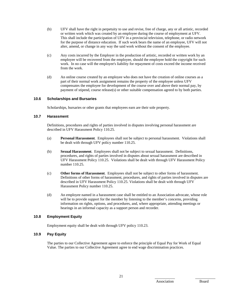- (b) UFV shall have the right in perpetuity to use and revise, free of charge, any or all artistic, recorded or written work which was created by an employee during the course of employment at UFV. This shall include the participation of UFV in a provincial television, telephone, or radio network for the purpose of distance education. If such work bears the name of an employee, UFV will not alter, amend, or change in any way the said work without the consent of the employee.
- (c) Any costs incurred by the Employer in the production of artistic, recorded or written work by an employee will be recovered from the employee, should the employee hold the copyright for such work. In no case will the employee's liability for repayment of costs exceed the income received from the work.
- (d) An online course created by an employee who does not have the creation of online courses as a part of their normal work assignment remains the property of the employee unless UFV compensates the employee for development of the course over and above their normal pay, by payment of stipend, course release(s) or other suitable compensation agreed to by both parties.

# **10.6 Scholarships and Bursaries**

Scholarships, bursaries or other grants that employees earn are their sole property.

#### **10.7 Harassment**

Definitions, procedures and rights of parties involved in disputes involving personal harassment are described in UFV Harassment Policy 110.25.

- (a) **Personal Harassment**. Employees shall not be subject to personal harassment. Violations shall be dealt with through UFV policy number 110.25.
- (b) **Sexual Harassment**. Employees shall not be subject to sexual harassment. Definitions, procedures, and rights of parties involved in disputes about sexual harassment are described in UFV Harassment Policy 110.25. Violations shall be dealt with through UFV Harassment Policy number 110.25.
- (c) **Other forms of Harassment**. Employees shall not be subject to other forms of harassment. Definitions of other forms of harassment, procedures, and rights of parties involved in disputes are described in UFV Harassment Policy 110.25. Violations shall be dealt with through UFV Harassment Policy number 110.25.
- (d) An employee named in a harassment case shall be entitled to an Association advocate, whose role will be to provide support for the member by listening to the member's concerns, providing information on rights, options, and procedures, and, where appropriate, attending meetings or hearings in an informal capacity as a support person and recorder.

# **10.8 Employment Equity**

Employment equity shall be dealt with through UFV policy 110.23.

#### **10.9 Pay Equity**

The parties to our Collective Agreement agree to enforce the principle of Equal Pay for Work of Equal Value. The parties to our Collective Agreement agree to end wage discrimination practices.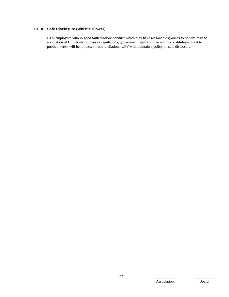# **10.10 Safe Disclosure (Whistle Blower)**

UFV employees who in good faith disclose conduct which they have reasonable grounds to believe may be a violation of University policies or regulations, government legislation, or which constitutes a threat to public interest will be protected from retaliation. UFV will maintain a policy on safe disclosure.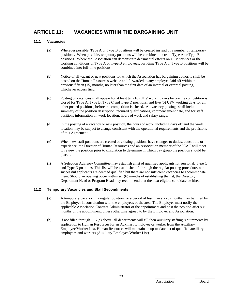# **ARTICLE 11: VACANCIES WITHIN THE BARGAINING UNIT**

## **11.1 Vacancies**

- (a) Wherever possible, Type A or Type B positions will be created instead of a number of temporary positions. When possible, temporary positions will be combined to create Type A or Type B positions. Where the Association can demonstrate detrimental effects on UFV services or the working conditions of Type A or Type B employees, part-time Type A or Type B positions will be combined into full-time positions.
- (b) Notice of all vacant or new positions for which the Association has bargaining authority shall be posted on the Human Resources website and forwarded to any employee laid off within the previous fifteen (15) months, no later than the first date of an internal or external posting, whichever occurs first.
- (c) Posting of vacancies shall appear for at least ten (10) UFV working days before the competition is closed for Type A, Type B, Type C and Type D positions, and five (5) UFV working days for all other posted positions, before the competition is closed. All vacancy postings shall include summary of the position description, required qualifications, commencement date, and for staff positions information on work location, hours of work and salary range.
- (d) In the posting of a vacancy or new position, the hours of work, including days off and the work location may be subject to change consistent with the operational requirements and the provisions of this Agreement.
- (e) When new staff positions are created or existing positions have changes to duties, education, or experience, the Director of Human Resources and an Association member of the JCAC will meet to review the position prior to circulation to determine in which pay group the position should be placed.
- (f) A Selection Advisory Committee may establish a list of qualified applicants for sessional, Type C and Type D positions. This list will be established if, through the regular posting procedure, nonsuccessful applicants are deemed qualified but there are not sufficient vacancies to accommodate them. Should an opening occur within six (6) months of establishing the list, the Director, Department Head or Program Head may recommend that the next eligible candidate be hired.

# **11.2 Temporary Vacancies and Staff Secondments**

- (a) A temporary vacancy in a regular position for a period of less than six (6) months may be filled by the Employer in consultation with the employees of the area. The Employer must notify the applicable Association Contract Administrator of the appointment and post the position after six months of the appointment, unless otherwise agreed to by the Employer and Association.
- (b) If not filled through 11.2(a) above, all departments will fill their auxiliary staffing requirements by application to Human Resources for an Auxiliary Employee or worker from the Auxiliary Employee/Worker List. Human Resources will maintain an up-to-date list of qualified auxiliary employees and workers (Auxiliary Employee/Worker List).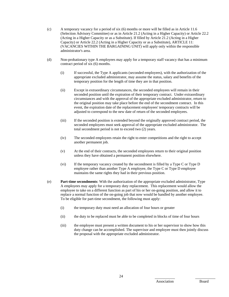- (c) A temporary vacancy for a period of six (6) months or more will be filled as in Article 11.6 (Selection Advisory Committee) or as in Article 21.2 (Acting in a Higher Capacity) or Article 22.2 (Acting in a Higher Capacity or as a Substitute). If filled by Article 21.2 (Acting in a Higher Capacity) or Article 22.2 (Acting in a Higher Capacity or as a Substitute), ARTICLE 11: (VACANCIES WITHIN THE BARGAINING UNIT) will apply only within the responsible administrator's area.
- (d) Non-probationary type A employees may apply for a temporary staff vacancy that has a minimum contract period of six (6) months.
	- (i) If successful, the Type A applicants (seconded employees), with the authorization of the appropriate excluded administrator, may assume the status, salary and benefits of the temporary position for the length of time they are in that position.
	- (ii) Except in extraordinary circumstances, the seconded employees will remain in their seconded position until the expiration of their temporary contract. Under extraordinary circumstances and with the approval of the appropriate excluded administrator, return to the original position may take place before the end of the secondment contract. In this event, the expiration date of the replacement employees' temporary contracts will be adjusted to correspond to the new date of return of the seconded employees.
	- (iii) If the seconded position is extended beyond the originally approved contract period, the seconded employees must seek approval of the appropriate excluded administrator. The total secondment period is not to exceed two (2) years.
	- (iv) The seconded employees retain the right to enter competitions and the right to accept another permanent job.
	- (v) At the end of their contracts, the seconded employees return to their original position unless they have obtained a permanent position elsewhere.
	- (vi) If the temporary vacancy created by the secondment is filled by a Type C or Type D employee rather than another Type A employee, the Type C or Type D employee maintains the same rights they had in their previous position.
- (e) **Part-time secondments**: With the authorization of the appropriate excluded administrator, Type A employees may apply for a temporary duty replacement. This replacement would allow the employee to take on a different function as part of his or her on-going position, and allow it to replace a normal function of the on-going job that now would be handled by another employee. To be eligible for part-time secondment, the following must apply:
	- (i) the temporary duty must need an allocation of four hours or greater
	- (ii) the duty to be replaced must be able to be completed in blocks of time of four hours
	- (iii) the employee must present a written document to his or her supervisor to show how this duty change can be accomplished. The supervisor and employee must then jointly discuss the proposal with the appropriate excluded administrator.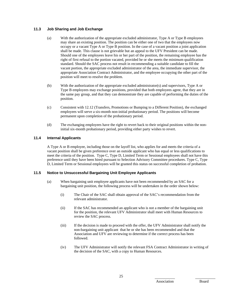# **11.3 Job Sharing and Job Exchange**

- (a) With the authorization of the appropriate excluded administrator, Type A or Type B employees may share an existing position. The position can be either one of two that the employees now occupy or a vacant Type A or Type B position. In the case of a vacant position a joint application shall be made. This clause is not grievable but an appeal to the UFV President can be made. Should one of the employees leave his or her part of the position, the remaining employee has the right of first refusal to the portion vacated, provided he or she meets the minimum qualification standard. Should the SAC process not result in recommending a suitable candidate to fill the vacant portion, the appropriate excluded administrator of the area, the immediate supervisor, the appropriate Association Contract Administrator, and the employee occupying the other part of the position will meet to resolve the problem.
- (b) With the authorization of the appropriate excluded administrator(s) and supervisors, Type A or Type B employees may exchange positions, provided that both employees agree, that they are in the same pay group, and that they can demonstrate they are capable of performing the duties of the position.
- (c) Consistent with 12.12 (Transfers, Promotions or Bumping to a Different Position), the exchanged employees will serve a six-month non-initial probationary period. The positions will become permanent upon completion of the probationary period.
- (d) The exchanging employees have the right to revert back to their original positions within the noninitial six-month probationary period, providing either party wishes to revert.

#### **11.4 Internal Applicants**

A Type A or B employee, including those on the layoff list, who applies for and meets the criteria of a vacant position shall be given preference over an outside applicant who has equal or less qualifications to meet the criteria of the position. Type C, Type D, Limited Term or Sessional employees shall not have this preference until they have been hired pursuant to Selection Advisory Committee procedures. Type C, Type D, Limited Term or Sessional employees will be granted this status on successful completion of probation.

#### **11.5 Notice to Unsuccessful Bargaining Unit Employee Applicants**

- (a) When bargaining unit employee applicants have not been recommended by an SAC for a bargaining unit position, the following process will be undertaken in the order shown below:
	- (i) The Chair of the SAC shall obtain approval of the SAC's recommendation from the relevant administrator.
	- (ii) If the SAC has recommended an applicant who is not a member of the bargaining unit for the position, the relevant UFV Administrator shall meet with Human Resources to review the SAC process.
	- (iii) If the decision is made to proceed with the offer, the UFV Administrator shall notify the non-bargaining unit applicant that he or she has been recommended and that the Association and UFV are reviewing to determine if the correct process has been followed.
	- (iv) The UFV Administrator will notify the relevant FSA Contract Administrator in writing of the decision of the SAC, with a copy to Human Resources.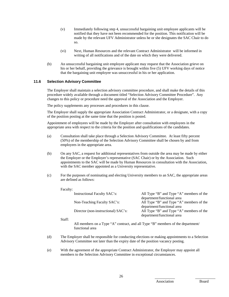- (v) Immediately following step 4, unsuccessful bargaining unit employee applicants will be notified that they have not been recommended for the position. This notification will be made by the relevant UFV Administrator unless he or she designates the SAC Chair to do so.
- (vi) Next, Human Resources and the relevant Contract Administrator will be informed in writing of all notifications and of the date on which they were delivered.
- (b) An unsuccessful bargaining unit employee applicant may request that the Association grieve on his or her behalf, providing the grievance is brought within five (5) UFV working days of notice that the bargaining unit employee was unsuccessful in his or her application.

#### **11.6 Selection Advisory Committee**

The Employer shall maintain a selection advisory committee procedure, and shall make the details of this procedure widely available through a document titled "Selection Advisory Committee Procedure". Any changes to this policy or procedure need the approval of the Association and the Employer.

The policy supplements any processes and procedures in this clause.

The Employer shall supply the appropriate Association Contract Administrator, or a designate, with a copy of the position posting at the same time that the position is posted.

Appointment of employees will be made by the Employer after consultation with employees in the appropriate area with respect to the criteria for the position and qualifications of the candidates.

- (a) Consultation shall take place through a Selection Advisory Committee. At least fifty percent (50%) of the membership of the Selection Advisory Committee shall be chosen by and from employees in the appropriate area.
- (b) On any SAC, a request for additional representatives from outside the area may be made by either the Employer or the Employer's representative (SAC Chair) or by the Association. Such appointments to the SAC will be made by Human Resources in consultation with the Association, with the SAC member appointed as a University representative.
- (c) For the purposes of nominating and electing University members to an SAC, the appropriate areas are defined as follows:

| Faculty: |                                     |                                                                                                                              |
|----------|-------------------------------------|------------------------------------------------------------------------------------------------------------------------------|
|          | Instructional Faculty SAC's:        | All Type "B" and Type "A" members of the                                                                                     |
|          |                                     | department/functional area                                                                                                   |
|          | Non-Teaching Faculty SAC's:         | All Type "B" and Type "A" members of the                                                                                     |
|          |                                     | department/functional area                                                                                                   |
|          | Director (non-instructional) SAC's: | All Type "B" and Type "A" members of the                                                                                     |
|          |                                     | department/functional area                                                                                                   |
| Staff:   |                                     |                                                                                                                              |
|          |                                     | $\Lambda$ ll mambars an a Type $\Lambda$ <sup>2</sup> contract, and all Type $\Omega$ <sup>2</sup> mambars of the department |

All members on a Type "A" contract, and all Type "B" members of the department/ functional area

- (d) The Employer shall be responsible for conducting elections or making appointments to a Selection Advisory Committee not later than the expiry date of the position vacancy posting.
- (e) With the agreement of the appropriate Contract Administrator, the Employer may appoint all members to the Selection Advisory Committee in exceptional circumstances.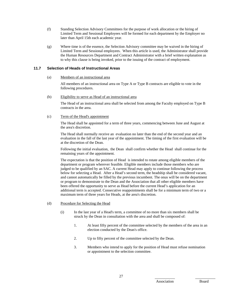- (f) Standing Selection Advisory Committees for the purpose of work allocation or the hiring of Limited Term and Sessional Employees will be formed for each department by the Employer no later than April 15th each academic year.
- (g) Where time is of the essence, the Selection Advisory committee may be waived in the hiring of Limited Term and Sessional employees. When this article is used, the Administrator shall provide the Human Resources Department and Contract Administrator with a brief written explanation as to why this clause is being invoked, prior to the issuing of the contract of employment.

## **11.7 Selection of Heads of Instructional Areas**

#### (a) Members of an instructional area

All members of an instructional area on Type A or Type B contracts are eligible to vote in the following procedures.

#### (b) Eligibility to serve as Head of an instructional area

The Head of an instructional area shall be selected from among the Faculty employed on Type B contracts in the area.

#### (c) Term of the Head's appointment

The Head shall be appointed for a term of three years, commencing between June and August at the area's discretion.

The Head shall normally receive an evaluation no later than the end of the second year and an evaluation in the fall of the last year of the appointment. The timing of the first evaluation will be at the discretion of the Dean.

Following the initial evaluation, the Dean shall confirm whether the Head shall continue for the remaining years of the appointment.

The expectation is that the position of Head is intended to rotate among eligible members of the department or program wherever feasible. Eligible members include those members who are judged to be qualified by an SAC. A current Head may apply to continue following the process below for selecting a Head. After a Head's second term, the headship shall be considered vacant, and cannot automatically be filled by the previous incumbent. The onus will be on the department or program to demonstrate to the Dean and the Association that all other eligible members have been offered the opportunity to serve as Head before the current Head's application for an additional term is accepted. Consecutive reappointments shall be for a minimum term of two or a maximum term of three years for Heads, at the area's discretion.

- (d) Procedure for Selecting the Head
	- (i) In the last year of a Head's term, a committee of no more than six members shall be struck by the Dean in consultation with the area and shall be composed of:
		- 1. At least fifty percent of the committee selected by the members of the area in an election conducted by the Dean's office.
		- 2. Up to fifty percent of the committee selected by the Dean.
		- 3. Members who intend to apply for the position of Head must refuse nomination or appointment to the selection committee.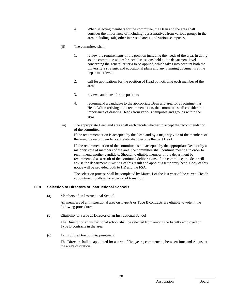- 4. When selecting members for the committee, the Dean and the area shall consider the importance of including representatives from various groups in the area including staff, other interested areas, and various campuses.
- (ii) The committee shall:
	- 1. review the requirements of the position including the needs of the area. In doing so, the committee will reference discussions held at the department level concerning the general criteria to be applied, which takes into account both the university's strategic and educational plans and any planning documents at the department level;
	- 2. call for applications for the position of Head by notifying each member of the area;
	- 3. review candidates for the position;
	- 4. recommend a candidate to the appropriate Dean and area for appointment as Head. When arriving at its recommendation, the committee shall consider the importance of drawing Heads from various campuses and groups within the area.
- (iii) The appropriate Dean and area shall each decide whether to accept the recommendation of the committee.

If the recommendation is accepted by the Dean and by a majority vote of the members of the area, the recommended candidate shall become the next Head.

If the recommendation of the committee is not accepted by the appropriate Dean or by a majority vote of members of the area, the committee shall continue meeting in order to recommend another candidate. Should no eligible member of the department be recommended as a result of the continued deliberations of the committee, the dean will advise the department in writing of this result and appoint a temporary head. Copy of this notice will be provided both to HR and the FSA.

The selection process shall be completed by March 1 of the last year of the current Head's appointment to allow for a period of transition.

#### **11.8 Selection of Directors of Instructional Schools**

(a) Members of an Instructional School

All members of an instructional area on Type A or Type B contracts are eligible to vote in the following procedures.

(b) Eligibility to Serve as Director of an Instructional School

The Director of an instructional school shall be selected from among the Faculty employed on Type B contracts in the area.

(c) Term of the Director's Appointment

The Director shall be appointed for a term of five years, commencing between June and August at the area's discretion.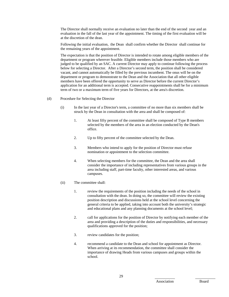The Director shall normally receive an evaluation no later than the end of the second year and an evaluation in the fall of the last year of the appointment. The timing of the first evaluation will be at the discretion of the dean.

Following the initial evaluation, the Dean shall confirm whether the Director shall continue for the remaining years of the appointment.

The expectation is that the position of Director is intended to rotate among eligible members of the department or program wherever feasible. Eligible members include those members who are judged to be qualified by an SAC. A current Director may apply to continue following the process below for selecting a Director. After a Director's second term, the position shall be considered vacant, and cannot automatically be filled by the previous incumbent. The onus will be on the department or program to demonstrate to the Dean and the Association that all other eligible members have been offered the opportunity to serve as Director before the current Director's application for an additional term is accepted. Consecutive reappointments shall be for a minimum term of two or a maximum term of five years for Directors, at the area's discretion.

- (d) Procedure for Selecting the Director
	- (i) In the last year of a Director's term, a committee of no more than six members shall be struck by the Dean in consultation with the area and shall be composed of:
		- 1. At least fifty percent of the committee shall be composed of Type B members selected by the members of the area in an election conducted by the Dean's office.
		- 2. Up to fifty percent of the committee selected by the Dean.
		- 3. Members who intend to apply for the position of Director must refuse nomination or appointment to the selection committee.
		- 4. When selecting members for the committee, the Dean and the area shall consider the importance of including representatives from various groups in the area including staff, part-time faculty, other interested areas, and various campuses.
	- (ii) The committee shall:
		- 1. review the requirements of the position including the needs of the school in consultation with the dean. In doing so, the committee will review the existing position description and discussions held at the school level concerning the general criteria to be applied, taking into account both the university's strategic and educational plans and any planning documents at the school level;
		- 2. call for applications for the position of Director by notifying each member of the area and providing a description of the duties and responsibilities, and necessary qualifications approved for the position;
		- 3. review candidates for the position;
		- 4. recommend a candidate to the Dean and school for appointment as Director. When arriving at its recommendation, the committee shall consider the importance of drawing Heads from various campuses and groups within the school.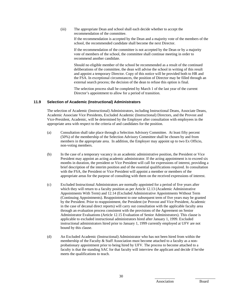(iii) The appropriate Dean and school shall each decide whether to accept the recommendation of the committee.

> If the recommendation is accepted by the Dean and a majority vote of the members of the school, the recommended candidate shall become the next Director.

If the recommendation of the committee is not accepted by the Dean or by a majority vote of members of the school, the committee shall continue meeting in order to recommend another candidate.

Should no eligible member of the school be recommended as a result of the continued deliberations of the committee, the dean will advise the school in writing of this result and appoint a temporary Director. Copy of this notice will be provided both to HR and the FSA. In exceptional circumstances, the position of Director may be filled through an external search process; the decision of the dean to refuse this option is final.

The selection process shall be completed by March 1 of the last year of the current Director's appointment to allow for a period of transition.

#### **11.9 Selection of Academic (Instructional) Administrators**

The selection of Academic (Instructional) Administrators, including Instructional Deans, Associate Deans, Academic Associate Vice Presidents, Excluded Academic (Instructional) Directors, and the Provost and Vice-President, Academic, will be determined by the Employer after consultation with employees in the appropriate area with respect to the criteria of and candidates for the position.

- (a) Consultation shall take place through a Selection Advisory Committee. At least fifty percent (50%) of the membership of the Selection Advisory Committee shall be chosen by and from members in the appropriate area. In addition, the Employer may appoint up to two Ex Officio, non-voting members.
- (b) In the case of a temporary vacancy in an academic administrative position, the President or Vice President may appoint an acting academic administrator. If the acting appointment is to exceed six months in duration, the president or Vice President will call for expressions of interest, providing a brief description of the interim position and of the essential qualifications required. In consultation with the FSA, the President or Vice President will appoint a member or members of the appropriate areas for the purpose of consulting with them on the received expressions of interest.
- (c) Excluded Instructional Administrators are normally appointed for a period of five years after which they will return to a faculty position as per Article 12.13 (Academic Administrative Appointments With Term) and 12.14 (Excluded Administrative Appointments Without Term (Continuing Appointments). Reappointment to one subsequent term of five years may be granted by the President. Prior to reappointment, the President (or Provost and Vice President, Academic in the case of decanal direct reports) will carry out consultation with the applicable faculty area through an evaluation process consistent with the provisions of the Agreement on Senior Administrator Evaluations (Article 12.15 Evaluation of Senior Administrators). This clause is applicable to excluded instructional administrators hired after January 1, 1999. Excluded instructional administrators hired prior to January 1, 1999 currently employed at UFV are not bound by this clause.
- (d) An Excluded Academic (Instructional) Administrator who has not been hired from within the membership of the Faculty & Staff Association must become attached to a faculty as a nonprobationary appointment prior to being hired by UFV. The process to become attached to a faculty is that the standing SAC for that faculty will interview the applicant and decide if he/she meets the qualifications to teach.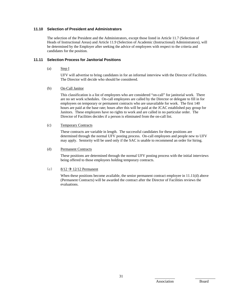## **11.10 Selection of President and Administrators**

The selection of the President and the Administrators, except those listed in Article 11.7 (Selection of Heads of Instructional Areas) and Article 11.9 (Selection of Academic (Instructional) Administrators), will be determined by the Employer after seeking the advice of employees with respect to the criteria and candidates for the position.

## **11.11 Selection Process for Janitorial Positions**

(a) Step I

UFV will advertise to bring candidates in for an informal interview with the Director of Facilities. The Director will decide who should be considered.

(b) On-Call Janitor

This classification is a list of employees who are considered "on-call" for janitorial work. There are no set work schedules. On-call employees are called by the Director or delegate to fill in for employees on temporary or permanent contracts who are unavailable for work. The first 140 hours are paid at the base rate; hours after this will be paid at the JCAC established pay group for Janitors. These employees have no rights to work and are called in no particular order. The Director of Facilities decides if a person is eliminated from the on-call list.

#### (c) Temporary Contracts

These contracts are variable in length. The successful candidates for these positions are determined through the normal UFV posting process. On-call employees and people new to UFV may apply. Seniority will be used only if the SAC is unable to recommend an order for hiring.

#### (d) Permanent Contracts

These positions are determined through the normal UFV posting process with the initial interviews being offered to those employees holding temporary contracts.

#### (e)  $8/12 \rightarrow 12/12$  Permanent

When these positions become available, the senior permanent contract employee in 11.11(d) above (Permanent Contracts) will be awarded the contract after the Director of Facilities reviews the evaluations.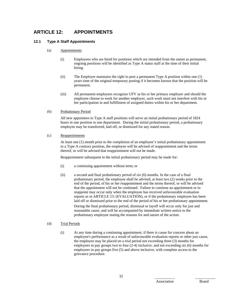# **ARTICLE 12: APPOINTMENTS**

# **12.1 Type A Staff Appointments**

- (a) Appointments
	- (i) Employees who are hired for positions which are intended from the outset as permanent, ongoing positions will be identified as Type A status staff at the time of their initial hiring.
	- (ii) The Employer maintains the right to post a permanent Type A position within one (1) years time of the original temporary posting if it becomes known that the position will be permanent.
	- (iii) All permanent employees recognize UFV as his or her primary employer and should the employee choose to work for another employer, such work must not interfere with his or her participation in and fulfillment of assigned duties within his or her department.
- (b) Probationary Period

All new appointees to Type A staff positions will serve an initial probationary period of 1824 hours in one position in one department. During the initial probationary period, a probationary employee may be transferred, laid off, or dismissed for any stated reason.

(c) Reappointments

At least one (1) month prior to the completion of an employee's initial probationary appointment to a Type A contract position, the employee will be advised of reappointment and the terms thereof, or will be advised that reappointment will not be made.

Reappointment subsequent to the initial probationary period may be made for:

- (i) a continuing appointment without term; or
- (ii) a second and final probationary period of six (6) months. In the case of a final probationary period, the employee shall be advised, at least two (2) weeks prior to the end of the period, of his or her reappointment and the terms thereof, or will be advised that the appointment will not be continued. Failure to continue an appointment or to reappoint may occur only when the employee has received unfavourable evaluation reports as in ARTICLE 13: (EVALUATION), or if the probationary employee has been laid off or dismissed prior to the end of the period of his or her probationary appointment. During the final probationary period, dismissal or layoff will occur only for just and reasonable cause, and will be accompanied by immediate written notice to the probationary employee stating the reasons for and nature of the action.
- (d) Trial Periods
	- (i) At any time during a continuing appointment, if there is cause for concern about an employee's performance as a result of unfavourable evaluation reports or other just cause, the employee may be placed on a trial period not exceeding three (3) months for employees in pay groups two to four (2-4) inclusive, and not exceeding six (6) months for employees in pay groups five (5) and above inclusive, with complete access to the grievance procedure.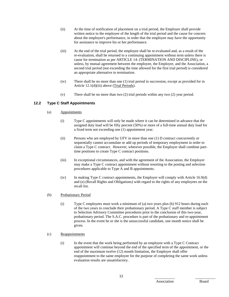- (ii) At the time of notification of placement on a trial period, the Employer shall provide written notice to the employee of the length of the trial period and the cause for concern about the employee's performance, in order that the employee may have the opportunity for assistance to improve his or her performance.
- (iii) At the end of the trial period, the employee shall be re-evaluated and, as a result of the re-evaluation, shall be returned to a continuing appointment without term unless there is cause for termination as per ARTICLE 14: (TERMINATION AND DISCIPLINE), or unless, by mutual agreement between the employee, the Employer, and the Association, a second trial period (not exceeding the time allowed for the first trial period) is considered an appropriate alternative to termination.
- (iv) There shall be no more than one (1) trial period in succession, except as provided for in Article 12.1(d)(iii) above (Trial Periods).
- (v) There shall be no more than two (2) trial periods within any two (2) year period.

## **12.2 Type C Staff Appointments**

- (a) Appointments
	- (i) Type C appointments will only be made where it can be determined in advance that the assigned duty load will be fifty percent (50%) or more of a full-time annual duty load for a fixed term not exceeding one (1) appointment year.
	- (ii) Persons who are employed by UFV in more than one (1) D contract concurrently or sequentially cannot accumulate or add up periods of temporary employment in order to claim a Type C contract. However, wherever possible, the Employer shall combine parttime positions to create Type C contract positions.
	- (iii) In exceptional circumstances, and with the agreement of the Association, the Employer may make a Type C contract appointment without resorting to the posting and selection procedures applicable to Type A and B appointments.
	- (iv) In making Type C contract appointments, the Employer will comply with Article 16.9(d) and (e) (Recall Rights and Obligations) with regard to the rights of any employees on the recall list.
- (b) Probationary Period
	- (i) Type C employees must work a minimum of (a) two years plus (b) 912 hours during each of the two years to conclude their probationary period. A Type C staff member is subject to Selection Advisory Committee procedures prior to the conclusion of this two-year, probationary period. The S.A.C. procedure is part of the probationary and re-appointment process. In the event he or she is the unsuccessful candidate, one month notice shall be given.
- (c) Reappointments
	- (i) In the event that the work being performed by an employee with a Type C Contract appointment will continue beyond the end of the specified term of the appointment, or the end of the maximum twelve (12) month limitation, the Employer shall offer reappointment to the same employee for the purpose of completing the same work unless evaluation results are unsatisfactory.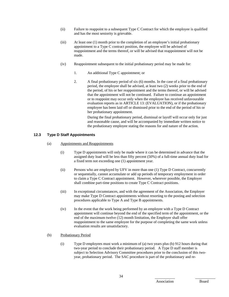- (ii) Failure to reappoint to a subsequent Type C Contract for which the employee is qualified and has the most seniority is grievable.
- (iii) At least one (1) month prior to the completion of an employee's initial probationary appointment to a Type C contract position, the employee will be advised of reappointment and the terms thereof, or will be advised that reappointment will not be made.
- (iv) Reappointment subsequent to the initial probationary period may be made for:
	- 1. An additional Type C appointment; or
	- 2. A final probationary period of six (6) months. In the case of a final probationary period, the employee shall be advised, at least two (2) weeks prior to the end of the period, of his or her reappointment and the terms thereof, or will be advised that the appointment will not be continued. Failure to continue an appointment or to reappoint may occur only when the employee has received unfavourable evaluation reports as in ARTICLE 13: (EVALUATION), or if the probationary employee has been laid off or dismissed prior to the end of the period of his or her probationary appointment.

During the final probationary period, dismissal or layoff will occur only for just and reasonable cause, and will be accompanied by immediate written notice to the probationary employee stating the reasons for and nature of the action.

## **12.3 Type D Staff Appointments**

- (a) Appointments and Reappointments
	- (i) Type D appointments will only be made where it can be determined in advance that the assigned duty load will be less than fifty percent (50%) of a full-time annual duty load for a fixed term not exceeding one (1) appointment year.
	- (ii) Persons who are employed by UFV in more than one (1) Type D Contract, concurrently or sequentially, cannot accumulate or add up periods of temporary employment in order to claim a Type C Contract appointment. However, wherever possible, the Employer shall combine part-time positions to create Type C Contract positions.
	- (iii) In exceptional circumstances, and with the agreement of the Association, the Employer may make Type D Contract appointments without resorting to the posting and selection procedures applicable to Type A and Type B appointments.
	- (iv) In the event that the work being performed by an employee with a Type D Contract appointment will continue beyond the end of the specified term of the appointment, or the end of the maximum twelve (12) month limitation, the Employer shall offer reappointment to the same employee for the purpose of completing the same work unless evaluation results are unsatisfactory.
- (b) Probationary Period
	- (i) Type D employees must work a minimum of (a) two years plus (b) 912 hours during that two-year period to conclude their probationary period. A Type D staff member is subject to Selection Advisory Committee procedures prior to the conclusion of this twoyear, probationary period. The SAC procedure is part of the probationary and re-

34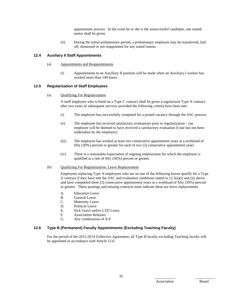appointment process. In the event he or she is the unsuccessful candidate, one month notice shall be given.

(ii) During the initial probationary period, a probationary employee may be transferred, laid off, dismissed or not reappointed for any stated reason.

#### **12.4 Auxiliary II Staff Appointments**

- (a) Appointments and Reappointments
	- (i) Appointments to an Auxiliary II position will be made when an Auxiliary I worker has worked more than 140 hours.

#### **12.5 Regularization of Staff Employees**

#### (a) Qualifying For Regularization

A staff employee who is hired on a Type C contract shall be given a regularized Type A contract after two years of subsequent services provided the following criteria have been met:

- (i) The employee has successfully competed for a posted vacancy through the SAC process.
- (ii) The employee has received satisfactory evaluations prior to regularization (an employee will be deemed to have received a satisfactory evaluation if one has not been undertaken by the employer).
- (iii) The employee has worked at least two consecutive appointment years at a workload of fifty (50%) percent or greater for each of two (2) consecutive appointment years
- (iv) There is a reasonable expectation of ongoing employment for which the employee is qualified at a rate of fifty (50%) percent or greater.

#### (b) Qualifying For Regularization: Leave Replacements

Employees replacing Type A employees who are on one of the following leaves qualify for a Type A contract if they have met the SAC and evaluation conditions stated in 12.5(a)(i) and (ii) above and have completed three (3) consecutive appointment years at a workload of fifty (50%) percent or greater. These postings and ensuing contracts must indicate these are leave replacements.

- A. Education Leave
- B. General Leave
- C. Maternity Leave
- D. Political Leave
- E. Sick Leave and/or LTD Leave
- F. Association Releases
- G. Any combination of A-F

# **12.6 Type B (Permanent) Faculty Appointments (Excluding Teaching Faculty)**

For the period of the 2012-2014 Collective Agreement, all Type B faculty excluding Teaching faculty will be appointed in accordance with Article 12.6.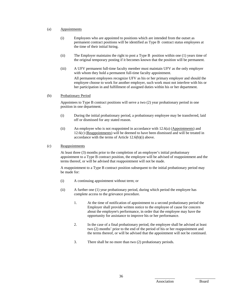#### (a) Appointments

- (i) Employees who are appointed to positions which are intended from the outset as permanent contract positions will be identified as Type B contract status employees at the time of their initial hiring.
- (ii) The Employer maintains the right to post a Type B position within one (1) years time of the original temporary posting if it becomes known that the position will be permanent.
- (iii) A UFV permanent full-time faculty member must maintain UFV as the only employer with whom they hold a permanent full-time faculty appointment. All permanent employees recognize UFV as his or her primary employer and should the

employee choose to work for another employer, such work must not interfere with his or her participation in and fulfillment of assigned duties within his or her department.

#### (b) Probationary Period

Appointees to Type B contract positions will serve a two (2) year probationary period in one position in one department.

- (i) During the initial probationary period, a probationary employee may be transferred, laid off or dismissed for any stated reason.
- (ii) An employee who is not reappointed in accordance with 12.6(a) (Appointments) and 12.6(c) (Reappointments) will be deemed to have been dismissed and will be treated in accordance with the terms of Article 12.6(b)(i) above.

## (c) Reappointments

At least three (3) months prior to the completion of an employee's initial probationary appointment to a Type B contract position, the employee will be advised of reappointment and the terms thereof, or will be advised that reappointment will not be made.

A reappointment to a Type B contract position subsequent to the initial probationary period may be made for:

- (i) A continuing appointment without term; or
- (ii) A further one (1) year probationary period, during which period the employee has complete access to the grievance procedure.
	- 1. At the time of notification of appointment to a second probationary period the Employer shall provide written notice to the employee of cause for concern about the employee's performance, in order that the employee may have the opportunity for assistance to improve his or her performance.
	- 2. In the case of a final probationary period, the employee shall be advised at least two (2) months' prior to the end of the period of his or her reappointment and the terms thereof, or will be advised that the appointment will not be continued.
	- 3. There shall be no more than two (2) probationary periods.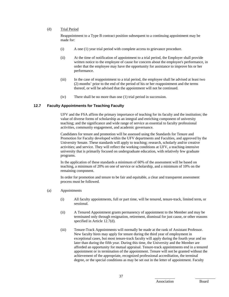#### (d) Trial Period

Reappointment to a Type B contract position subsequent to a continuing appointment may be made for:

- (i) A one (1) year trial period with complete access to grievance procedure.
- (ii) At the time of notification of appointment to a trial period, the Employer shall provide written notice to the employee of cause for concern about the employee's performance, in order that the employee may have the opportunity for assistance to improve his or her performance.
- (iii) In the case of reappointment to a trial period, the employee shall be advised at least two (2) months' prior to the end of the period of his or her reappointment and the terms thereof, or will be advised that the appointment will not be continued.
- (iv) There shall be no more than one (1) trial period in succession.

# **12.7 Faculty Appointments for Teaching Faculty**

UFV and the FSA affirm the primary importance of teaching for its faculty and the institution; the value of diverse forms of scholarship as an integral and enriching component of university teaching; and the significance and wide range of service as essential to faculty professional activities, community engagement, and academic governance.

Candidates for tenure and promotion will be assessed using the Standards for Tenure and Promotion for Faculty developed within the UFV departments and Faculties, and approved by the University Senate. These standards will apply to teaching; research, scholarly and/or creative activities; and service. They will reflect the working conditions at UFV, a teaching-intensive university that is primarily focused on undergraduate education, with relatively few graduate programs.

In the application of these standards a minimum of 60% of the assessment will be based on teaching, a minimum of 20% on one of service or scholarship, and a minimum of 10% on the remaining component.

In order for promotion and tenure to be fair and equitable, a clear and transparent assessment process must be followed.

- (a) Appointments
	- (i) All faculty appointments, full or part time, will be tenured, tenure-track, limited term, or sessional.
	- (ii) A Tenured Appointment grants permanency of appointment to the Member and may be terminated only through resignation, retirement, dismissal for just cause, or other reasons specified in Article 12.7(d).
	- (iii) Tenure-Track Appointments will normally be made at the rank of Assistant Professor. New faculty hires may apply for tenure during the third year of employment in exceptional cases, but most tenure-track faculty will apply during the fourth year and no later than during the fifth year. During this time, the University and the Member are afforded an opportunity for mutual appraisal. Tenure-track appointments end in a tenured appointment or in termination of the appointment. Tenure will not be granted without the achievement of the appropriate, recognized professional accreditation, the terminal degree, or the special conditions as may be set out in the letter of appointment. Faculty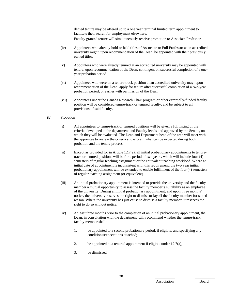denied tenure may be offered up to a one year terminal limited term appointment to facilitate their search for employment elsewhere. Faculty granted tenure will simultaneously receive promotion to Associate Professor.

- (iv) Appointees who already hold or held titles of Associate or Full Professor at an accredited university might, upon recommendation of the Dean, be appointed with their previously earned titles.
- (v) Appointees who were already tenured at an accredited university may be appointed with tenure, upon recommendation of the Dean, contingent on successful completion of a oneyear probation period.
- (vi) Appointees who were on a tenure-track position at an accredited university may, upon recommendation of the Dean, apply for tenure after successful completion of a two-year probation period, or earlier with permission of the Dean.
- (vii) Appointees under the Canada Research Chair program or other externally-funded faculty position will be considered tenure-track or tenured faculty, and be subject to all provisions of said faculty.

### (b) Probation

- (i) All appointees to tenure-track or tenured positions will be given a full listing of the criteria, developed at the department and Faculty levels and approved by the Senate, on which they will be evaluated. The Dean and Department head of the area will meet with the appointee to review the criteria and explain what can be expected during both probation and the tenure process.
- (ii) Except as provided for in Article 12.7(a), all initial probationary appointments to tenuretrack or tenured positions will be for a period of two years, which will include four (4) semesters of regular teaching assignment or the equivalent teaching workload. Where an initial date of appointment is inconsistent with this requirement, the two year initial probationary appointment will be extended to enable fulfillment of the four (4) semesters of regular teaching assignment (or equivalent).
- (iii) An initial probationary appointment is intended to provide the university and the faculty member a mutual opportunity to assess the faculty member's suitability as an employee of the university. During an initial probationary appointment, and upon three months' notice, the university reserves the right to dismiss or layoff the faculty member for stated reason. Where the university has just cause to dismiss a faculty member, it reserves the right to do so without notice.
- (iv) At least three months prior to the completion of an initial probationary appointment, the Dean, in consultation with the department, will recommend whether the tenure-track faculty member shall:
	- 1. be appointed to a second probationary period, if eligible, and specifying any conditions/expectations attached;
	- 2. be appointed to a tenured appointment if eligible under  $12.7(a)$ ;

38

3. be dismissed.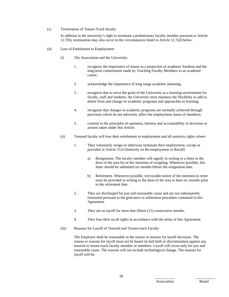#### (c) Termination of Tenure-Track faculty

In addition to the university's right to terminate a probationary faculty member pursuant to Article 12.7(b), termination may also occur in the circumstances listed in Article 12.7(d) below.

- (d) Loss of Entitlement to Employment
	- (i) The Association and the University:
		- 1. recognize the importance of tenure as a protection of academic freedom and the long-term commitment made by Teaching Faculty Members to an academic career;
		- 2. acknowledge the importance of long range academic planning;
		- 3. recognize that to serve the goals of the University as a learning environment for faculty, staff and students, the University must maintain the flexibility to add to, delete from and change its academic programs and approaches to learning;
		- 4. recognize that changes in academic programs are normally achieved through processes which do not adversely affect the employment status of members;
		- 5. commit to the principles of openness, fairness and accountability in decisions or actions taken under this Article.
	- (ii) Tenured faculty will lose their entitlement to employment and all seniority rights where:
		- 1. They voluntarily resign or otherwise terminate their employment, except as provided in Article 15.6 (Seniority on Re-employment or Recall)
			- a) Resignation. The faculty member will signify in writing in a letter to the dean of the area his or her intention of resigning. Whenever possible, this letter should be submitted six months before the resignation date.
			- b) Retirement. Whenever possible, irrevocable notice of the intention to retire must be provided in writing to the dean of the area at least six months prior to the retirement date.
		- 2. They are discharged for just and reasonable cause and are not subsequently reinstated pursuant to the grievance or arbitration procedure contained in this Agreement.
		- 3. They are on layoff for more that fifteen (15) consecutive months.
		- 4. They lose their recall rights in accordance with the terms of this Agreement.
	- (iii) Reasons for Layoff of Tenured and Tenure-track Faculty

The Employer shall be reasonable in the reason or reasons for layoff decisions. The reason or reasons for layoff must not be based on bad faith or discrimination against any tenured or tenure-track faculty member or members. Layoff will occur only for just and reasonable cause. The reasons will not include technological change. The reasons for layoff will be: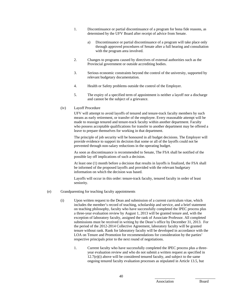- 1. Discontinuance or partial discontinuance of a program for bona fide reasons, as determined by the UFV Board after receipt of advice from Senate.
	- a) Discontinuance or partial discontinuance of a program will take place only through approved procedures of Senate after a full hearing and consultation with the program area involved.
- 2. Changes to programs caused by directives of external authorities such as the Provincial government or outside accrediting bodies.
- 3. Serious economic constraints beyond the control of the university, supported by relevant budgetary documentation.
- 4. Health or Safety problems outside the control of the Employer.
- 5. The expiry of a specified term of appointment is neither a layoff nor a discharge and cannot be the subject of a grievance.

#### (iv) Layoff Procedure

UFV will attempt to avoid layoffs of tenured and tenure-track faculty members by such means as early retirement, or transfer of the employee. Every reasonable attempt will be made to reassign tenured and tenure-track faculty within another department. Faculty who possess acceptable qualifications for transfer to another department may be offered a leave to prepare themselves for working in that department.

The principle of job security will be honoured in all budget decisions. The Employer will provide evidence to support its decision that some or all of the layoffs could not be prevented through non-salary reductions in the operating budget.

As soon as discontinuance is recommended to Senate, The FSA shall be notified of the possible lay off implications of such a decision.

At least one (1) month before a decision that results in layoffs is finalized, the FSA shall be informed of the proposed layoffs and provided with the relevant budgetary information on which the decision was based.

Layoffs will occur in this order: tenure-track faculty, tenured faculty in order of least seniority.

- (e) Grandparenting for teaching faculty appointments
	- (i) Upon written request to the Dean and submission of a current curriculum vitae, which includes the member's record of teaching, scholarship and service, and a brief statement on teaching philosophy, faculty who have successfully completed the IPEC process plus a three-year evaluation review by August 1, 2013 will be granted tenure and, with the exception of laboratory faculty, assigned the rank of Associate Professor. All completed submissions must be received in writing by the Dean's office by December 31, 2013. For the period of the 2012-2014 Collective Agreement, laboratory faculty will be granted tenure without rank. Rank for laboratory faculty will be developed in accordance with the LOA on Tenure and Promotion for recommendations for consideration by the parties' respective principals prior to the next round of negotiations.
		- 1. Current faculty who have successfully completed the IPEC process plus a threeyear evaluation review and who do not submit a written request as specified in  $12.7(e)(i)$  above will be considered tenured faculty, and subject to the same ongoing tenured faculty evaluation processes as stipulated in Article 13.5, but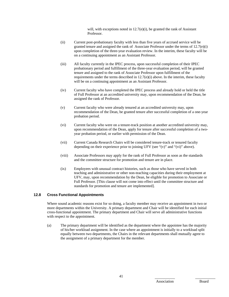will, with exceptions noted in  $12.7(e)(i)$ , be granted the rank of Assistant Professor.

- (ii) Current post-probationary faculty with less than five years of accrued service will be granted tenure and assigned the rank of Associate Professor under the terms of  $12.7(e)(i)$ upon completion of the three-year evaluation review. In the interim, these faculty will be on a continuing appointment as an Assistant Professor.
- (iii) All faculty currently in the IPEC process, upon successful completion of their IPEC probationary period and fulfillment of the three-year evaluation period, will be granted tenure and assigned to the rank of Associate Professor upon fulfillment of the requirements under the terms described in  $12.7(e)(i)$  above. In the interim, these faculty will be on a continuing appointment as an Assistant Professor.
- (iv) Current faculty who have completed the IPEC process and already hold or held the title of Full Professor at an accredited university may, upon recommendation of the Dean, be assigned the rank of Professor.
- (v) Current faculty who were already tenured at an accredited university may, upon recommendation of the Dean, be granted tenure after successful completion of a one-year probation period.
- (vi) Current faculty who were on a tenure-track position at another accredited university may, upon recommendation of the Dean, apply for tenure after successful completion of a twoyear probation period, or earlier with permission of the Dean.
- (vii) Current Canada Research Chairs will be considered tenure-track or tenured faculty depending on their experience prior to joining UFV (see "(v)" and "(vi)" above).
- (viii) Associate Professors may apply for the rank of Full Professor as soon as the standards and the committee structure for promotion and tenure are in place.
- (ix) Employees with unusual contract histories, such as those who have served in both teaching and administrative or other non-teaching capacities during their employment at UFV, may, upon recommendation by the Dean, be eligible for promotion to Associate or Full Professor. [This clause will not come into effect until the committee structure and standards for promotion and tenure are implemented].

## **12.8 Cross Functional Appointments**

Where sound academic reasons exist for so doing, a faculty member may receive an appointment in two or more departments within the University. A primary department and Chair will be identified for each initial cross-functional appointment. The primary department and Chair will serve all administrative functions with respect to the appointment.

(a) The primary department will be identified as the department where the appointee has the majority of his/her workload assignment. In the case where an appointment is initially to a workload split equally between two departments, the Chairs in the relevant departments shall mutually agree to the assignment of a primary department for the member.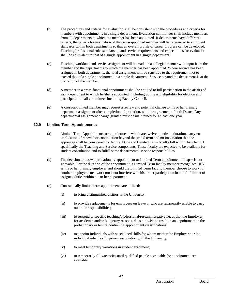- (b) The procedures and criteria for evaluation shall be consistent with the procedures and criteria for members with appointments in a single department. Evaluation committees shall include members from all departments to which the member has been appointed. If departments have different criteria, the criteria for evaluation of the cross-appointed member will be referenced to approved standards within both departments so that an overall profile of career progress can be developed. Teaching/professional role, scholarship and service requirements and expectations for evaluation shall be equivalent to that of a single appointment in a single department.
- (c) Teaching workload and service assignment will be made in a collegial manner with input from the member and the departments to which the member has been appointed. Where service has been assigned in both departments, the total assignment will be sensitive to the requirement not to exceed that of a single appointment in a single department. Service beyond the department is at the discretion of the member.
- (d) A member in a cross-functional appointment shall be entitled to full participation in the affairs of each department to which he/she is appointed, including voting and eligibility for election and participation in all committees including Faculty Council.
- (e) A cross-appointed member may request a review and potential change to his or her primary department assignment after completion of probation, with the agreement of both Deans. Any departmental assignment change granted must be maintained for at least one year.

## **12.9 Limited Term Appointments**

- (a) Limited Term Appointments are appointments which are twelve months in duration, carry no implication of renewal or continuation beyond the stated term and no implication that the appointee shall be considered for tenure. Duties of Limited Term faculty fall within Article 18.1, specifically the Teaching and Service components. These faculty are expected to be available for student consultation and to fulfill some departmental service responsibilities.
- (b) The decision to allow a probationary appointment or Limited Term appointment to lapse is not grievable. For the duration of the appointment, a Limited Term faculty member recognizes UFV as his or her primary employer and should the Limited Term faculty member choose to work for another employer, such work must not interfere with his or her participation in and fulfillment of assigned duties within his or her department.
- (c) Contractually limited term appointments are utilized:
	- (i) to bring distinguished visitors to the University;
	- (ii) to provide replacements for employees on leave or who are temporarily unable to carry out their responsibilities;
	- (iii) to respond to specific teaching/professional/research/creative needs that the Employer, for academic and/or budgetary reasons, does not wish to result in an appointment in the probationary or tenure/continuing appointment classifications;
	- (iv) to appoint individuals with specialized skills for whom neither the Employer nor the individual intends a long-term association with the University;
	- (v) to meet temporary variations in student enrolment;
	- (vi) to temporarily fill vacancies until qualified people acceptable for appointment are available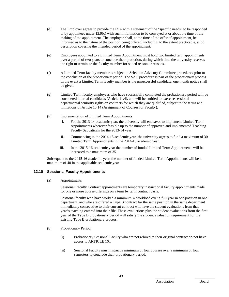- (d) The Employer agrees to provide the FSA with a statement of the "specific needs" to be responded to by appointees under 12.9(c) with such information to be conveyed at or about the time of the making of the appointment. The employee shall, at the time of the offer of appointment, be informed as to the nature of the position being offered, including, to the extent practicable, a job description covering the intended period of the appointment.
- (e) Employees appointed to a Limited Term Appointment must hold two limited term appointments over a period of two years to conclude their probation, during which time the university reserves the right to terminate the faculty member for stated reason or reasons.
- (f) A Limited Term faculty member is subject to Selection Advisory Committee procedures prior to the conclusion of the probationary period. The SAC procedure is part of the probationary process. In the event a Limited Term faculty member is the unsuccessful candidate, one month notice shall be given.
- (g) Limited Term faculty employees who have successfully completed the probationary period will be considered internal candidates (Article 11.4), and will be entitled to exercise sessional departmental seniority rights on contracts for which they are qualified, subject to the terms and limitations of Article 18.14 (Assignment of Courses for Faculty).
- (h) Implementation of Limited Term Appointments
	- i. For the 2013-14 academic year, the university will endeavor to implement Limited Term Appointments wherever feasible up to the number of approved and implemented Teaching Faculty Sabbaticals for the 2013-14 year.
	- ii. Commencing in the 2014-15 academic year, the university agrees to fund a maximum of 30 Limited Term Appointments in the 2014-15 academic year.
	- iii. In the 2015-16 academic year the number of funded Limited Term Appointments will be increased to a maximum of 35.

Subsequent to the 2015-16 academic year, the number of funded Limited Term Appointments will be a maximum of 40 in the applicable academic year

# **12.10 Sessional Faculty Appointments**

(a) Appointments

Sessional Faculty Contract appointments are temporary instructional faculty appointments made for one or more course offerings on a term by term contract basis.

Sessional faculty who have worked a minimum ¾ workload over a full year in one position in one department, and who are offered a Type B contract for the same position in the same department immediately consecutive to their current contract will have the student evaluations from that year's teaching entered into their file. These evaluations plus the student evaluations from the first year of the Type B probationary period will satisfy the student evaluation requirement for the existing Type B probationary process.

- (b) Probationary Period
	- (i) Probationary Sessional Faculty who are not rehired to their original contract do not have access to ARTICLE 16:.
	- (ii) Sessional Faculty must instruct a minimum of four courses over a minimum of four semesters to conclude their probationary period.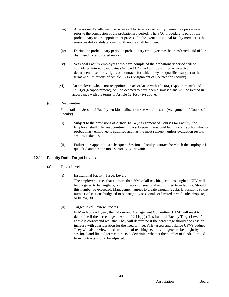- (iii) A Sessional Faculty member is subject to Selection Advisory Committee procedures prior to the conclusion of the probationary period. The SAC procedure is part of the probationary and re-appointment process. In the event a sessional faculty member is the unsuccessful candidate, one month notice shall be given.
- (iv) During the probationary period, a probationary employee may be transferred, laid off or dismissed for any stated reason.
- (v) Sessional Faculty employees who have completed the probationary period will be considered internal candidates (Article 11.4), and will be entitled to exercise departmental seniority rights on contracts for which they are qualified, subject to the terms and limitations of Article 18.14 (Assignment of Courses for Faculty).
- (vi) An employee who is not reappointed in accordance with 12.10(a) (Appointments) and 12.10(c) (Reappointment), will be deemed to have been dismissed and will be treated in accordance with the terms of Article 12.10(b)(iv) above.

#### (c) Reappointment

For details on Sessional Faculty workload allocation see Article 18.14 (Assignment of Courses for Faculty).

- (i) Subject to the provisions of Article 18.14 (Assignment of Courses for Faculty) the Employer shall offer reappointment to a subsequent sessional faculty contract for which a probationary employee is qualified and has the most seniority unless evaluation results are unsatisfactory.
- (ii) Failure to reappoint to a subsequent Sessional Faculty contract for which the employee is qualified and has the most seniority is grievable.

#### **12.11 Faculty Ratio Target Levels**

#### (a) Target Levels

(i) Institutional Faculty Target Levels

The employer agrees that no more than 30% of all teaching sections taught at UFV will be budgeted to be taught by a combination of sessional and limited term faculty. Should this number be exceeded, Management agrees to create enough regular B positions so the number of sections budgeted to be taught by sessionals or limited term faculty drops to, or below, 30%.

(ii) Target Level Review Process

In March of each year, the Labour and Management Committee (LAM) will meet to determine if the percentage in Article  $12.11(a)(i)$  (Institutional Faculty Target Levels) above is correct and realistic. They will determine if the percentage should decrease or increase with consideration for the need to meet FTE targets and balance UFV's budget. They will also review the distribution of teaching sections budgeted to be taught by sessional and limited term contracts to determine whether the number of funded limited term contracts should be adjusted.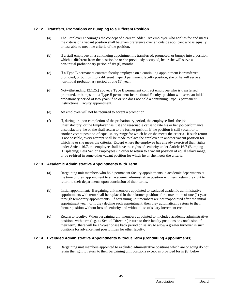## **12.12 Transfers, Promotions or Bumping to a Different Position**

- (a) The Employer encourages the concept of a career ladder. An employee who applies for and meets the criteria of a vacant position shall be given preference over an outside applicant who is equally or less able to meet the criteria of the position.
- (b) If a staff employee on a continuing appointment is transferred, promoted, or bumps into a position which is different from the position he or she previously occupied, he or she will serve a non-initial probationary period of six (6) months.
- (c) If a Type B permanent contract faculty employee on a continuing appointment is transferred, promoted, or bumps into a different Type B permanent faculty position, she or he will serve a non-initial probationary period of one (1) year.
- (d) Notwithstanding 12.12(c) above, a Type B permanent contract employee who is transferred, promoted, or bumps into a Type B permanent Instructional Faculty position will serve an initial probationary period of two years if he or she does not hold a continuing Type B permanent Instructional Faculty appointment.
- (e) An employee will not be required to accept a promotion.
- (f) If, during or upon completion of the probationary period, the employee finds the job unsatisfactory, or the Employer has just and reasonable cause to rate his or her job performance unsatisfactory, he or she shall return to the former position if the position is still vacant or to another vacant position of equal salary range for which he or she meets the criteria. If such return is not possible, every attempt shall be made to place the employee in another vacant position for which he or she meets the criteria. Except where the employee has already exercised their rights under Article 16.7, the employee shall have the rights of seniority under Article 16.7 (Bumping (Displacing) Less Senior Employees) in order to return to a vacant position of equal salary range, or be re-hired in some other vacant position for which he or she meets the criteria.

#### **12.13 Academic Administrative Appointments With Term**

- (a) Bargaining unit members who hold permanent faculty appointments in academic departments at the time of their appointment to an academic administrative position with term retain the right to return to their departments upon conclusion of their terms.
- (b) Initial appointment: Bargaining unit members appointed to excluded academic administrative appointments with term shall be replaced in their former positions for a maximum of one (1) year through temporary appointments. If bargaining unit members are not reappointed after the initial appointment year., or if they decline such appointment, then they automatically return to their former position without loss of seniority and without loss of salary increment credit.
- (c) Return to faculty: When bargaining unit members appointed to included academic administrative positions with term (e.g. as School Directors) return to their faculty positions on conclusion of their term, there will be a 5-year phase back period on salary to allow a greater turnover in such positions for advancement possibilities for other faculty.

# **12.14 Excluded Administrative Appointments Without Term (Continuing Appointments)**

(a) Bargaining unit members appointed to excluded administrative positions which are ongoing do not retain the right to return to their bargaining unit positions except as provided for in (b) below.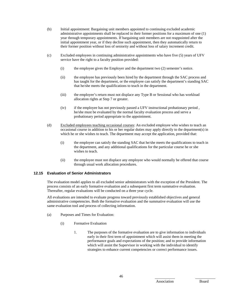- (b) Initial appointment: Bargaining unit members appointed to continuing excluded academic administrative appointments shall be replaced in their former positions for a maximum of one (1) year through temporary appointments. If bargaining unit members are not reappointed after the initial appointment year, or if they decline such appointment, then they automatically return to their former position without loss of seniority and without loss of salary increment credit.
- (c) Excluded employees in continuing administrative appointments who have five (5) years of UFV service have the right to a faculty position provided:
	- (i) the employee gives the Employer and the department two (2) semester's notice.
	- (ii) the employee has previously been hired by the department through the SAC process and has taught for the department, or the employee can satisfy the department's standing SAC that he/she meets the qualifications to teach in the department.
	- (iii) the employee's return must not displace any Type B or Sessional who has workload allocation rights at Step 7 or greater.
	- (iv) if the employee has not previously passed a UFV instructional probationary period , he/she must be evaluated by the normal faculty evaluation process and serve a probationary period appropriate to the appointment.
- (d) Excluded employees teaching occasional courses: An excluded employee who wishes to teach an occasional course in addition to his or her regular duties may apply directly to the department(s) in which he or she wishes to teach. The department may accept the application, provided that:
	- (i) the employee can satisfy the standing SAC that he/she meets the qualifications to teach in the department, and any additional qualifications for the particular course he or she wishes to teach.
	- (ii) the employee must not displace any employee who would normally be offered that course through usual work allocation procedures.

#### **12.15 Evaluation of Senior Administrators**

The evaluation model applies to all excluded senior administrators with the exception of the President. The process consists of an early formative evaluation and a subsequent first term summative evaluation. Thereafter, regular evaluations will be conducted on a three year cycle.

All evaluations are intended to evaluate progress toward previously established objectives and general administrative competencies. Both the formative evaluation and the summative evaluation will use the same evaluation tool and process of collecting information.

- (a) Purposes and Times for Evaluation:
	- (i) Formative Evaluation
		- 1. The purposes of the formative evaluation are to give information to individuals early in their first term of appointment which will assist them in meeting the performance goals and expectations of the position; and to provide information which will assist the Supervisor in working with the individual to identify strategies to enhance current competencies or correct performance issues.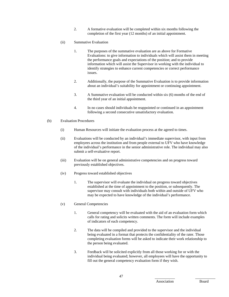- 2. A formative evaluation will be completed within six months following the completion of the first year (12 months) of an initial appointment.
- (ii) Summative Evaluation
	- 1. The purposes of the summative evaluation are as above for Formative Evaluations: to give information to individuals which will assist them in meeting the performance goals and expectations of the position; and to provide information which will assist the Supervisor in working with the individual to identify strategies to enhance current competencies or correct performance issues.
	- 2. Additionally, the purpose of the Summative Evaluation is to provide information about an individual's suitability for appointment or continuing appointment.
	- 3. A Summative evaluation will be conducted within six (6) months of the end of the third year of an initial appointment.
	- 4. In no cases should individuals be reappointed or continued in an appointment following a second consecutive unsatisfactory evaluation.
- (b) Evaluation Procedures
	- (i) Human Resources will initiate the evaluation process at the agreed to times.
	- (ii) Evaluations will be conducted by an individual's immediate supervisor, with input from employees across the institution and from people external to UFV who have knowledge of the individual's performance in the senior administrative role. The individual may also submit a self-evaluative report.
	- (iii) Evaluation will be on general administrative competencies and on progress toward previously established objectives.
	- (iv) Progress toward established objectives
		- 1. The supervisor will evaluate the individual on progress toward objectives established at the time of appointment to the position, or subsequently. The supervisor may consult with individuals both within and outside of UFV who may be expected to have knowledge of the individual's performance.
	- (v) General Competencies
		- 1. General competency will be evaluated with the aid of an evaluation form which calls for rating and solicits written comments. The form will include examples of indicators of each competency.
		- 2. The data will be compiled and provided to the supervisor and the individual being evaluated in a format that protects the confidentiality of the rater. Those completing evaluation forms will be asked to indicate their work relationship to the person being evaluated.
		- 3. Feedback will be solicited explicitly from all those working for or with the individual being evaluated; however, all employees will have the opportunity to fill out the general competency evaluation form if they wish.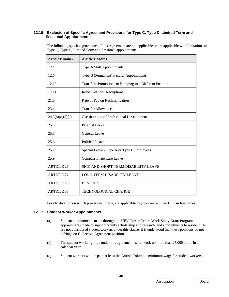# **12.16 Exclusion of Specific Agreement Provisions for Type C, Type D, Limited Term and Sessional Appointments**

The following specific provisions of this Agreement are not applicable or are applicable with limitations to Type C, Type D, Limited Term and Sessional appointments.

| <b>Article Number</b> | <b>Article Heading</b>                                   |
|-----------------------|----------------------------------------------------------|
| 12.1                  | Type A Staff Appointments                                |
| 12.6                  | Type B (Permanent) Faculty Appointments                  |
| 12.12                 | Transfers, Promotions or Bumping to a Different Position |
| 17.11                 | Review of Job Descriptions                               |
| 21.6                  | Rate of Pay on Reclassification                          |
| 23.4                  | <b>Transfer Allowances</b>                               |
| 24.3(b)(c)(d)(e)      | <b>Classification of Professional Development</b>        |
| 25.3                  | <b>Parental Leave</b>                                    |
| 25.5                  | <b>General Leave</b>                                     |
| 25.6                  | <b>Political Leave</b>                                   |
| 25.7                  | Special Leave - Type A or Type B Employees               |
| 25.9                  | Compassionate Care Leave                                 |
| <b>ARTICLE 26:</b>    | SICK AND SHORT-TERM DISABILITY LEAVE                     |
| <b>ARTICLE 27:</b>    | LONG-TERM DISABILITY LEAVE                               |
| <b>ARTICLE 28:</b>    | <b>BENEFITS</b>                                          |
| <b>ARTICLE 33:</b>    | <b>TECHNOLOGICAL CHANGE</b>                              |

For clarification on which provisions, if any, are applicable to your contract, see Human Resources.

#### **12.17 Student Worker Appointments**

- (a) Student appointments made through the UFV Career Centre Work Study Grant Program, appointments made to support faculty scholarship and research, and appointments to resident life are not considered student workers under this clause. It is understood that these positions do not infringe on Collective Agreement positions.
- (b) The student worker group, under this agreement, shall work no more than 25,000 hours in a calendar year.
- (c) Student workers will be paid at least the British Columbia minimum wage for student workers.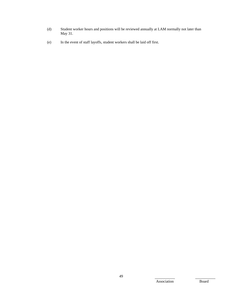- (d) Student worker hours and positions will be reviewed annually at LAM normally not later than May 31.
- (e) In the event of staff layoffs, student workers shall be laid off first.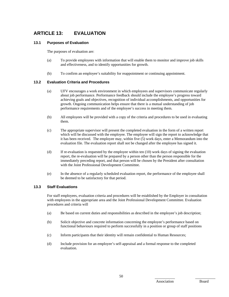# **ARTICLE 13: EVALUATION**

## **13.1 Purposes of Evaluation**

The purposes of evaluation are:

- (a) To provide employees with information that will enable them to monitor and improve job skills and effectiveness, and to identify opportunities for growth.
- (b) To confirm an employee's suitability for reappointment or continuing appointment.

#### **13.2 Evaluation Criteria and Procedures**

- (a) UFV encourages a work environment in which employees and supervisors communicate regularly about job performance. Performance feedback should include the employee's progress toward achieving goals and objectives, recognition of individual accomplishments, and opportunities for growth. Ongoing communication helps ensure that there is a mutual understanding of job performance requirements and of the employee's success in meeting them.
- (b) All employees will be provided with a copy of the criteria and procedures to be used in evaluating them.
- (c) The appropriate supervisor will present the completed evaluation in the form of a written report which will be discussed with the employee. The employee will sign the report to acknowledge that it has been received. The employee may, within five (5) work days, enter a Memorandum into the evaluation file. The evaluation report shall not be changed after the employee has signed it.
- (d) If re-evaluation is requested by the employee within ten (10) work days of signing the evaluation report, the re-evaluation will be prepared by a person other than the person responsible for the immediately preceding report, and that person will be chosen by the President after consultation with the Joint Professional Development Committee.
- (e) In the absence of a regularly scheduled evaluation report, the performance of the employee shall be deemed to be satisfactory for that period.

# **13.3 Staff Evaluations**

For staff employees, evaluation criteria and procedures will be established by the Employer in consultation with employees in the appropriate area and the Joint Professional Development Committee. Evaluation procedures and criteria will

- (a) Be based on current duties and responsibilities as described in the employee's job description;
- (b) Solicit objective and concrete information concerning the employee's performance based on functional behaviours required to perform successfully in a position or group of staff positions
- (c) Inform participants that their identity will remain confidential to Human Resources;
- (d) Include provision for an employee's self-appraisal and a formal response to the completed evaluation.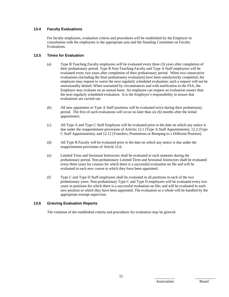# **13.4 Faculty Evaluations**

For faculty employees, evaluation criteria and procedures will be established by the Employer in consultation with the employees in the appropriate area and the Standing Committee on Faculty Evaluations.

## **13.5 Times for Evaluation**

- (a) Type B Teaching Faculty employees will be evaluated every three (3) years after completion of their probationary period. Type B Non-Teaching Faculty and Type A Staff employees will be evaluated every two years after completion of their probationary period. When two consecutive evaluations (including the final probationary evaluation) have been satisfactorily completed, the employee may request to waive the next regularly scheduled evaluation; such a request will not be unreasonably denied. When warranted by circumstances and with notification to the FSA, the Employer may evaluate on an annual basis. An employee can request an evaluation sooner than the next regularly scheduled evaluation. It is the Employer's responsibility to ensure that evaluations are carried out.
- (b) All new appointees to Type A Staff positions will be evaluated twice during their probationary period. The first of such evaluations will occur no later than six (6) months after the initial appointment.
- (c) All Type A and Type C Staff Employee will be evaluated prior to the date on which any notice is due under the reappointment provisions of Articles 12.1 (Type A Staff Appointments), 12.2 (Type C Staff Appointments), and 12.12 (Transfers, Promotions or Bumping to a Different Position).
- (d) All Type B Faculty will be evaluated prior to the date on which any notice is due under the reappointment provisions of Article 12.6.
- (e) Limited Term and Sessional Instructors shall be evaluated in each semester during the probationary period. Non-probationary Limited Term and Sessional Instructors shall be evaluated every three years for courses for which there is a successful evaluation on file and will be evaluated in each new course to which they have been appointed.
- (f) Type C and Type D Staff employees shall be evaluated in all positions in each of the two probationary years. Non-probationary Type C and Type D employees will be evaluated every two years in positions for which there is a successful evaluation on file; and will be evaluated in each new position to which they have been appointed. The evaluation as a whole will be handled by the appropriate exempt supervisor.

# **13.6 Grieving Evaluation Reports**

The violation of the established criteria and procedures for evaluation may be grieved.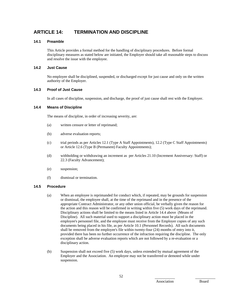# **ARTICLE 14: TERMINATION AND DISCIPLINE**

## **14.1 Preamble**

This Article provides a formal method for the handling of disciplinary procedures. Before formal disciplinary measures as stated below are initiated, the Employer should take all reasonable steps to discuss and resolve the issue with the employee.

## **14.2 Just Cause**

No employee shall be disciplined, suspended, or discharged except for just cause and only on the written authority of the Employer.

# **14.3 Proof of Just Cause**

In all cases of discipline, suspension, and discharge, the proof of just cause shall rest with the Employer.

## **14.4 Means of Discipline**

The means of discipline, in order of increasing severity, are:

- (a) written censure or letter of reprimand;
- (b) adverse evaluation reports;
- (c) trial periods as per Articles 12.1 (Type A Staff Appointments), 12.2 (Type C Staff Appointments) or Article 12.6 (Type B (Permanent) Faculty Appointments);
- (d) withholding or withdrawing an increment as per Articles 21.10 (Increment Anniversary: Staff) or 22.3 (Faculty Advancement);
- (e) suspension;
- (f) dismissal or termination.

#### **14.5 Procedure**

- (a) When an employee is reprimanded for conduct which, if repeated, may be grounds for suspension or dismissal, the employee shall, at the time of the reprimand and in the presence of the appropriate Contract Administrator, or any other union official, be verbally given the reason for the action and this reason will be confirmed in writing within five (5) work days of the reprimand. Disciplinary actions shall be limited to the means listed in Article 14.4 above (Means of Discipline). All such material used to support a disciplinary action must be placed in the employee's personnel file, and the employee must receive from the Employer copies of any such documents being placed in his file, as per Article 10.1 (Personnel Records). All such documents shall be removed from the employee's file within twenty-four (24) months of entry into it, provided there has been no further occurrence of the infraction requiring the discipline. The only exception shall be adverse evaluation reports which are not followed by a re-evaluation or a disciplinary action.
- (b) Suspension shall not exceed five (5) work days, unless extended by mutual agreement of the Employer and the Association. An employee may not be transferred or demoted while under suspension.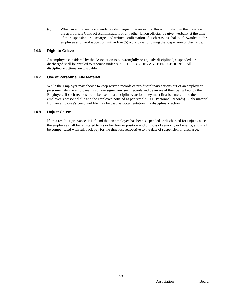(c) When an employee is suspended or discharged, the reason for this action shall, in the presence of the appropriate Contract Administrator, or any other Union official, be given verbally at the time of the suspension or discharge, and written confirmation of such reasons shall be forwarded to the employee and the Association within five (5) work days following the suspension or discharge.

#### **14.6 Right to Grieve**

An employee considered by the Association to be wrongfully or unjustly disciplined, suspended, or discharged shall be entitled to recourse under ARTICLE 7: (GRIEVANCE PROCEDURE). All disciplinary actions are grievable.

## **14.7 Use of Personnel File Material**

While the Employer may choose to keep written records of pre-disciplinary actions out of an employee's personnel file, the employee must have signed any such records and be aware of their being kept by the Employer. If such records are to be used in a disciplinary action, they must first be entered into the employee's personnel file and the employee notified as per Article 10.1 (Personnel Records). Only material from an employee's personnel file may be used as documentation in a disciplinary action.

## **14.8 Unjust Cause**

If, as a result of grievance, it is found that an employee has been suspended or discharged for unjust cause, the employee shall be reinstated to his or her former position without loss of seniority or benefits, and shall be compensated with full back pay for the time lost retroactive to the date of suspension or discharge.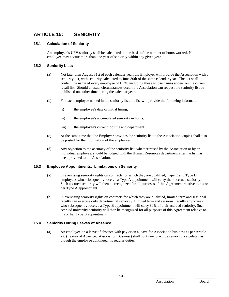# **ARTICLE 15: SENIORITY**

## **15.1 Calculation of Seniority**

An employee's UFV seniority shall be calculated on the basis of the number of hours worked. No employee may accrue more than one year of seniority within any given year.

## **15.2 Seniority Lists**

- (a) Not later than August 31st of each calendar year, the Employer will provide the Association with a seniority list, with seniority calculated to June 30th of the same calendar year. The list shall contain the name of every employee of UFV, including those whose names appear on the current recall list. Should unusual circumstances occur, the Association can request the seniority list be published one other time during the calendar year.
- (b) For each employee named in the seniority list, the list will provide the following information:
	- (i) the employee's date of initial hiring;
	- (ii) the employee's accumulated seniority in hours;
	- (iii) the employee's current job title and department;
- (c) At the same time that the Employer provides the seniority list to the Association, copies shall also be posted for the information of the employees.
- (d) Any objection to the accuracy of the seniority list, whether raised by the Association or by an individual employee, should be lodged with the Human Resources department after the list has been provided to the Association.

#### **15.3 Employee Appointments: Limitations on Seniority**

- (a) In exercising seniority rights on contracts for which they are qualified, Type C and Type D employees who subsequently receive a Type A appointment will carry their accrued seniority. Such accrued seniority will then be recognized for all purposes of this Agreement relative to his or her Type A appointment.
- (b) In exercising seniority rights on contracts for which they are qualified, limited term and sessional faculty can exercise only departmental seniority. Limited term and sessional faculty employees who subsequently receive a Type B appointment will carry 80% of their accrued seniority. Such accrued university seniority will then be recognized for all purposes of this Agreement relative to his or her Type B appointment.

## **15.4 Seniority During Leaves of Absence**

(a) An employee on a leave of absence with pay or on a leave for Association business as per Article 2.6 (Leaves of Absence: Association Business) shall continue to accrue seniority, calculated as though the employee continued his regular duties.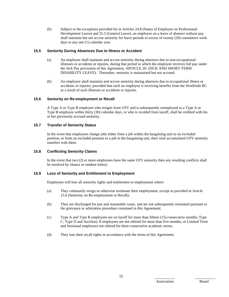(b) Subject to the exceptions provided for in Articles 24.8 (Status of Employee on Professional Development Leave) and 25.5 (General Leave), an employee on a leave of absence without pay shall maintain but not accrue seniority for leave periods in excess of twenty (20) cumulative work days in any one (1) calendar year.

## **15.5 Seniority During Absences Due to Illness or Accident**

- (a) An employee shall maintain and accrue seniority during absences due to non-occupational illnesses or accidents or injuries, during that period in which the employee receives full pay under the Sick Pay provisions of this Agreement, ARTICLE 26: (SICK AND SHORT-TERM DISABILITY LEAVE). Thereafter, seniority is maintained but not accrued.
- (b) An employee shall maintain and accrue seniority during absences due to occupational illness or accidents or injuries, provided that such an employee is receiving benefits from the WorkSafe BC as a result of such illnesses or accidents or injuries.

# **15.6 Seniority on Re-employment or Recall**

A Type A or Type B employee who resigns from UFV and is subsequently reemployed as a Type A or Type B employee within thirty (30) calendar days, or who is recalled from layoff, shall be credited with his or her previously accrued seniority.

## **15.7 Transfer of Seniority Status**

In the event that employees change jobs either from a job within the bargaining unit to an excluded position, or from an excluded position to a job in the bargaining unit, their total accumulated UFV seniority transfers with them.

# **15.8 Conflicting Seniority Claims**

In the event that two (2) or more employees have the same UFV seniority then any resulting conflicts shall be resolved by chance or random lottery.

# **15.9 Loss of Seniority and Entitlement to Employment**

Employees will lose all seniority rights and entitlement to employment where:

- (a) They voluntarily resign or otherwise terminate their employment, except as provided in Article 15.6 (Seniority on Re-employment or Recall);
- (b) They are discharged for just and reasonable cause, and are not subsequently reinstated pursuant to the grievance or arbitration procedure contained in this Agreement;
- (c) Type A and Type B employees are on layoff for more than fifteen (15) consecutive months; Type C, Type D and Auxiliary II employees are not rehired for more than five months; or Limited Term and Sessional employees not rehired for three consecutive academic terms;
- (d) They lose their recall rights in accordance with the terms of this Agreement.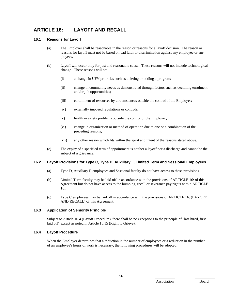# **ARTICLE 16: LAYOFF AND RECALL**

## **16.1 Reasons for Layoff**

- (a) The Employer shall be reasonable in the reason or reasons for a layoff decision. The reason or reasons for layoff must not be based on bad faith or discrimination against any employee or employees.
- (b) Layoff will occur only for just and reasonable cause. These reasons will not include technological change. These reasons will be:
	- (i) a change in UFV priorities such as deleting or adding a program;
	- (ii) change in community needs as demonstrated through factors such as declining enrolment and/or job opportunities;
	- (iii) curtailment of resources by circumstances outside the control of the Employer;
	- (iv) externally imposed regulations or controls;
	- (v) health or safety problems outside the control of the Employer;
	- (vi) change in organization or method of operation due to one or a combination of the preceding reasons;
	- (vii) any other reason which fits within the spirit and intent of the reasons stated above.
- (c) The expiry of a specified term of appointment is neither a layoff nor a discharge and cannot be the subject of a grievance.

#### **16.2 Layoff Provisions for Type C, Type D, Auxiliary II, Limited Term and Sessional Employees**

- (a) Type D, Auxiliary II employees and Sessional faculty do not have access to these provisions.
- (b) Limited Term faculty may be laid off in accordance with the provisions of ARTICLE 16: of this Agreement but do not have access to the bumping, recall or severance pay rights within ARTICLE 16:.
- (c) Type C employees may be laid off in accordance with the provisions of ARTICLE 16: (LAYOFF AND RECALL) of this Agreement.

## **16.3 Application of Seniority Principle**

Subject to Article 16.4 (Layoff Procedure), there shall be no exceptions to the principle of "last hired, first laid off" except as noted in Article 16.15 (Right to Grieve).

## **16.4 Layoff Procedure**

When the Employer determines that a reduction in the number of employees or a reduction in the number of an employee's hours of work is necessary, the following procedures will be adopted: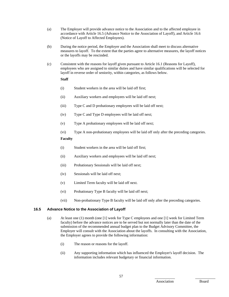- (a) The Employer will provide advance notice to the Association and to the affected employee in accordance with Article 16.5 (Advance Notice to the Association of Layoff), and Article 16.6 (Notice of Layoff to Affected Employees).
- (b) During the notice period, the Employer and the Association shall meet to discuss alternative measures to layoff. To the extent that the parties agree to alternative measures, the layoff notices or the layoffs may be rescinded.
- (c) Consistent with the reasons for layoff given pursuant to Article 16.1 (Reasons for Layoff), employees who are assigned to similar duties and have similar qualifications will be selected for layoff in reverse order of seniority, within categories, as follows below.

#### **Staff**

- (i) Student workers in the area will be laid off first;
- (ii) Auxiliary workers and employees will be laid off next;
- (iii) Type C and D probationary employees will be laid off next;
- (iv) Type C and Type D employees will be laid off next;
- (v) Type A probationary employees will be laid off next;
- (vi) Type A non-probationary employees will be laid off only after the preceding categories.

#### **Faculty**

- (i) Student workers in the area will be laid off first;
- (ii) Auxiliary workers and employees will be laid off next;
- (iii) Probationary Sessionals will be laid off next;
- (iv) Sessionals will be laid off next;
- (v) Limited Term faculty will be laid off next.
- (vi) Probationary Type B faculty will be laid off next;
- (vii) Non-probationary Type B faculty will be laid off only after the preceding categories.

#### **16.5 Advance Notice to the Association of Layoff**

- (a) At least one (1) month (one [1] week for Type C employees and one [1] week for Limited Term faculty) before the advance notices are to be served but not normally later than the date of the submission of the recommended annual budget plan to the Budget Advisory Committee, the Employer will consult with the Association about the layoffs. In consulting with the Association, the Employer agrees to provide the following information:
	- (i) The reason or reasons for the layoff.
	- (ii) Any supporting information which has influenced the Employer's layoff decision. The information includes relevant budgetary or financial information.

57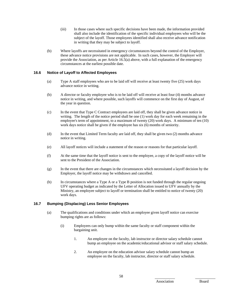- (iii) In those cases where such specific decisions have been made, the information provided shall also include the identification of the specific individual employees who will be the subject of the layoff. Those employees identified shall also receive advance notification in writing that they may be subject to layoff.
- (b) Where layoffs are necessitated in emergency circumstances beyond the control of the Employer, these advance notice provisions are not applicable. In such cases, however, the Employer will provide the Association, as per Article 16.5(a) above, with a full explanation of the emergency circumstances at the earliest possible date.

### **16.6 Notice of Layoff to Affected Employees**

- (a) Type A staff employees who are to be laid off will receive at least twenty five (25) work days advance notice in writing.
- (b) A director or faculty employee who is to be laid off will receive at least four (4) months advance notice in writing, and where possible, such layoffs will commence on the first day of August, of the year in question.
- (c) In the event that Type C Contract employees are laid off, they shall be given advance notice in writing. The length of the notice period shall be one (1) work day for each week remaining in the employee's term of appointment, to a maximum of twenty (20) work days. A minimum of ten (10) work days notice shall be given if the employee has six (6) months of seniority.
- (d) In the event that Limited Term faculty are laid off, they shall be given two (2) months advance notice in writing.
- (e) All layoff notices will include a statement of the reason or reasons for that particular layoff.
- (f) At the same time that the layoff notice is sent to the employee, a copy of the layoff notice will be sent to the President of the Association.
- (g) In the event that there are changes in the circumstances which necessitated a layoff decision by the Employer, the layoff notice may be withdrawn and cancelled.
- (h) In circumstances where a Type A or a Type B position is not funded through the regular ongoing UFV operating budget as indicated by the Letter of Allocation issued to UFV annually by the Ministry, an employee subject to layoff or termination shall be entitled to notice of twenty (20) work days.

#### **16.7 Bumping (Displacing) Less Senior Employees**

- (a) The qualifications and conditions under which an employee given layoff notice can exercise bumping rights are as follows:
	- (i) Employees can only bump within the same faculty or staff component within the bargaining unit.
		- 1. An employee on the faculty, lab instructor or director salary schedule cannot bump an employee on the academic/educational advisor or staff salary schedule.
		- 2. An employee on the education advisor salary schedule cannot bump an employee on the faculty, lab instructor, director or staff salary schedule.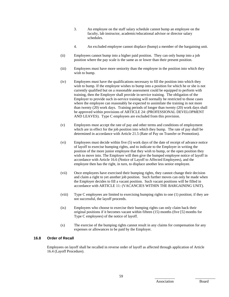- 3. An employee on the staff salary schedule cannot bump an employee on the faculty, lab instructor, academic/educational advisor or director salary schedules.
- 4. An excluded employee cannot displace (bump) a member of the bargaining unit.
- (ii) Employees cannot bump into a higher paid position. They can only bump into a job position where the pay scale is the same as or lower than their present position.
- (iii) Employees must have more seniority than the employee in the position into which they wish to bump.
- (iv) Employees must have the qualifications necessary to fill the position into which they wish to bump. If the employee wishes to bump into a position for which he or she is not currently qualified but on a reasonable assessment could be equipped to perform with training, then the Employer shall provide in-service training. The obligation of the Employer to provide such in-service training will normally be restricted to those cases where the employee can reasonably be expected to assimilate the training in not more than twenty (20) work days. Training periods of longer than twenty (20) work days shall be approved within provisions of ARTICLE 24: (PROFESSIONAL DEVELOPMENT AND LEAVES). Type C employees are excluded from this provision.
- (v) Employees must accept the rate of pay and other terms and conditions of employment which are in effect for the job position into which they bump. The rate of pay shall be determined in accordance with Article 21.5 (Rate of Pay on Transfer or Promotion).
- (vi) Employees must decide within five (5) work days of the date of receipt of advance notice of layoff to exercise bumping rights, and to indicate to the Employer in writing the position of the more junior employee that they wish to bump, or the open position they wish to move into. The Employer will then give the bumped employee notice of layoff in accordance with Article 16.6 (Notice of Layoff to Affected Employees), and the employee then has the right, in turn, to displace another less senior employee.
- (vii) Once employees have exercised their bumping rights, they cannot change their decision and claim a right to yet another job position. Such further moves can only be made when the Employer decides to fill a vacant position. Such vacant positions will be filled in accordance with ARTICLE 11: (VACANCIES WITHIN THE BARGAINING UNIT).
- (viii) Type C employees are limited to exercising bumping rights to one (1) position; if they are not successful, the layoff proceeds.
- (ix) Employees who choose to exercise their bumping rights can only claim back their original positions if it becomes vacant within fifteen (15) months (five [5] months for Type C employees) of the notice of layoff.
- (x) The exercise of the bumping rights cannot result in any claims for compensation for any expenses or allowances to be paid by the Employer.

#### **16.8 Order of Recall**

Employees on layoff shall be recalled in reverse order of layoff as affected through application of Article 16.4 (Layoff Procedure).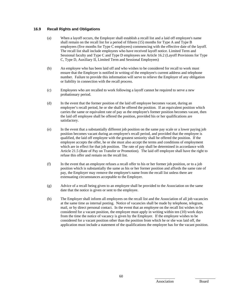## **16.9 Recall Rights and Obligations**

- (a) When a layoff occurs, the Employer shall establish a recall list and a laid off employee's name shall remain on the recall list for a period of fifteen (15) months for Type A and Type B employees (five months for Type C employees) commencing with the effective date of the layoff. The recall list shall include employees who have received layoff notice. Limited Term and Sessional faculty and Type C and Type D employees see Article 16.2 (Layoff Provisions for Type C, Type D, Auxiliary II, Limited Term and Sessional Employees)
- (b) An employee who has been laid off and who wishes to be considered for recall to work must ensure that the Employer is notified in writing of the employee's current address and telephone number. Failure to provide this information will serve to relieve the Employer of any obligation or liability in connection with the recall process.
- (c) Employees who are recalled to work following a layoff cannot be required to serve a new probationary period.
- (d) In the event that the former position of the laid off employee becomes vacant, during an employee's recall period, he or she shall be offered the position. If an equivalent position which carries the same or equivalent rate of pay as the employee's former position becomes vacant, then the laid off employee shall be offered the position, provided his or her qualifications are satisfactory.
- (e) In the event that a substantially different job position on the same pay scale or a lower paying job position becomes vacant during an employee's recall period, and provided that the employee is qualified, the laid off employee with the greatest seniority shall be offered the position. If the employee accepts the offer, he or she must also accept the terms and conditions of employment which are in effect for that job position. The rate of pay shall be determined in accordance with Article 21.5 (Rate of Pay on Transfer or Promotion). The laid off employee shall have the right to refuse this offer and remain on the recall list.
- (f) In the event that an employee refuses a recall offer to his or her former job position, or to a job position which is substantially the same as his or her former position and affords the same rate of pay, the Employer may remove the employee's name from the recall list unless there are extenuating circumstances acceptable to the Employer.
- (g) Advice of a recall being given to an employee shall be provided to the Association on the same date that the notice is given or sent to the employee.
- (h) The Employer shall inform all employees on the recall list and the Association of all job vacancies at the same time as internal posting. Notice of vacancies shall be made by telephone, telegram, mail, or by direct personal contact. In the event that an employee on the recall list wishes to be considered for a vacant position, the employee must apply in writing within ten (10) work days from the time the notice of vacancy is given by the Employer. If the employee wishes to be considered for a vacant position other than the position from which he or she was laid off, the application must include a statement of the qualifications the employee has for the vacant position.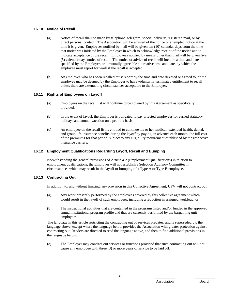## **16.10 Notice of Recall**

- (a) Notice of recall shall be made by telephone, telegram, special delivery, registered mail, or by direct personal contact. The Association will be advised of the notice or attempted notice at the time it is given. Employees notified by mail will be given ten (10) calendar days from the time that notice was initiated by the Employer in which to acknowledge receipt of the notice and to indicate acceptance of the recall. Employees notified by means other than mail will be given five (5) calendar days notice of recall. The notice or advice of recall will include a time and date specified by the Employer, or a mutually agreeable alternative time and date, by which the employee must report for work if the recall is accepted.
- (b) An employee who has been recalled must report by the time and date directed or agreed to, or the employee may be deemed by the Employer to have voluntarily terminated entitlement to recall unless there are extenuating circumstances acceptable to the Employer.

## **16.11 Rights of Employees on Layoff**

- (a) Employees on the recall list will continue to be covered by this Agreement as specifically provided.
- (b) In the event of layoff, the Employer is obligated to pay affected employees for earned statutory holidays and annual vacation on a pro-rata basis.
- (c) An employee on the recall list is entitled to continue his or her medical, extended health, dental, and group life insurance benefits during the layoff by paying, in advance each month, the full cost of the premiums for that period, subject to any eligibility requirement established by the respective insurance carriers.

#### **16.12 Employment Qualifications Regarding Layoff, Recall and Bumping**

Notwithstanding the general provisions of Article 4.2 (Employment Qualifications) in relation to employment qualifications, the Employer will not establish a Selection Advisory Committee in circumstances which may result in the layoff or bumping of a Type A or Type B employee.

#### **16.13 Contracting Out**

In addition to, and without limiting, any provision in this Collective Agreement, UFV will not contract out:

- (a) Any work presently performed by the employees covered by this collective agreement which would result in the layoff of such employees, including a reduction in assigned workload, or
- (b) The instructional activities that are contained in the programs listed and/or funded in the approved annual institutional program profile and that are currently performed by the bargaining unit employees.

The language in this article restricting the contracting out of services predates, and is superseded by, the language above, except where the language below provides the Association with greater protection against contracting out. Readers are directed to read the language above, and then to find additional provisions in the language below.

(c) The Employer may contract out services or functions provided that such contracting out will not cause any employee with three (3) or more years of service to be laid off.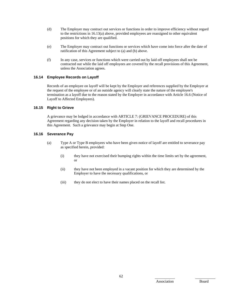- (d) The Employer may contract out services or functions in order to improve efficiency without regard to the restrictions in 16.13(a) above, provided employees are reassigned to other equivalent positions for which they are qualified.
- (e) The Employer may contract out functions or services which have come into force after the date of ratification of this Agreement subject to (a) and (b) above.
- (f) In any case, services or functions which were carried out by laid off employees shall not be contracted out while the laid off employees are covered by the recall provisions of this Agreement, unless the Association agrees.

#### **16.14 Employee Records on Layoff**

Records of an employee on layoff will be kept by the Employer and references supplied by the Employer at the request of the employee or of an outside agency will clearly state the nature of the employee's termination as a layoff due to the reason stated by the Employer in accordance with Article 16.6 (Notice of Layoff to Affected Employees).

#### **16.15 Right to Grieve**

A grievance may be lodged in accordance with ARTICLE 7: (GRIEVANCE PROCEDURE) of this Agreement regarding any decision taken by the Employer in relation to the layoff and recall procedures in this Agreement. Such a grievance may begin at Step One.

## **16.16 Severance Pay**

- (a) Type A or Type B employees who have been given notice of layoff are entitled to severance pay as specified herein, provided:
	- (i) they have not exercised their bumping rights within the time limits set by the agreement, or
	- (ii) they have not been employed in a vacant position for which they are determined by the Employer to have the necessary qualifications, or
	- (iii) they do not elect to have their names placed on the recall list.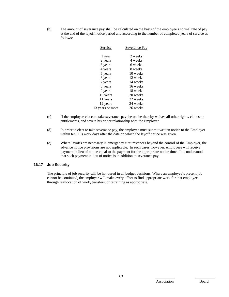(b) The amount of severance pay shall be calculated on the basis of the employee's normal rate of pay at the end of the layoff notice period and according to the number of completed years of service as follows:

| Service          | Severance Pay |
|------------------|---------------|
| 1 year           | 2 weeks       |
| 2 years          | 4 weeks       |
| 3 years          | 6 weeks       |
| 4 years          | 8 weeks       |
| 5 years          | 10 weeks      |
| 6 years          | 12 weeks      |
| 7 years          | 14 weeks      |
| 8 years          | 16 weeks      |
| 9 years          | 18 weeks      |
| 10 years         | 20 weeks      |
| 11 years         | 22 weeks      |
| 12 years         | 24 weeks      |
| 13 years or more | 26 weeks      |
|                  |               |

- (c) If the employee elects to take severance pay, he or she thereby waives all other rights, claims or entitlements, and severs his or her relationship with the Employer.
- (d) In order to elect to take severance pay, the employee must submit written notice to the Employer within ten (10) work days after the date on which the layoff notice was given.
- (e) Where layoffs are necessary in emergency circumstances beyond the control of the Employer, the advance notice provisions are not applicable. In such cases, however, employees will receive payment in lieu of notice equal to the payment for the appropriate notice time. It is understood that such payment in lieu of notice is in addition to severance pay.

#### **16.17 Job Security**

The principle of job security will be honoured in all budget decisions. Where an employee's present job cannot be continued, the employer will make every effort to find appropriate work for that employee through reallocation of work, transfers, or retraining as appropriate.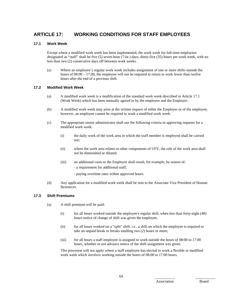# **ARTICLE 17: WORKING CONDITIONS FOR STAFF EMPLOYEES**

## **17.1 Work Week**

Except where a modified work week has been implemented, the work week for full-time employees designated as "staff" shall be five (5) seven-hour (7-hr.) days, thirty-five (35) hours per work week, with no less than two (2) consecutive days off between work weeks.

(a) Where an employee's regular work week includes assignment of one or more shifts outside the hours of  $08:00 - 17:00$ , the employee will not be required to return to work fewer than twelve hours after the end of a previous shift.

## **17.2 Modified Work Week**

- (a) A modified work week is a modification of the standard work week described in Article 17.1 (Work Week) which has been mutually agreed to by the employee and the Employer.
- (b) A modified work week may arise at the written request of either the Employer or of the employee; however, an employee cannot be required to work a modified work week.
- (c) The appropriate senior administrator shall use the following criteria in approving requests for a modified work week:
	- (i) the daily work of the work area in which the staff member is employed shall be carried out;
	- (ii) where the work area relates to other components of UFV, the role of the work area shall not be diminished or diluted;
	- (iii) no additional costs to the Employer shall result, for example, by reason of:
		- a requirement for additional staff;
		- paying overtime rates within approved hours.
- (d) Any application for a modified work week shall be sent to the Associate Vice President of Human Resources.

## **17.3 Shift Premiums**

- (a) A shift premium will be paid:
	- (i) for all hours worked outside the employee's regular shift, when less than forty-eight (48) hours notice of change of shift was given the employee;
	- (ii) for all hours worked on a "split" shift, i.e., a shift on which the employee is required to take an unpaid break or breaks totalling two (2) hours or more;
	- (iii) for all hours a staff employee is assigned to work outside the hours of 08:00 to 17:00 hours, whether or not advance notice of the shift assignment was given.

This provision will not apply where a staff employee has elected to work a flexible or modified work week which involves working outside the hours of 08:00 to 17:00 hours.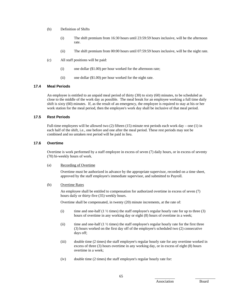- (b) Definition of Shifts
	- (i) The shift premium from 16:30 hours until 23:59:59 hours inclusive, will be the afternoon rate.
	- (ii) The shift premium from 00:00 hours until 07:59:59 hours inclusive, will be the night rate.
- (c) All staff positions will be paid:
	- (i) one dollar (\$1.00) per hour worked for the afternoon rate;
	- (ii) one dollar (\$1.00) per hour worked for the night rate.

## **17.4 Meal Periods**

An employee is entitled to an unpaid meal period of thirty (30) to sixty (60) minutes, to be scheduled as close to the middle of the work day as possible. The meal break for an employee working a full time daily shift is sixty (60) minutes. If, as the result of an emergency, the employee is required to stay at his or her work station for the meal period, then the employee's work day shall be inclusive of that meal period.

#### **17.5 Rest Periods**

Full-time employees will be allowed two (2) fifteen (15) minute rest periods each work day – one (1) in each half of the shift, i.e., one before and one after the meal period. These rest periods may not be combined and no untaken rest period will be paid in lieu.

#### **17.6 Overtime**

Overtime is work performed by a staff employee in excess of seven (7) daily hours, or in excess of seventy (70) bi-weekly hours of work.

(a) Recording of Overtime

Overtime must be authorized in advance by the appropriate supervisor, recorded on a time sheet, approved by the staff employee's immediate supervisor, and submitted to Payroll.

(b) Overtime Rates

An employee shall be entitled to compensation for authorized overtime in excess of seven (7) hours daily or thirty-five (35) weekly hours.

Overtime shall be compensated, in twenty (20) minute increments, at the rate of:

- (i) time and one-half  $(1 \frac{1}{2} \times 1)$  the staff employee's regular hourly rate for up to three (3) hours of overtime in any working day or eight (8) hours of overtime in a week;
- (ii) time and one-half  $(1 \frac{1}{2})$  times) the staff employee's regular hourly rate for the first three (3) hours worked on the first day off of the employee's scheduled two (2) consecutive days off;
- (iii) double time (2 times) the staff employee's regular hourly rate for any overtime worked in excess of three (3) hours overtime in any working day, or in excess of eight (8) hours overtime in a week;
- (iv) double time (2 times) the staff employee's regular hourly rate for: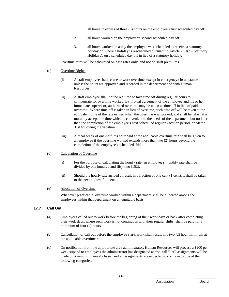- 1. all hours in excess of three (3) hours on the employee's first scheduled day off;
- 2. all hours worked on the employee's second scheduled day off;
- 3. all hours worked on a day the employee was scheduled to receive a statutory holiday or, where a holiday is rescheduled pursuant to Article 29.1(b) (Statutory Holidays), on a scheduled day off in lieu of a statutory holiday.

Overtime rates will be calculated on base rates only, and not on shift premiums.

#### (c) Overtime Rights

- (i) A staff employee shall refuse to work overtime, except in emergency circumstances, unless the hours are approved and recorded in the department and with Human Resources.
- (ii) A staff employee shall not be required to take time off during regular hours to compensate for overtime worked. By mutual agreement of the employee and his or her immediate supervisor, authorized overtime may be taken as time off in lieu of paid overtime. Where time off is taken in lieu of overtime, such time off will be taken at the equivalent time of the rate earned when the overtime was worked, and shall be taken at a mutually acceptable time which is convenient to the needs of the department, but no later than the completion of the employee's next scheduled regular vacation period, or March 31st following the vacation.
- (iii) A meal break of one-half  $\left(\frac{1}{2}\right)$  hour paid at the applicable overtime rate shall be given to an employee if the overtime worked extends more than two (2) hours beyond the completion of the employee's scheduled shift.

#### (d) Calculation of Overtime

- (i) For the purpose of calculating the hourly rate, an employee's monthly rate shall be divided by one hundred and fifty-two (152).
- (ii) Should the hourly rate arrived at result in a fraction of one cent (1 cent), it shall be taken to the next highest full cent.

#### (e) Allocation of Overtime

Whenever practicable, overtime worked within a department shall be allocated among the employees within that department on an equitable basis.

### **17.7 Call Out**

- (a) Employees called out to work before the beginning of their work days or back after completing their work days, where such work is not continuous with their regular shifts, shall be paid for a minimum of four (4) hours.
- (b) Cancellation of call out before the employee starts work shall result in a two (2) hour minimum at the applicable overtime rate.
- (c) On notification from the appropriate area administrator, Human Resources will process a \$200 per week stipend to employees the administrator has designated as "on-call." All assignments will be made on a minimum weekly basis, and all assignments are expected to conform to one of the following categories: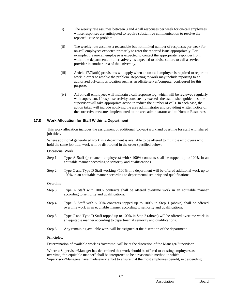- (i) The weekly rate assumes between 3 and 4 call responses per week for on-call employees whose responses are anticipated to require substantive communication to resolve the reported issue or problem.
- (ii) The weekly rate assumes a reasonable but not limited number of responses per week for on-call employees expected primarily to refer the reported issue appropriately. For example, the on-call employee is expected to contact the appropriate responder from within the department, or alternatively, is expected to advise callers to call a service provider in another area of the university.
- (iii) Article 17.7(a)(b) provisions will apply when an on-call employee is required to report to work in order to resolve the problem. Reporting to work may include reporting to an authorized off-campus location such as an offsite server/computer configured for this purpose.
- (iv) All on-call employees will maintain a call response log, which will be reviewed regularly with supervisor. If response activity consistently exceeds the established guidelines, the supervisor will take appropriate action to reduce the number of calls. In each case, the action taken will include notifying the area administrator and providing written notice of the corrective measures implemented to the area administrator and to Human Resources.

#### **17.8 Work Allocation for Staff Within a Department**

This work allocation includes the assignment of additional (top-up) work and overtime for staff with shared job titles.

Where additional generalized work in a department is available to be offered to multiple employees who hold the same job title, work will be distributed in the order specified below:

#### Occasional Work

- Step 1 Type A Staff (permanent employees) with <100% contracts shall be topped up to 100% in an equitable manner according to seniority and qualifications.
- Step 2 Type C and Type D Staff working <100% in a department will be offered additional work up to 100% in an equitable manner according to departmental seniority and qualifications.

#### **Overtime**

- Step 3 Type A Staff with 100% contracts shall be offered overtime work in an equitable manner according to seniority and qualifications.
- Step 4 Type A Staff with <100% contracts topped up to 100% in Step 1 (above) shall be offered overtime work in an equitable manner according to seniority and qualifications.
- Step 5 Type C and Type D Staff topped up to 100% in Step 2 (above) will be offered overtime work in an equitable manner according to departmental seniority and qualifications.
- Step 6 Any remaining available work will be assigned at the discretion of the department.

#### Principles:

Determination of available work as 'overtime' will be at the discretion of the Manager/Supervisor.

Where a Supervisor/Manager has determined that work should be offered to existing employees as overtime, "an equitable manner" shall be interpreted to be a reasonable method in which Supervisors/Managers have made every effort to ensure that the most employees benefit, in descending

7 Association Board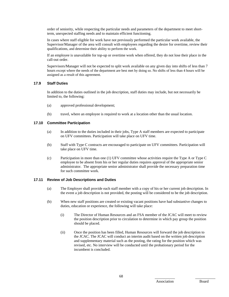order of seniority, while respecting the particular needs and parameters of the department to meet shortterm, unexpected staffing needs and to maintain efficient functioning.

In cases where staff eligible for work have not previously performed the particular work available, the Supervisor/Manager of the area will consult with employees regarding the desire for overtime, review their qualifications, and determine their ability to perform the work.

If an employee is unavailable for top-up or overtime work when offered, they do not lose their place in the call-out order.

Supervisors/Manager will not be expected to split work available on any given day into shifts of less than 7 hours except where the needs of the department are best met by doing so. No shifts of less than 4 hours will be assigned as a result of this agreement.

#### **17.9 Staff Duties**

In addition to the duties outlined in the job description, staff duties may include, but not necessarily be limited to, the following:

- (a) approved professional development;
- (b) travel, where an employee is required to work at a location other than the usual location.

#### **17.10 Committee Participation**

- (a) In addition to the duties included in their jobs, Type A staff members are expected to participate on UFV committees. Participation will take place on UFV time.
- (b) Staff with Type C contracts are encouraged to participate on UFV committees. Participation will take place on UFV time.
- (c) Participation in more than one (1) UFV committee whose activities require the Type A or Type C employee to be absent from his or her regular duties requires approval of the appropriate senior administrator. The appropriate senior administrator shall provide the necessary preparation time for such committee work.

#### **17.11 Review of Job Descriptions and Duties**

- (a) The Employer shall provide each staff member with a copy of his or her current job description. In the event a job description is not provided, the posting will be considered to be the job description.
- (b) When new staff positions are created or existing vacant positions have had substantive changes to duties, education or experience, the following will take place:
	- (i) The Director of Human Resources and an FSA member of the JCAC will meet to review the position description prior to circulation to determine in which pay group the position should be placed.
	- (ii) Once the position has been filled, Human Resources will forward the job description to the JCAC. The JCAC will conduct an interim audit based on the written job description and supplementary material such as the posting, the rating for the position which was revised, etc. No interview will be conducted until the probationary period for the incumbent is concluded.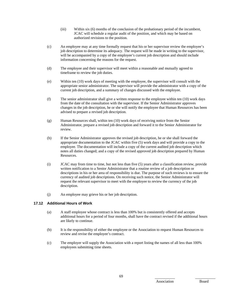- (iii) Within six (6) months of the conclusion of the probationary period of the incumbent, JCAC will schedule a regular audit of the position, and which may be based on authorized revisions to the position.
- (c) An employee may at any time formally request that his or her supervisor review the employee's job description to determine its adequacy. The request will be made in writing to the supervisor, will be accompanied by a copy of the employee's current job description and should include information concerning the reasons for the request.
- (d) The employee and their supervisor will meet within a reasonable and mutually agreed to timeframe to review the job duties.
- (e) Within ten (10) work days of meeting with the employee, the supervisor will consult with the appropriate senior administrator. The supervisor will provide the administrator with a copy of the current job description, and a summary of changes discussed with the employee.
- (f) The senior administrator shall give a written response to the employee within ten (10) work days from the date of the consultation with the supervisor. If the Senior Administrator approves changes in the job description, he or she will notify the employee that Human Resources has been advised to prepare a revised job description.
- (g) Human Resources shall, within ten (10) work days of receiving notice from the Senior Administrator, prepare a revised job description and forward it to the Senior Administrator for review.
- (h) If the Senior Administrator approves the revised job description, he or she shall forward the appropriate documentation to the JCAC within five (5) work days and will provide a copy to the employee. The documentation will include a copy of the current audited job description which notes all duties changed; and a copy of the revised approved job description prepared by Human Resources.
- (i) JCAC may from time to time, but not less than five (5) years after a classification review, provide written notification to a Senior Administrator that a routine review of a job description or descriptions in his or her area of responsibility is due. The purpose of such reviews is to ensure the currency of audited job descriptions. On receiving such notice, the Senior Administrator will request the relevant supervisor to meet with the employee to review the currency of the job description.
- (j) An employee may grieve his or her job description.

## **17.12 Additional Hours of Work**

- (a) A staff employee whose contract is less than 100% but is consistently offered and accepts additional hours for a period of four months, shall have the contract revised if the additional hours are likely to continue.
- (b) It is the responsibility of either the employee or the Association to request Human Resources to review and revise the employee's contract.
- (c) The employer will supply the Association with a report listing the names of all less than 100% employees submitting time sheets.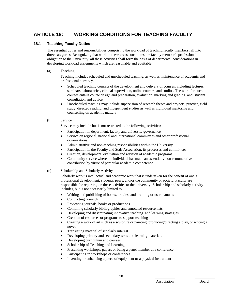# **ARTICLE 18: WORKING CONDITIONS FOR TEACHING FACULTY**

## **18.1 Teaching Faculty Duties**

The essential duties and responsibilities comprising the workload of teaching faculty members fall into three categories. Recognizing that work in these areas constitutes the faculty member's professional obligation to the University, all these activities shall form the basis of departmental considerations in developing workload assignments which are reasonable and equitable.

#### (a) Teaching

Teaching includes scheduled and unscheduled teaching, as well as maintenance of academic and professional currency.

- Scheduled teaching consists of the development and delivery of courses, including lectures, seminars, laboratories, clinical supervision, online courses, and studios. The work for such courses entails course design and preparation, evaluation, marking and grading, and student consultation and advice
- Unscheduled teaching may include supervision of research theses and projects, practica, field study, directed reading, and independent studies as well as individual mentoring and counselling on academic matters

## (b) Service

Service may include but is not restricted to the following activities:

- Participation in department, faculty and university governance
- Service on regional, national and international committees and other professional organizations
- Administrative and non-teaching responsibilities within the University
- Participation in the Faculty and Staff Association, its processes and committees
- Creation, development, evaluation and revision of academic programs
- Community service where the individual has made an essentially non-remunerative contribution by virtue of particular academic competence.

#### (c) Scholarship and Scholarly Activity

Scholarly work is intellectual and academic work that is undertaken for the benefit of one's professional development, students, peers, and/or the community or society. Faculty are responsible for reporting on these activities to the university. Scholarship and scholarly activity includes, but is not necessarily limited to

- Writing and publishing of books, articles, and training or user manuals
- Conducting research
- Reviewing journals, books or productions
- Compiling scholarly bibliographies and annotated resource lists
- Developing and disseminating innovative teaching and learning strategies
- Creation of resources or programs to support teaching
- Creating a work of art such as a sculpture or painting, producing/directing a play, or writing a novel
- Translating material of scholarly interest
- Developing primary and secondary texts and learning materials
- Developing curriculum and courses
- Scholarship of Teaching and Learning
- Presenting workshops, papers or being a panel member at a conference
- Participating in workshops or conferences
- Inventing or enhancing a piece of equipment or a physical instrument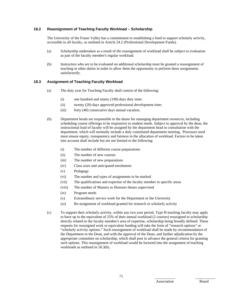## **18.2 Reassignment of Teaching Faculty Workload – Scholarship**

The University of the Fraser Valley has a commitment to establishing a fund to support scholarly activity, accessible to all faculty, as outlined in Article 24.2 (Professional Development Funds).

- (a) Scholarship undertaken as a result of the reassignment of workload shall be subject to evaluation as part of the faculty member's regular workload.
- (b) Instructors who are to be evaluated on additional scholarship must be granted a reassignment of teaching or other duties in order to allow them the opportunity to perform these assignments satisfactorily.

## **18.3 Assignment of Teaching Faculty Workload**

- (a) The duty year for Teaching Faculty shall consist of the following:
	- (i) one hundred and ninety (190) days duty time;
	- (ii) twenty (20) days approved professional development time;
	- (iii) forty (40) consecutive days annual vacation.
- (b) Department heads are responsible to the deans for managing department resources, including scheduling course offerings to be responsive to student needs. Subject to approval by the dean, the instructional load of faculty will be assigned by the department head in consultation with the department, which will normally include a duly constituted department meeting. Processes used must ensure equity, transparency and fairness in the allocation of workload. Factors to be taken into account shall include but are not limited to the following:
	- (i) The number of different course preparations
	- (ii) The number of new courses
	- (iii) The number of new preparations
	- (iv) Class sizes and anticipated enrolments
	- (v) Pedagogy
	- (vi) The number and types of assignments to be marked
	- (vii) The qualifications and expertise of the faculty member in specific areas
	- (viii) The number of Masters or Honours theses supervised
	- (ix) Program needs
	- (x) Extraordinary service work for the Department or the University
	- (xi) Re-assignment of workload granted for research or scholarly activity
- (c) To support their scholarly activity, within any two year period, Type B teaching faculty may apply to have up to the equivalent of 25% of their annual workload (2 courses) reassigned to scholarship directly related to the faculty member's area of expertise, scholarship being broadly defined. These requests for reassigned work or equivalent funding will take the form of "research options" or "scholarly activity options." Such reassignment of workload shall be made by recommendation of the Department to the Dean, and with the approval of the Dean, and further adjudication by the appropriate committee on scholarship, which shall post in advance the general criteria for granting such options. This reassignment of workload would be factored into the assignment of teaching workloads as outlined in 18.3(b).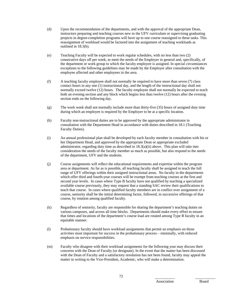- (d) Upon the recommendation of the departments, and with the approval of the appropriate Dean, instructors preparing and teaching courses new to the UFV curriculum or supervising graduating projects in degree-completion programs will have up to one course reassigned to these tasks. This reassignment of workload would be factored into the assignment of teaching workloads as outlined in 18.3(b).
- (e) Teaching Faculty will be expected to work regular schedules, with no less than two (2) consecutive days off per week, to meet the needs of the Employer in general and, specifically, of the department or work group to which the faculty employee is assigned. In special circumstances exceptions to the following guidelines may be made by the Employer after consultation with the employee affected and other employees in the area.
- (f) A teaching faculty employee shall not normally be required to have more than seven (7) class contact hours in any one (1) instructional day, and the length of the instructional day shall not normally exceed twelve (12) hours. The faculty employee shall not normally be expected to teach both an evening section and any block which begins less than twelve (12) hours after the evening section ends on the following day.
- (g) The work week shall not normally include more than thirty-five (35) hours of assigned duty time during which an employee is required by the Employer to be at a specific location.
- (h) Faculty non-instructional duties are to be approved by the appropriate administrator in consultation with the Department Head in accordance with duties described in 18.1 (Teaching Faculty Duties).
- (i) An annual professional plan shall be developed by each faculty member in consultation with his or her Department Head, and approved by the appropriate Dean or appropriate excluded administrator, regarding duty time as described in  $18.3(a)(ii)$  above. This plan will take into consideration the needs of the faculty member as much as possible, but also respond to the needs of the department, UFV and the students.
- (j) Course assignments will reflect the educational requirements and expertise within the program area or department. As far as is possible, all teaching faculty shall be assigned to teach the full range of UFV offerings within their assigned instructional areas. No faculty in the departments which offer third and fourth-year courses will be exempt from teaching courses at the first and second year levels. In cases where Type B faculty have not qualified by teaching a specialized available course previously, they may request that a standing SAC review their qualifications to teach that course. In cases where qualified faculty members are in conflict over assignment of a course, seniority shall be the initial determining factor, followed, in successive offerings of that course, by rotation among qualified faculty.
- (k) Regardless of seniority, faculty are responsible for sharing the department's teaching duties on various campuses, and across all time blocks. Departments should make every effort to ensure that times and locations of the department's course load are rotated among Type B faculty in an equitable manner.
- (l) Probationary faculty should have workload assignments that permit an emphasis on those activities most important for success in the probationary process – minimally, with reduced emphasis on service responsibilities.
- (m) Faculty who disagree with their workload assignments for the following year may discuss their concerns with the Dean of Faculty (or designate). In the event that the matter has been discussed with the Dean of Faculty and a satisfactory resolution has not been found, faculty may appeal the matter in writing to the Vice-President, Academic, who will make a determination.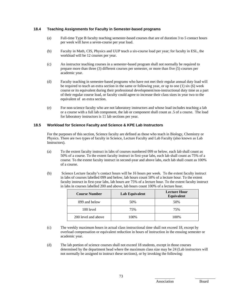## **18.4 Teaching Assignments for Faculty in Semester-based programs**

- (a) Full-time Type B faculty teaching semester-based courses that are of duration 3 to 5 contact hours per week will have a seven-course per year load.
- (b) Faculty in Math, CIS, Physics and UUP teach a six-course load per year; for faculty in ESL, the workload will be 12 courses per year.
- (c) An instructor teaching courses in a semester-based program shall not normally be required to prepare more than three (3) different courses per semester, or more than five (5) courses per academic year.
- (d) Faculty teaching in semester-based programs who have not met their regular annual duty load will be required to teach an extra section in the same or following year, or up to one (1) six (6) week course or its equivalent during their professional development/non-instructional duty time as a part of their regular course load, or faculty could agree to increase their class sizes in year two to the equivalent of an extra section.
- (e) For non-science faculty who are not laboratory instructors and whose load includes teaching a lab or a course with a full lab component, the lab or component shall count as .5 of a course. The load for laboratory instructors is 11 lab sections per year.

## **18.5 Workload for Science Faculty and Science & KPE Lab Instructors**

For the purposes of this section, Science faculty are defined as those who teach in Biology, Chemistry or Physics. There are two types of faculty in Science, Lecture Faculty and Lab Faculty (also known as Lab Instructors).

- (a) To the extent faculty instruct in labs of courses numbered 099 or below, each lab shall count as 50% of a course. To the extent faculty instruct in first-year labs, each lab shall count as 75% of a course. To the extent faculty instruct in second-year and above labs, each lab shall count as 100% of a course.
- (b) Science Lecture faculty's contact hours will be 16 hours per week. To the extent faculty instruct in labs of courses labelled 099 and below, lab hours count 50% of a lecture hour. To the extent faculty instruct in first-year labs, lab hours are 75% of a lecture hour. To the extent faculty instruct in labs in courses labelled 200 and above, lab hours count 100% of a lecture hour.

| <b>Course Number</b> | Lab Equivalent | <b>Lecture Hour</b><br><b>Equivalent</b> |
|----------------------|----------------|------------------------------------------|
| 099 and below        | 50%            | 50%                                      |
| 100 level            | 75%            | 75%                                      |
| 200 level and above  | 100%           | 100%                                     |

- (c) The weekly maximum hours in actual class instructional time shall not exceed 18, except by overload compensation or equivalent reduction in hours of instruction in the ensuing semester or academic year.
- (d) The lab portion of science courses shall not exceed 18 students, except in those courses determined by the department head where the maximum class size may be 24 (Lab instructors will not normally be assigned to instruct these sections), or by invoking the following: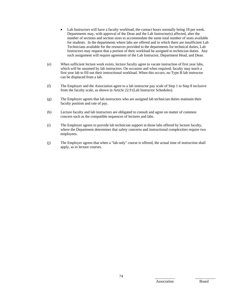- Lab Instructors will have a faculty workload, the contact hours normally being 18 per week. Departments may, with approval of the Dean and the Lab Instructor(s) affected, alter the number of sections and section sizes to accommodate the same total number of seats available for students. In the departments where labs are offered and in which there are insufficient Lab Technicians available for the resources provided to the departments for technical duties, Lab Instructors may request that a portion of their workload be assigned to technician duties. Any such assignment will require agreement of the Lab Instructor, Department Head, and Dean.
- (e) When sufficient lecture work exists, lecture faculty agree to vacate instruction of first year labs, which will be assumed by lab instructors. On occasion and when required, faculty may teach a first year lab to fill out their instructional workload. When this occurs, no Type B lab instructor can be displaced from a lab.
- (f) The Employer and the Association agree to a lab instructor pay scale of Step 1 to Step 8 inclusive from the faculty scale, as shown in Article 22.9 (Lab Instructor Schedules).
- (g) The Employer agrees that lab instructors who are assigned lab technician duties maintain their faculty position and rate of pay.
- (h) Lecture faculty and lab instructors are obligated to consult and agree on matter of common concern such as the compatible sequences of lectures and labs.
- (i) The Employer agrees to provide lab technician support in those labs offered by lecture faculty, where the Department determines that safety concerns and instructional complexities require two employees.
- (j) The Employer agrees that when a "lab only" course is offered, the actual time of instruction shall apply, as in lecture courses.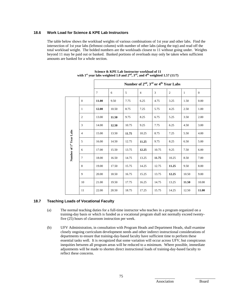#### **18.6 Work Load for Science & KPE Lab Instructors**

The table below shows the workload weights of various combinations of 1st year and other labs. Find the intersection of 1st year labs (leftmost column) with number of other labs (along the top) and read off the total workload weight. The bolded numbers are the workloads closest to 11 without going under. Weights beyond 11 may be paid out or banked. Banked portions of overloads may only be taken when sufficient amounts are banked for a whole section.

|                         |              | Number of 2 <sup>nd</sup> , 3 <sup>rd</sup> or 4 <sup>th</sup> Year Labs |       |       |                |       |                |              |          |  |
|-------------------------|--------------|--------------------------------------------------------------------------|-------|-------|----------------|-------|----------------|--------------|----------|--|
|                         |              | $\tau$                                                                   | 6     | 5     | $\overline{4}$ | 3     | $\overline{c}$ | $\mathbf{1}$ | $\theta$ |  |
|                         | $\mathbf{0}$ | 11.00                                                                    | 9.50  | 7.75  | 6.25           | 4.75  | 3.25           | 1.50         | 0.00     |  |
|                         | 1            | 12.00                                                                    | 10.50 | 8.75  | 7.25           | 5.75  | 4.25           | 2.50         | 1.00     |  |
|                         | 2            | 13.00                                                                    | 11.50 | 9.75  | 8.25           | 6.75  | 5.25           | 3.50         | 2.00     |  |
|                         | 3            | 14.00                                                                    | 12.50 | 10.75 | 9.25           | 7.75  | 6.25           | 4.50         | 3.00     |  |
| Number of 1st Year Labs | 4            | 15.00                                                                    | 13.50 | 11.75 | 10.25          | 8.75  | 7.25           | 5.50         | 4.00     |  |
|                         | 5            | 16.00                                                                    | 14.50 | 12.75 | 11.25          | 9.75  | 8.25           | 6.50         | 5.00     |  |
|                         | 6            | 17.00                                                                    | 15.50 | 13.75 | 12.25          | 10.75 | 9.25           | 7.50         | 6.00     |  |
|                         | 7            | 18.00                                                                    | 16.50 | 14.75 | 13.25          | 11.75 | 10.25          | 8.50         | 7.00     |  |
|                         | 8            | 19.00                                                                    | 17.50 | 15.75 | 14.25          | 12.75 | 11.25          | 9.50         | 8.00     |  |
|                         | 9            | 20.00                                                                    | 18.50 | 16.75 | 15.25          | 13.75 | 12.25          | 10.50        | 9.00     |  |
|                         | 10           | 21.00                                                                    | 19.50 | 17.75 | 16.25          | 14.75 | 13.25          | 11.50        | 10.00    |  |
|                         | 11           | 22.00                                                                    | 20.50 | 18.75 | 17.25          | 15.75 | 14.25          | 12.50        | 11.00    |  |

#### **Science & KPE Lab Instructor workload of 11**  with 1<sup>st</sup> year labs weighted 1.0 and  $2<sup>nd</sup>$ ,  $3<sup>rd</sup>$ , and  $4<sup>th</sup>$  weighted 1.57 (11/7)

#### **18.7 Teaching Loads of Vocational Faculty**

- (a) The normal teaching duties for a full-time instructor who teaches in a program organized on a training-day basis or which is funded as a vocational program shall not normally exceed twentyfive (25) hours of classroom instruction per week.
- (b) UFV Administration, in consultation with Program Heads and Department Heads, shall examine closely ongoing curriculum development needs and other indirect instructional considerations of departments to ensure that training-day-based faculty have sufficient time to perform these essential tasks well. It is recognized that some variation will occur across UFV, but conspicuous inequities between all program areas will be reduced to a minimum. Where possible, immediate adjustments will be made to shorten direct instructional loads of training-day-based faculty to reflect these concerns.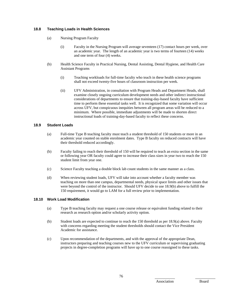## **18.8 Teaching Loads in Health Sciences**

- (a) Nursing Program Faculty
	- (i) Faculty in the Nursing Program will average seventeen (17) contact hours per week, over an academic year. The length of an academic year is two terms of fourteen (14) weeks and one term of four (4) weeks.
- (b) Health Science Faculty in Practical Nursing, Dental Assisting, Dental Hygiene, and Health Care Assistant Programs
	- (i) Teaching workloads for full-time faculty who teach in these health science programs shall not exceed twenty-five hours of classroom instruction per week.
	- (ii) UFV Administration, in consultation with Program Heads and Department Heads, shall examine closely ongoing curriculum development needs and other indirect instructional considerations of departments to ensure that training-day-based faculty have sufficient time to perform these essential tasks well. It is recognized that some variation will occur across UFV, but conspicuous inequities between all program areas will be reduced to a minimum. Where possible, immediate adjustments will be made to shorten direct instructional loads of training-day-based faculty to reflect these concerns.

#### **18.9 Student Loads**

- (a) Full-time Type B teaching faculty must teach a student threshold of 150 students or more in an academic year counted on stable enrolment dates. Type B faculty on reduced contracts will have their threshold reduced accordingly.
- (b) Faculty failing to reach their threshold of 150 will be required to teach an extra section in the same or following year OR faculty could agree to increase their class sizes in year two to reach the 150 student limit from year one.
- (c) Science Faculty teaching a double block lab count students in the same manner as a class.
- (d) When reviewing student loads, UFV will take into account whether a faculty member was teaching on more than one campus, departmental needs, physical space limits and other issues that were beyond the control of the instructor. Should UFV decide to use 18.9(b) above to fulfill the 150 requirement, it would go to LAM for a full review prior to implementation.

#### **18.10 Work Load Modification**

- (a) Type B teaching faculty may request a one course release or equivalent funding related to their research as research option and/or scholarly activity option.
- (b) Student loads are expected to continue to reach the 150 threshold as per 18.9(a) above. Faculty with concerns regarding meeting the student thresholds should contact the Vice President Academic for assistance.
- (c) Upon recommendation of the departments, and with the approval of the appropriate Dean, instructors preparing and teaching courses new to the UFV curriculum or supervising graduating projects in degree-completion programs will have up to one course reassigned to these tasks.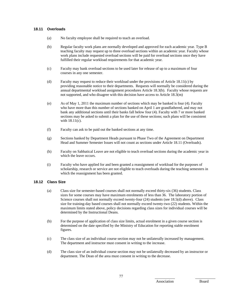## **18.11 Overloads**

- (a) No faculty employee shall be required to teach an overload.
- (b) Regular faculty work plans are normally developed and approved for each academic year. Type B teaching faculty may request up to three overload sections within an academic year. Faculty whose work plans include requested overload sections will be paid for overload sections once they have fulfilled their regular workload requirements for that academic year.
- (c) Faculty may bank overload sections to be used later for release of up to a maximum of four courses in any one semester.
- (d) Faculty may request to reduce their workload under the provisions of Article 18.11(c) by providing reasonable notice to their departments. Requests will normally be considered during the annual departmental workload assignment procedures Article 18.3(b). Faculty whose requests are not supported, and who disagree with this decision have access to Article 18.3(m)
- (e) As of May 1, 2011 the maximum number of sections which may be banked is four (4). Faculty who have more than this number of sections banked on April 1 are grandfathered, and may not bank any additional sections until their banks fall below four (4). Faculty with 7 or more banked sections may be asked to submit a plan for the use of these sections; such plans will be consistent with 18.11(c).
- (f) Faculty can ask to be paid out the banked sections at any time.
- (g) Sections banked by Department Heads pursuant to Phase Two of the Agreement on Department Head and Summer Semester Issues will not count as sections under Article 18.11 (Overloads).
- (h) Faculty on Sabbatical Leave are not eligible to teach overload sections during the academic year in which the leave occurs.
- (i) Faculty who have applied for and been granted a reassignment of workload for the purposes of scholarship, research or service are not eligible to teach overloads during the teaching semesters in which the reassignment has been granted.

## **18.12 Class Size**

- (a) Class size for semester-based courses shall not normally exceed thirty-six (36) students. Class sizes for some courses may have maximum enrolments of less than 36. The laboratory portion of Science courses shall not normally exceed twenty-four (24) students (see 18.5(d) above). Class size for training-day based courses shall not normally exceed twenty-two (22) students. Within the maximum limits stated above, policy decisions regarding class sizes for individual courses will be determined by the Instructional Deans.
- (b) For the purpose of application of class size limits, actual enrolment in a given course section is determined on the date specified by the Ministry of Education for reporting stable enrolment figures.
- (c) The class size of an individual course section may not be unilaterally increased by management. The department and instructor must consent in writing to the increase.
- (d) The class size of an individual course section may not be unilaterally decreased by an instructor or department. The Dean of the area must consent in writing to the decrease.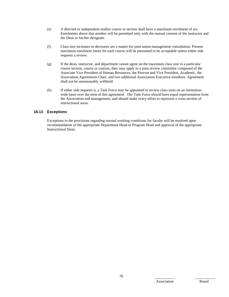- (e) A directed or independent studies course or section shall have a maximum enrolment of six. Enrolments above that number will be permitted only with the mutual consent of the instructor and the Dean or his/her designate.
- (f) Class size increases or decreases are a matter for joint union-management consultation. Present maximum enrolment limits for each course will be presumed to be acceptable unless either side requests a review.
- (g) If the dean, instructor, and department cannot agree on the maximum class size in a particular course section, course or courses, they may apply to a joint review committee composed of the Associate Vice President of Human Resources, the Provost and Vice President, Academic, the Association Agreements Chair, and two additional Association Executive members. Agreement shall not be unreasonably withheld.
- (h) If either side requests it, a Task Force may be appointed to review class sizes on an institutionwide basis over the term of this agreement. The Task Force should have equal representation from the Association and management, and should make every effort to represent a cross-section of instructional areas.

## **18.13 Exceptions**

Exceptions to the provisions regarding normal working conditions for faculty will be resolved upon recommendation of the appropriate Department Head or Program Head and approval of the appropriate Instructional Dean.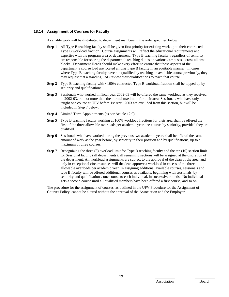#### **18.14 Assignment of Courses for Faculty**

Available work will be distributed to department members in the order specified below.

- **Step 1** All Type B teaching faculty shall be given first priority for existing work up to their contracted Type B workload fraction. Course assignments will reflect the educational requirements and expertise with the program area or department. Type B teaching faculty, regardless of seniority, are responsible for sharing the department's teaching duties on various campuses, across all time blocks. Department Heads should make every effort to ensure that those aspects of the department's course load are rotated among Type B faculty in an equitable manner. In cases where Type B teaching faculty have not qualified by teaching an available course previously, they may request that a standing SAC review their qualifications to teach that course.
- **Step 2** Type B teaching faculty with <100% contracted Type B workload fraction shall be topped up by seniority and qualifications.
- **Step 3** Sessionals who worked in fiscal year 2002-03 will be offered the same workload as they received in 2002-03, but not more than the normal maximum for their area. Sessionals who have only taught one course at UFV before 1st April 2003 are excluded from this section, but will be included in Step 7 below.
- **Step 4** Limited Term Appointments (as per Article 12.9).
- **Step 5** Type B teaching faculty working at 100% workload fractions for their area shall be offered the first of the three allowable overloads per academic year,one course, by seniority, provided they are qualified.
- **Step 6** Sessionals who have worked during the previous two academic years shall be offered the same amount of work as the year before, by seniority in their position and by qualifications, up to a maximum of three courses.
- **Step 7** Recognizing the three (3) overload limit for Type B teaching faculty and the ten (10) section limit for Sessional faculty (all departments), all remaining sections will be assigned at the discretion of the department. All workload assignments are subject to the approval of the dean of the area, and only in exceptional circumstances will the dean approve a workload in excess of the three allowable overloads per academic year. In assigning additional available courses, sessionals and type B faculty will be offered additional courses as available, beginning with sessionals, by seniority and qualifications, one course to each individual, in successive rounds. No individual gets a second course until all qualified members have been offered a first course, and so on.

The procedure for the assignment of courses, as outlined in the UFV Procedure for the Assignment of Courses Policy, cannot be altered without the approval of the Association and the Employer.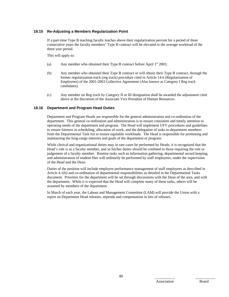## **18.15 Re-Adjusting a Members Regularization Point**

If a part-time Type B teaching faculty teaches above their regularization percent for a period of three consecutive years the faculty members' Type B contract will be elevated to the average workload of the three year period.

This will apply to:

- (a) Any member who obtained their Type B contract before April  $1<sup>st</sup>$  2003,
- (b) Any member who obtained their Type B contract or will obtain their Type B contract, through the former regularization track (reg track) procedure cited in Article 14.6 (Regularization of Employees) of the 2001-2003 Collective Agreement (Also known as Category I Reg track candidates).
- (c) Any member on Reg track by Category II or III designation shall be awarded the adjustment cited above at the discretion of the Associate Vice President of Human Resources.

## **18.16 Department and Program Head Duties**

Department and Program Heads are responsible for the general administration and co-ordination of the department. This general co-ordination and administration is to ensure consistent and timely attention to operating needs of the department and program. The Head will implement UFV procedures and guidelines to ensure fairness in scheduling, allocation of work, and the delegation of tasks to department members from the Departmental Task list to ensure equitable workloads. The Head is responsible for promoting and maintaining the long-range interests and goals of the department or program.

While clerical and organizational duties may in rare cases be performed by Heads, it is recognized that the Head's role is as a faculty member, and so his/her duties should be confined to those requiring the role or judgement of a faculty member. Routine tasks such as information gathering, departmental record keeping, and administration of student files will ordinarily be performed by staff employees, under the supervision of the Head and the Dean.

Duties of the position will include employee performance management of staff employees as described in Article 4.1(b) and co-ordination of departmental responsibilities as detailed in the Departmental Tasks document. Priorities for the department will be set through discussions with the Dean of the area, and with the department. While it is expected that the Head will complete many of these tasks, others will be assumed by members of the department.

In March of each year, the Labour and Management Committee (LAM) will provide the Union with a report on Department Head releases, stipends and compensation in lieu of releases.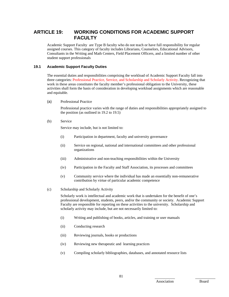# **ARTICLE 19: WORKING CONDITIONS FOR ACADEMIC SUPPORT FACULTY**

Academic Support Faculty are Type B faculty who do not teach or have full responsibility for regular assigned courses. This category of faculty includes Librarians, Counselors, Educational Advisors, Consultants in the Writing and Math Centers, Field Placement Officers, and a limited number of other student support professionals

## **19.1 Academic Support Faculty Duties**

The essential duties and responsibilities comprising the workload of Academic Support Faculty fall into three categories: Professional Practice, Service, and Scholarship and Scholarly Activity. Recognizing that work in these areas constitutes the faculty member's professional obligation to the University, these activities shall form the basis of consideration in developing workload assignments which are reasonable and equitable.

(a) Professional Practice

Professional practice varies with the range of duties and responsibilities appropriately assigned to the position (as outlined in 19.2 to 19.5)

(b) Service

Service may include, but is not limited to:

- (i) Participation in department, faculty and university governance
- (ii) Service on regional, national and international committees and other professional organizations
- (iii) Administrative and non-teaching responsibilities within the University
- (iv) Participation in the Faculty and Staff Association, its processes and committees
- (v) Community service where the individual has made an essentially non-remunerative contribution by virtue of particular academic competence
- (c) Scholarship and Scholarly Activity

Scholarly work is intellectual and academic work that is undertaken for the benefit of one's professional development, students, peers, and/or the community or society. Academic Support Faculty are responsible for reporting on these activities to the university. Scholarship and scholarly activity may include, but are not necessarily limited to:

- (i) Writing and publishing of books, articles, and training or user manuals
- (ii) Conducting research
- (iii) Reviewing journals, books or productions
- (iv) Reviewing new therapeutic and learning practices
- (v) Compiling scholarly bibliographies, databases, and annotated resource lists

1 **Association** Board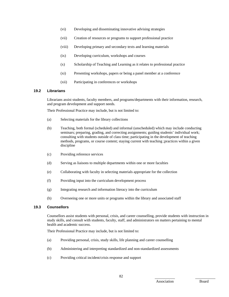- (vi) Developing and disseminating innovative advising strategies
- (vii) Creation of resources or programs to support professional practice
- (viii) Developing primary and secondary texts and learning materials
- (ix) Developing curriculum, workshops and courses
- (x) Scholarship of Teaching and Learning as it relates to professional practice
- (xi) Presenting workshops, papers or being a panel member at a conference
- (xii) Participating in conferences or workshops

### **19.2 Librarians**

Librarians assist students, faculty members, and programs/departments with their information, research, and program development and support needs.

Their Professional Practice may include, but is not limited to:

- (a) Selecting materials for the library collections
- (b) Teaching, both formal (scheduled) and informal (unscheduled) which may include conducting seminars; preparing, grading, and correcting assignments; guiding students' individual work; consulting with students outside of class time; participating in the development of teaching methods, programs, or course content; staying current with teaching ;practices within a given discipline
- (c) Providing reference services
- (d) Serving as liaisons to multiple departments within one or more faculties
- (e) Collaborating with faculty in selecting materials appropriate for the collection
- (f) Providing input into the curriculum development process
- (g) Integrating research and information literacy into the curriculum
- (h) Overseeing one or more units or programs within the library and associated staff

#### **19.3 Counsellors**

Counsellors assist students with personal, crisis, and career counselling, provide students with instruction in study skills, and consult with students, faculty, staff, and administrators on matters pertaining to mental health and academic success.

Their Professional Practice may include, but is not limited to:

- (a) Providing personal, crisis, study skills, life planning and career counselling
- (b) Administering and interpreting standardized and non-standardized assessments
- (c) Providing critical incident/crisis response and support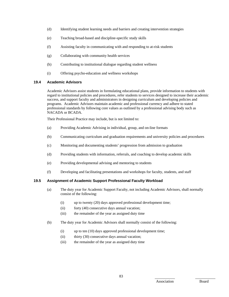- (d) Identifying student learning needs and barriers and creating intervention strategies
- (e) Teaching broad-based and discipline-specific study skills
- (f) Assisting faculty in communicating with and responding to at-risk students
- (g) Collaborating with community health services
- (h) Contributing to institutional dialogue regarding student wellness
- (i) Offering psycho-education and wellness workshops

#### **19.4 Academic Advisors**

Academic Advisors assist students in formulating educational plans, provide information to students with regard to institutional policies and procedures, refer students to services designed to increase their academic success, and support faculty and administrators in designing curriculum and developing policies and programs. Academic Advisors maintain academic and professional currency and adhere to stated professional standards by following core values as outlined by a professional advising body such as NACADA or BCADA.

Their Professional Practice may include, but is not limited to:

- (a) Providing Academic Advising in individual, group, and on-line formats
- (b) Communicating curriculum and graduation requirements and university policies and procedures
- (c) Monitoring and documenting students' progression from admission to graduation
- (d) Providing students with information, referrals, and coaching to develop academic skills
- (e) Providing developmental advising and mentoring to students
- (f) Developing and facilitating presentations and workshops for faculty, students, and staff

## **19.5 Assignment of Academic Support Professional Faculty Workload**

- (a) The duty year for Academic Support Faculty, not including Academic Advisors, shall normally consist of the following:
	- (i) up to twenty (20) days approved professional development time;
	- (ii) forty (40) consecutive days annual vacation;
	- (iii) the remainder of the year as assigned duty time
- (b) The duty year for Academic Advisors shall normally consist of the following:
	- (i) up to ten (10) days approved professional development time;

83

- (ii) thirty (30) consecutive days annual vacation;
- (iii) the remainder of the year as assigned duty time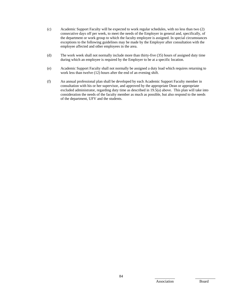- (c) Academic Support Faculty will be expected to work regular schedules, with no less than two (2) consecutive days off per week, to meet the needs of the Employer in general and, specifically, of the department or work group to which the faculty employee is assigned. In special circumstances exceptions to the following guidelines may be made by the Employer after consultation with the employee affected and other employees in the area.
- (d) The work week shall not normally include more than thirty-five (35) hours of assigned duty time during which an employee is required by the Employer to be at a specific location.
- (e) Academic Support Faculty shall not normally be assigned a duty load which requires returning to work less than twelve (12) hours after the end of an evening shift.
- (f) An annual professional plan shall be developed by each Academic Support Faculty member in consultation with his or her supervisor, and approved by the appropriate Dean or appropriate excluded administrator, regarding duty time as described in 19.5(a) above. This plan will take into consideration the needs of the faculty member as much as possible, but also respond to the needs of the department, UFV and the students.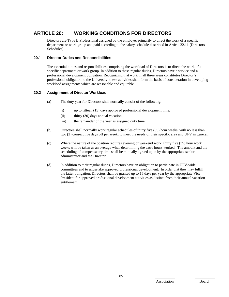## **ARTICLE 20: WORKING CONDITIONS FOR DIRECTORS**

Directors are Type B Professional assigned by the employer primarily to direct the work of a specific department or work group and paid according to the salary schedule described in Article 22.11 (Directors' Schedules).

## **20.1 Director Duties and Responsibilities**

The essential duties and responsibilities comprising the workload of Directors is to direct the work of a specific department or work group. In addition to these regular duties, Directors have a service and a professional development obligation. Recognizing that work in all three areas constitutes Director's professional obligation to the University, these activities shall form the basis of consideration in developing workload assignments which are reasonable and equitable.

## **20.2 Assignment of Director Workload**

- (a) The duty year for Directors shall normally consist of the following:
	- (i) up to fifteen (15) days approved professional development time;
	- (ii) thirty (30) days annual vacation;
	- (iii) the remainder of the year as assigned duty time
- (b) Directors shall normally work regular schedules of thirty five (35) hour weeks, with no less than two (2) consecutive days off per week, to meet the needs of their specific area and UFV in general.
- (c) Where the nature of the position requires evening or weekend work, thirty five (35) hour work weeks will be taken as an average when determining the extra hours worked. The amount and the scheduling of compensatory time shall be mutually agreed upon by the appropriate senior administrator and the Director.
- (d) In addition to their regular duties, Directors have an obligation to participate in UFV-wide committees and to undertake approved professional development. In order that they may fulfill the latter obligation, Directors shall be granted up to 15 days per year by the appropriate Vice President for approved professional development activities as distinct from their annual vacation entitlement.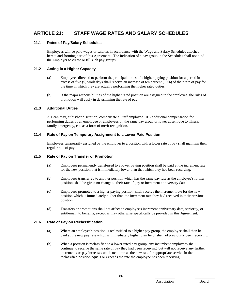## **ARTICLE 21: STAFF WAGE RATES AND SALARY SCHEDULES**

## **21.1 Rates of Pay/Salary Schedules**

Employees will be paid wages or salaries in accordance with the Wage and Salary Schedules attached hereto and forming part of this Agreement. The indication of a pay group in the Schedules shall not bind the Employer to create or fill such pay groups.

## **21.2 Acting in a Higher Capacity**

- (a) Employees directed to perform the principal duties of a higher paying position for a period in excess of five (5) work days shall receive an increase of ten percent (10%) of their rate of pay for the time in which they are actually performing the higher rated duties.
- (b) If the major responsibilities of the higher rated position are assigned to the employee, the rules of promotion will apply in determining the rate of pay.

## **21.3 Additional Duties**

A Dean may, at his/her discretion, compensate a Staff employee 10% additional compensation for performing duties of an employee or employees on the same pay group or lower absent due to illness, family emergency, etc. as a form of merit recognition.

## **21.4 Rate of Pay on Temporary Assignment to a Lower Paid Position**

Employees temporarily assigned by the employer to a position with a lower rate of pay shall maintain their regular rate of pay.

#### **21.5 Rate of Pay on Transfer or Promotion**

- (a) Employees permanently transferred to a lower paying position shall be paid at the increment rate for the new position that is immediately lower than that which they had been receiving.
- (b) Employees transferred to another position which has the same pay rate as the employee's former position, shall be given no change to their rate of pay or increment anniversary date.
- (c) Employees promoted to a higher paying position, shall receive the increment rate for the new position which is immediately higher than the increment rate they had received in their previous position.
- (d) Transfers or promotions shall not affect an employee's increment anniversary date, seniority, or entitlement to benefits, except as may otherwise specifically be provided in this Agreement.

#### **21.6 Rate of Pay on Reclassification**

- (a) Where an employee's position is reclassified to a higher pay group, the employee shall then be paid at the new pay rate which is immediately higher than he or she had previously been receiving.
- (b) When a position is reclassified to a lower rated pay group, any incumbent employees shall continue to receive the same rate of pay they had been receiving, but will not receive any further increments or pay increases until such time as the new rate for appropriate service in the reclassified position equals or exceeds the rate the employee has been receiving.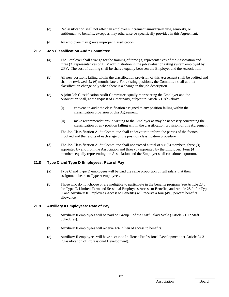- (c) Reclassification shall not affect an employee's increment anniversary date, seniority, or entitlement to benefits, except as may otherwise be specifically provided in this Agreement.
- (d) An employee may grieve improper classification.

#### **21.7 Job Classification Audit Committee**

- (a) The Employer shall arrange for the training of three (3) representatives of the Association and three (3) representatives of UFV administration in the job evaluation rating system employed by UFV. The cost of training shall be shared equally between the Employer and the Association.
- (b) All new positions falling within the classification provision of this Agreement shall be audited and shall be reviewed six (6) months later. For existing positions, the Committee shall audit a classification change only when there is a change in the job description.
- (c) A joint Job Classification Audit Committee equally representing the Employer and the Association shall, at the request of either party, subject to Article 21.7(b) above,
	- (i) convene to audit the classification assigned to any position falling within the classification provision of this Agreement;
	- (ii) make recommendations in writing to the Employer as may be necessary concerning the classification of any position falling within the classification provision of this Agreement.

The Job Classification Audit Committee shall endeavour to inform the parties of the factors involved and the results of each stage of the position classification procedure.

(d) The Job Classification Audit Committee shall not exceed a total of six (6) members, three (3) appointed by and from the Association and three (3) appointed by the Employer. Four (4) members equally representing the Association and the Employer shall constitute a quorum.

#### **21.8 Type C and Type D Employees: Rate of Pay**

- (a) Type C and Type D employees will be paid the same proportion of full salary that their assignment bears to Type A employees.
- (b) Those who do not choose or are ineligible to participate in the benefits program (see Article 28.8, for Type C, Limited Term and Sessional Employees Access to Benefits, and Article 28.9, for Type D and Auxiliary II Employees Access to Benefits) will receive a four (4%) percent benefits allowance.

## **21.9 Auxiliary II Employees: Rate of Pay**

- (a) Auxiliary II employees will be paid on Group 1 of the Staff Salary Scale (Article 21.12 Staff Schedules).
- (b) Auxiliary II employees will receive 4% in lieu of access to benefits.
- (c) Auxiliary II employees will have access to In-House Professional Development per Article 24.3 (Classification of Professional Development).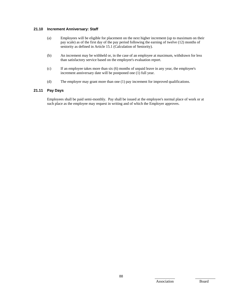### **21.10 Increment Anniversary: Staff**

- (a) Employees will be eligible for placement on the next higher increment (up to maximum on their pay scale) as of the first day of the pay period following the earning of twelve (12) months of seniority as defined in Article 15.1 (Calculation of Seniority).
- (b) An increment may be withheld or, in the case of an employee at maximum, withdrawn for less than satisfactory service based on the employee's evaluation report.
- (c) If an employee takes more than six (6) months of unpaid leave in any year, the employee's increment anniversary date will be postponed one (1) full year.
- (d) The employer may grant more than one (1) pay increment for improved qualifications.

#### **21.11 Pay Days**

Employees shall be paid semi-monthly. Pay shall be issued at the employee's normal place of work or at such place as the employee may request in writing and of which the Employer approves.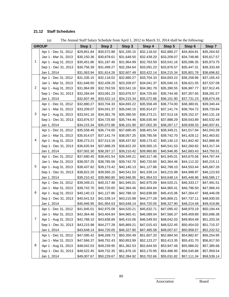## **21.12 Staff Schedules**

(a) The Annual Staff Salary Schedule from April 1, 2012 to March 31, 2014 shall be the following:

|                | <b>GROUP</b>         | Step 1      | Step 2      | Step 3      | Step 4      | Step 5      | Step 6      | Step 7      |
|----------------|----------------------|-------------|-------------|-------------|-------------|-------------|-------------|-------------|
|                | Apr 1 - Dec 31, 2012 | \$29,851.84 | \$30,572.88 | \$31,335.15 | \$32,118.02 | \$32,880.27 | \$34,404.81 | \$35,264.92 |
|                | Jan 1 - Mar 31, 2013 | \$30,150.36 | \$30,878.61 | \$31,648.50 | \$32,439.20 | \$33,209.07 | \$34,748.86 | \$35,617.57 |
| 1              | Apr 1 - Aug 31, 2013 | \$30,451.86 | \$31,187.40 | \$31,964.99 | \$32,763.59 | \$33,541.16 | \$35,096.35 | \$35,973.75 |
|                | Sep 1 - Dec 31, 2013 | \$30,756.38 | \$31,499.27 | \$32,284.64 | \$33,091.23 | \$33,876.57 | \$35,447.31 | \$36,333.49 |
|                | Jan 1, 2014          | \$31,063.94 | \$31,814.26 | \$32,607.49 | \$33,422.14 | \$34,215.34 | \$35,801.78 | \$36,696.82 |
|                | Apr 1 - Dec 31, 2012 | \$31,335.15 | \$32,118.02 | \$32,880.27 | \$33,704.33 | \$34,693.22 | \$36,258.96 | \$37,165.43 |
|                | Jan 1 - Mar 31, 2013 | \$31,648.50 | \$32,439.20 | \$33,209.07 | \$34,041.37 | \$35,040.15 | \$36,621.55 | \$37,537.08 |
| $\overline{2}$ | Apr 1 - Aug 31, 2013 | \$31,964.99 | \$32,763.59 | \$33,541.16 | \$34,381.78 | \$35,390.55 | \$36,987.77 | \$37,912.45 |
|                | Sep 1 - Dec 31, 2013 | \$32,284.64 | \$33,091.23 | \$33,876.57 | \$34,725.60 | \$35,744.46 | \$37,357.65 | \$38,291.57 |
|                | Jan 1, 2014          | \$32,607.49 | \$33,422.14 | \$34,215.34 | \$35,072.86 | \$36,101.90 | \$37,731.23 | \$38,674.49 |
|                | Apr 1 - Dec 31, 2012 | \$32,880.27 | \$33,704.33 | \$34,693.22 | \$35,558.49 | \$36,774.00 | \$38,380.91 | \$39,340.44 |
|                | Jan 1 - Mar 31, 2013 | \$33,209.07 | \$34,041.37 | \$35,040.15 | \$35,914.07 | \$37,141.74 | \$38,764.72 | \$39,733.84 |
| 3              | Apr 1 - Aug 31, 2013 | \$33,541.16 | \$34,381.78 | \$35,390.55 | \$36,273.21 | \$37,513.16 | \$39,152.37 | \$40,131.18 |
|                | Sep 1 - Dec 31, 2013 | \$33,876.57 | \$34,725.60 | \$35,744.46 | \$36,635.94 | \$37,888.29 | \$39,543.89 | \$40,532.49 |
|                | Jan 1, 2014          | \$34,215.34 | \$35,072.86 | \$36,101.90 | \$37,002.30 | \$38,267.17 | \$39,939.33 | \$40,937.81 |
|                | Apr 1 - Dec 31, 2012 | \$35,558.49 | \$36,774.00 | \$37,680.45 | \$38,401.54 | \$39,349.21 | \$41,017.94 | \$42,043.39 |
|                | Jan 1 - Mar 31, 2013 | \$35,914.07 | \$37,141.74 | \$38,057.25 | \$38,785.56 | \$39,742.70 | \$41,428.12 | \$42,463.82 |
| 4              | Apr 1 - Aug 31, 2013 | \$36,273.21 | \$37,513.16 | \$38,437.82 | \$39,173.42 | \$40,140.13 | \$41,842.40 | \$42,888.46 |
|                | Sep 1 - Dec 31, 2013 | \$36,635.94 | \$37,888.29 | \$38,822.20 | \$39,565.15 | \$40,541.53 | \$42,260.82 | \$43,317.34 |
|                | Jan 1, 2014          | \$37,002.30 | \$38,267.17 | \$39,210.42 | \$39,960.80 | \$40,946.95 | \$42,683.43 | \$43,750.51 |
|                | Apr 1 - Dec 31, 2012 | \$37,680.45 | \$38,401.54 | \$39,349.21 | \$40,317.48 | \$41,945.01 | \$43,675.56 | \$44,767.44 |
|                | Jan 1 - Mar 31, 2013 | \$38,057.25 | \$38,785.56 | \$39,742.70 | \$40,720.65 | \$42,364.46 | \$44,112.32 | \$45,215.11 |
| 5              | Apr 1 - Aug 31, 2013 | \$38,437.82 | \$39,173.42 | \$40,140.13 | \$41,127.86 | \$42,788.10 | \$44,553.44 | \$45,667.26 |
|                | Sep 1 - Dec 31, 2013 | \$38,822.20 | \$39,565.15 | \$40,541.53 | \$41,539.14 | \$43,215.98 | \$44,998.97 | \$46,123.93 |
|                | Jan 1, 2014          | \$39,210.42 | \$39,960.80 | \$40,946.95 | \$41,954.53 | \$43,648.14 | \$45,448.96 | \$46,585.17 |
|                | Apr 1 - Dec 31, 2012 | \$39,349.21 | \$40,317.48 | \$41,945.01 | \$42,975.09 | \$44,520.21 | \$46,333.17 | \$47,491.51 |
|                | Jan 1 - Mar 31, 2013 | \$39,742.70 | \$40,720.65 | \$42,364.46 | \$43,404.84 | \$44,965.41 | \$46,796.50 | \$47,966.43 |
| 6              | Apr 1 - Aug 31, 2013 | \$40,140.13 | \$41,127.86 | \$42,788.10 | \$43,838.89 | \$45,415.06 | \$47,264.47 | \$48,446.09 |
|                | Sep 1 - Dec 31, 2013 | \$40,541.53 | \$41,539.14 | \$43,215.98 | \$44,277.28 | \$45,869.21 | \$47,737.11 | \$48,930.55 |
|                | Jan 1, 2014          | \$40,946.95 | \$41,954.53 | \$43,648.14 | \$44,720.05 | \$46,327.90 | \$48,214.48 | \$49,419.86 |
|                | Apr 1 - Dec 31, 2012 | \$41,945.01 | \$42,975.09 | \$44,520.21 | \$45,632.71 | \$47,095.42 | \$48,970.19 | \$50,194.44 |
|                | Jan 1 - Mar 31, 2013 | \$42,364.46 | \$43,404.84 | \$44,965.41 | \$46,089.04 | \$47,566.37 | \$49,459.89 | \$50,696.38 |
| 7              | Apr 1 - Aug 31, 2013 | \$42,788.10 | \$43,838.89 | \$45,415.06 | \$46,549.93 | \$48,042.03 | \$49,954.49 | \$51,203.34 |
|                | Sep 1 - Dec 31, 2013 | \$43,215.98 | \$44,277.28 | \$45,869.21 | \$47,015.43 | \$48,522.45 | \$50,454.03 | \$51,715.37 |
|                | Jan 1, 2014          | \$43,648.14 | \$44,720.05 | \$46,327.90 | \$47,485.58 | \$49,007.67 | \$50,958.57 | \$52,232.52 |
|                | Apr 1 - Dec 31, 2012 | \$47,095.42 | \$48,269.73 | \$50,350.49 | \$51,607.20 | \$52,884.50 | \$54,882.87 | \$56,254.95 |
|                | Jan 1 - Mar 31, 2013 | \$47,566.37 | \$48,752.43 | \$50,853.99 | \$52,123.27 | \$53,413.35 | \$55,431.70 | \$56,817.50 |
| 8              | Apr 1 - Aug 31, 2013 | \$48,042.03 | \$49,239.95 | \$51,362.53 | \$52,644.50 | \$53,947.48 | \$55,986.02 | \$57,385.68 |
|                | Sep 1 - Dec 31, 2013 | \$48,522.45 | \$49,732.35 | \$51,876.16 | \$53,170.95 | \$54,486.95 | \$56,545.88 | \$57,959.54 |
|                | Jan 1, 2014          | \$49,007.67 | \$50,229.67 | \$52,394.92 | \$53,702.66 | \$55,031.82 | \$57,111.34 | \$58,539.14 |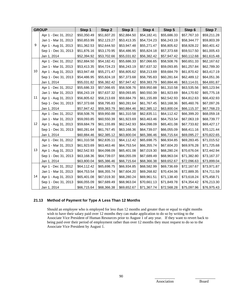|    | <b>GROUP</b>         | Step 1      | Step 2      | Step 3      | Step 4      | Step 5      | Step 6      | Step 7      |
|----|----------------------|-------------|-------------|-------------|-------------|-------------|-------------|-------------|
|    | Apr 1 - Dec 31, 2012 | \$50,350.49 | \$51,607.20 | \$52,884.50 | \$54,182.41 | \$55,686.33 | \$57,767.10 | \$59,211.28 |
|    | Jan 1 - Mar 31, 2013 | \$50,853.99 | \$52,123.27 | \$53,413.35 | \$54,724.23 | \$56,243.19 | \$58,344.77 | \$59,803.39 |
| 9  | Apr 1 - Aug 31, 2013 | \$51,362.53 | \$52,644.50 | \$53,947.48 | \$55,271.47 | \$56,805.62 | \$58,928.22 | \$60,401.42 |
|    | Sep 1 - Dec 31, 2013 | \$51,876.16 | \$53,170.95 | \$54,486.95 | \$55,824.18 | \$57,373.68 | \$59,517.50 | \$61,005.43 |
|    | Jan 1, 2014          | \$52,394.92 | \$53,702.66 | \$55,031.82 | \$56,382.42 | \$57,947.42 | \$60,112.68 | \$61,615.48 |
|    | Apr 1 - Dec 31, 2012 | \$52,884.50 | \$54,182.41 | \$55,686.33 | \$57,066.65 | \$58,508.76 | \$60,651.33 | \$62,167.62 |
|    | Jan 1 - Mar 31, 2013 | \$53,413.35 | \$54,724.23 | \$56,243.19 | \$57,637.32 | \$59,093.85 | \$61,257.84 | \$62,789.30 |
| 10 | Apr 1 - Aug 31, 2013 | \$53,947.48 | \$55,271.47 | \$56,805.62 | \$58,213.69 | \$59,684.79 | \$61,870.42 | \$63,417.19 |
|    | Sep 1 - Dec 31, 2013 | \$54,486.95 | \$55,824.18 | \$57,373.68 | \$58,795.83 | \$60,281.64 | \$62,489.12 | \$64,051.36 |
|    | Jan 1, 2014          | \$55,031.82 | \$56,382.42 | \$57,947.42 | \$59,383.79 | \$60,884.46 | \$63,114.01 | \$64,691.87 |
|    | Apr 1 - Dec 31, 2012 | \$55,686.33 | \$57,066.65 | \$58,508.76 | \$59,950.88 | \$61,310.58 | \$63,535.56 | \$65,123.94 |
|    | Jan 1 - Mar 31, 2013 | \$56,243.19 | \$57,637.32 | \$59,093.85 | \$60,550.39 | \$61,923.69 | \$64,170.92 | \$65,775.18 |
| 11 | Apr 1 - Aug 31, 2013 | \$56,805.62 | \$58,213.69 | \$59,684.79 | \$61,155.89 | \$62,542.93 | \$64,812.63 | \$66,432.93 |
|    | Sep 1 - Dec 31, 2013 | \$57,373.68 | \$58,795.83 | \$60,281.64 | \$61,767.45 | \$63,168.36 | \$65,460.76 | \$67,097.26 |
|    | Jan 1, 2014          | \$57,947.42 | \$59,383.79 | \$60,884.46 | \$62,385.12 | \$63,800.04 | \$66,115.37 | \$67,768.23 |
|    | Apr 1 - Dec 31, 2012 | \$58,508.76 | \$59,950.88 | \$61,310.58 | \$62,835.11 | \$64,112.42 | \$66,399.20 | \$68,059.18 |
|    | Jan 1 - Mar 31, 2013 | \$59,093.85 | \$60,550.39 | \$61,923.69 | \$63,463.46 | \$64,753.54 | \$67,063.19 | \$68,739.77 |
| 12 | Apr 1 - Aug 31, 2013 | \$59,684.79 | \$61,155.89 | \$62,542.93 | \$64,098.09 | \$65,401.08 | \$67,733.82 | \$69,427.17 |
|    | Sep 1 - Dec 31, 2013 | \$60,281.64 | \$61,767.45 | \$63,168.36 | \$64,739.07 | \$66,055.09 | \$68,411.16 | \$70,121.44 |
|    | Jan 1, 2014          | \$60,884.46 | \$62,385.12 | \$63,800.04 | \$65,386.46 | \$66,715.64 | \$69,095.27 | \$70,822.65 |
|    | Apr 1 - Dec 31, 2012 | \$61,310.58 | \$62,835.11 | \$64,112.42 | \$65,698.75 | \$66,934.85 | \$69,283.45 | \$71,015.52 |
|    | Jan 1 - Mar 31, 2013 | \$61,923.69 | \$63,463.46 | \$64,753.54 | \$66,355.74 | \$67,604.20 | \$69,976.28 | \$71,725.68 |
| 13 | Apr 1 - Aug 31, 2013 | \$62,542.93 | \$64,098.09 | \$65,401.08 | \$67,019.30 | \$68,280.24 | \$70,676.04 | \$72,442.94 |
|    | Sep 1 - Dec 31, 2013 | \$63,168.36 | \$64,739.07 | \$66,055.09 | \$67,689.49 | \$68,963.04 | \$71,382.80 | \$73,167.37 |
|    | Jan 1, 2014          | \$63,800.04 | \$65,386.46 | \$66,715.64 | \$68,366.38 | \$69,652.67 | \$72,096.63 | \$73,899.04 |
|    | Apr 1 - Dec 31, 2012 | \$64,112.42 | \$65,698.75 | \$66,934.85 | \$68,582.99 | \$69,736.69 | \$72,167.67 | \$73,971.87 |
|    | Jan 1 - Mar 31, 2013 | \$64,753.54 | \$66,355.74 | \$67,604.20 | \$69,268.82 | \$70,434.06 | \$72,889.35 | \$74,711.59 |
| 14 | Apr 1 - Aug 31, 2013 | \$65,401.08 | \$67,019.30 | \$68,280.24 | \$69,961.51 | \$71,138.40 | \$73,618.24 | \$75,458.71 |
|    | Sep 1 - Dec 31, 2013 | \$66,055.09 | \$67,689.49 | \$68,963.04 | \$70,661.13 | \$71,849.78 | \$74,354.42 | \$76,213.30 |
|    | Jan 1, 2014          | \$66,715.64 | \$68,366.38 | \$69,652.67 | \$71,367.74 | \$72,568.28 | \$75,097.96 | \$76,975.43 |

## **21.13 Method of Payment for Type A Less Than 12 Months**

Should an employee who is employed for less than 12 months and greater than or equal to eight months wish to have their salary paid over 12 months they can make application to do so by writing to the Associate Vice President of Human Resources prior to August 1 of any year. If they want to revert back to being paid over their period of employment rather than over 12 months they must request to do so to the Associate Vice President by August 1.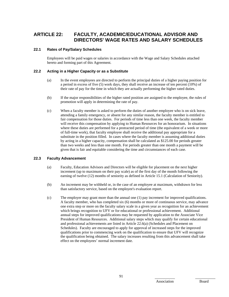# **ARTICLE 22: FACULTY, ACADEMIC/EDUCATIONAL ADVISOR AND DIRECTORS' WAGE RATES AND SALARY SCHEDULES**

## **22.1 Rates of Pay/Salary Schedules**

Employees will be paid wages or salaries in accordance with the Wage and Salary Schedules attached hereto and forming part of this Agreement.

## **22.2 Acting in a Higher Capacity or as a Substitute**

- (a) In the event employees are directed to perform the principal duties of a higher paying position for a period in excess of five (5) work days, they shall receive an increase of ten percent (10%) of their rate of pay for the time in which they are actually performing the higher rated duties.
- (b) If the major responsibilities of the higher rated position are assigned to the employee, the rules of promotion will apply in determining the rate of pay.
- (c) When a faculty member is asked to perform the duties of another employee who is on sick leave, attending a family emergency, or absent for any similar reason, the faculty member is entitled to fair compensation for those duties. For periods of time less than one week, the faculty member will receive this compensation by applying to Human Resources for an honorarium. In situations where these duties are performed for a protracted period of time (the equivalent of a week or more of full-time work), that faculty employee shall receive the additional pay appropriate for a substitute in the position filled. In cases where the faculty member is assuming additional duties by acting in a higher capacity, compensation shall be calculated as \$125.00 for periods greater than two weeks and less than one month. For periods greater than one month a payment will be given that is fair and equitable considering the time and circumstances of each case.

#### **22.3 Faculty Advancement**

- (a) Faculty, Education Advisors and Directors will be eligible for placement on the next higher increment (up to maximum on their pay scale) as of the first day of the month following the earning of twelve (12) months of seniority as defined in Article 15.1 (Calculation of Seniority).
- (b) An increment may be withheld or, in the case of an employee at maximum, withdrawn for less than satisfactory service, based on the employee's evaluation report.
- (c) The employer may grant more than the annual one (1) pay increment for improved qualifications. A faculty member, who has completed six (6) months or more of continuous service, may advance one extra step or more on the faculty salary scale in a given year as recognition for an achievement which brings recognition to UFV or for educational or professional achievement. Additional annual steps for improved qualifications may be requested by application to the Associate Vice President of Human Resources. Additional salary steps which may qualify for certain educational and professional achievements are listed in Article 22.6(a) (Schedules and Placement on Schedules). Faculty are encouraged to apply for approval of increased steps for the improved qualifications prior to commencing work on the qualification to ensure that UFV will recognize the qualification being obtained. The salary increases resulting from this advancement shall take effect on the employees' normal increment date.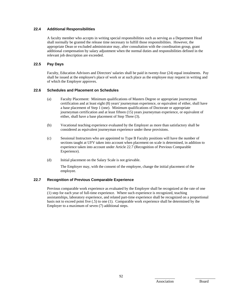## **22.4 Additional Responsibilities**

A faculty member who accepts in writing special responsibilities such as serving as a Department Head shall normally be granted the release time necessary to fulfill those responsibilities. However, the appropriate Dean or excluded administrator may, after consultation with the coordination group, grant additional compensation by salary adjustment when the normal duties and responsibilities defined in the relevant job description are exceeded.

## **22.5 Pay Days**

Faculty, Education Advisors and Directors' salaries shall be paid in twenty-four (24) equal instalments. Pay shall be issued at the employee's place of work or at such place as the employee may request in writing and of which the Employer approves.

#### **22.6 Schedules and Placement on Schedules**

- (a) Faculty Placement: Minimum qualifications of Masters Degree or appropriate journeyman certification and at least eight (8) years' journeyman experience, or equivalent of either, shall have a base placement of Step 1 (one). Minimum qualifications of Doctorate or appropriate journeyman certification and at least fifteen (15) years journeyman experience, or equivalent of either, shall have a base placement of Step Three (3).
- (b) Vocational teaching experience evaluated by the Employer as more than satisfactory shall be considered as equivalent journeyman experience under these provisions.
- (c) Sessional Instructors who are appointed to Type B Faculty positions will have the number of sections taught at UFV taken into account when placement on scale is determined, in addition to experience taken into account under Article 22.7 (Recognition of Previous Comparable Experience).
- (d) Initial placement on the Salary Scale is not grievable.

The Employer may, with the consent of the employee, change the initial placement of the employee.

## **22.7 Recognition of Previous Comparable Experience**

Previous comparable work experience as evaluated by the Employer shall be recognized at the rate of one (1) step for each year of full-time experience. Where such experience is recognized, teaching assistantships, laboratory experience, and related part-time experience shall be recognized on a proportional basis not to exceed point five (.5) to one (1). Comparable work experience shall be determined by the Employer to a maximum of seven (7) additional steps.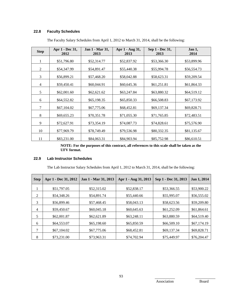## **22.8 Faculty Schedules**

| <b>Step</b>    | Apr 1 - Dec 31,<br>2012 | Jan 1 - Mar 31,<br>2013 | Apr 1 - Aug 31,<br>2013 | Sep 1 - Dec 31,<br>2013 | Jan 1,<br>2014 |
|----------------|-------------------------|-------------------------|-------------------------|-------------------------|----------------|
| 1              | \$51,796.80             | \$52,314.77             | \$52,837.92             | \$53,366.30             | \$53,899.96    |
| 2              | \$54,347.99             | \$54,891.47             | \$55,440.38             | \$55,994.78             | \$56,554.73    |
| 3              | \$56,899.21             | \$57,468.20             | \$58,042.88             | \$58,623.31             | \$59,209.54    |
| $\overline{4}$ | \$59,450.41             | \$60,044.91             | \$60,645.36             | \$61,251.81             | \$61,864.33    |
| 5              | \$62,001.60             | \$62,621.62             | \$63,247.84             | \$63,880.32             | \$64,519.12    |
| 6              | \$64,552.82             | \$65,198.35             | \$65,850.33             | \$66,508.83             | \$67,173.92    |
| 7              | \$67,104.02             | \$67,775.06             | \$68,452.81             | \$69,137.34             | \$69,828.71    |
| 8              | \$69,655.23             | \$70,351.78             | \$71,055.30             | \$71,765.85             | \$72,483.51    |
| 9              | \$72,627.91             | \$73,354.19             | \$74,087.73             | \$74,828.61             | \$75,576.90    |
| 10             | \$77,969.79             | \$78,749.49             | \$79,536.98             | \$80,332.35             | \$81,135.67    |
| 11             | \$83,231.00             | \$84,063.31             | \$84,903.94             | \$85,752.98             | \$86,610.51    |

The Faculty Salary Schedules from April 1, 2012 to March 31, 2014, shall be the following:

**NOTE: For the purposes of this contract, all references to this scale shall be taken as the UFV format.** 

#### **22.9 Lab Instructor Schedules**

The Lab Instructor Salary Schedules from April 1, 2012 to March 31, 2014, shall be the following:

| <b>Step</b> | Apr 1 - Dec 31, 2012 | Jan 1 - Mar 31, 2013 | Apr 1 - Aug 31, 2013 | Sep 1 - Dec 31, 2013 | Jan 1, 2014 |
|-------------|----------------------|----------------------|----------------------|----------------------|-------------|
|             | \$51,797.05          | \$52,315.02          | \$52,838.17          | \$53,366.55          | \$53,900.22 |
| 2           | \$54,348.26          | \$54,891.74          | \$55,440.66          | \$55,995.07          | \$56,555.02 |
| 3           | \$56,899.46          | \$57,468.45          | \$58,043.13          | \$58,623.56          | \$59,209.80 |
| 4           | \$59,450.67          | \$60,045.18          | \$60,645.63          | \$61,252.09          | \$61,864.61 |
| 5           | \$62,001.87          | \$62,621.89          | \$63,248.11          | \$63,880.59          | \$64,519.40 |
| 6           | \$64,553.07          | \$65,198.60          | \$65,850.59          | \$66,509.10          | \$67,174.19 |
|             | \$67,104.02          | \$67,775.06          | \$68,452.81          | \$69,137.34          | \$69,828.71 |
| 8           | \$73,231.00          | \$73,963.31          | \$74,702.94          | \$75,449.97          | \$76,204.47 |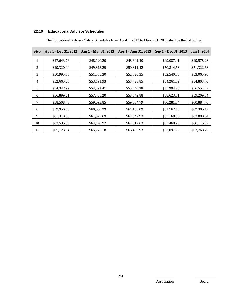## **22.10 Educational Advisor Schedules**

| <b>Step</b>    | Apr 1 - Dec 31, 2012 | Jan 1 - Mar 31, 2013 | Apr 1 - Aug 31, 2013 | Sep 1 - Dec 31, 2013 | Jan 1, 2014 |
|----------------|----------------------|----------------------|----------------------|----------------------|-------------|
| 1              | \$47,643.76          | \$48,120.20          | \$48,601.40          | \$49,087.41          | \$49,578.28 |
| $\overline{c}$ | \$49,320.09          | \$49,813.29          | \$50,311.42          | \$50,814.53          | \$51,322.68 |
| 3              | \$50,995.35          | \$51,505.30          | \$52,020.35          | \$52,540.55          | \$53,065.96 |
| 4              | \$52,665.28          | \$53,191.93          | \$53,723.85          | \$54,261.09          | \$54,803.70 |
| 5              | \$54,347.99          | \$54,891.47          | \$55,440.38          | \$55,994.78          | \$56,554.73 |
| 6              | \$56,899.21          | \$57,468.20          | \$58,042.88          | \$58,623.31          | \$59,209.54 |
| 7              | \$58,508.76          | \$59,093.85          | \$59,684.79          | \$60,281.64          | \$60,884.46 |
| 8              | \$59,950.88          | \$60,550.39          | \$61,155.89          | \$61,767.45          | \$62,385.12 |
| 9              | \$61,310.58          | \$61,923.69          | \$62,542.93          | \$63,168.36          | \$63,800.04 |
| 10             | \$63,535.56          | \$64,170.92          | \$64,812.63          | \$65,460.76          | \$66,115.37 |
| 11             | \$65,123.94          | \$65,775.18          | \$66,432.93          | \$67,097.26          | \$67,768.23 |

The Educational Advisor Salary Schedules from April 1, 2012 to March 31, 2014 shall be the following: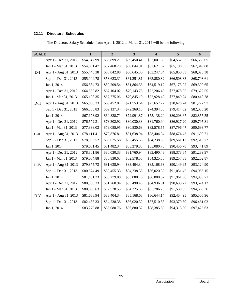## **22.11 Directors' Schedules**

| <b>SCALE</b> |                      | $\mathbf{1}$ | $\overline{2}$ | $\overline{3}$ | $\overline{\mathbf{4}}$ | 5           | 6           |
|--------------|----------------------|--------------|----------------|----------------|-------------------------|-------------|-------------|
|              | Apr 1 - Dec 31, 2012 | \$54,347.99  | \$56,899.21    | \$59,450.41    | \$62,001.60             | \$64,552.82 | \$66,683.05 |
|              | Jan 1 - Mar 31, 2013 | \$54,891.47  | \$57,468.20    | \$60,044.91    | \$62,621.62             | \$65,198.35 | \$67,349.88 |
| $D-I$        | Apr 1 - Aug 31, 2013 | \$55,440.38  | \$58,042.88    | \$60,645.36    | \$63,247.84             | \$65,850.33 | \$68,023.38 |
|              | Sep 1 - Dec 31, 2013 | \$55,994.78  | \$58,623.31    | \$61,251.81    | \$63,880.32             | \$66,508.83 | \$68,703.61 |
|              | Jan 1, 2014          | \$56,554.73  | \$59,209.54    | \$61,864.33    | \$64,519.12             | \$67,173.92 | \$69,390.65 |
|              | Apr 1 - Dec 31, 2012 | \$64,552.82  | \$67,104.02    | \$70,143.75    | \$72,206.43             | \$77,078.95 | \$79,622.55 |
|              | Jan 1 - Mar 31, 2013 | \$65,198.35  | \$67,775.06    | \$70,845.19    | \$72,928.49             | \$77,849.74 | \$80,418.78 |
| $D-II$       | Apr 1 - Aug 31, 2013 | \$65,850.33  | \$68,452.81    | \$71,553.64    | \$73,657.77             | \$78,628.24 | \$81,222.97 |
|              | Sep 1 - Dec 31, 2013 | \$66,508.83  | \$69,137.34    | \$72,269.18    | \$74,394.35             | \$79,414.52 | \$82,035.20 |
|              | Jan 1, 2014          | \$67,173.92  | \$69,828.71    | \$72,991.87    | \$75,138.29             | \$80,208.67 | \$82,855.55 |
|              | Apr 1 - Dec 31, 2012 | \$76,572.31  | \$78,302.92    | \$80,030.33    | \$81,760.94             | \$86,927.20 | \$89,795.81 |
|              | Jan 1 - Mar 31, 2013 | \$77,338.03  | \$79,085.95    | \$80,830.63    | \$82,578.55             | \$87,796.47 | \$90,693.77 |
| $D-III$      | Apr 1 - Aug 31, 2013 | \$78,111.41  | \$79,876.81    | \$81,638.94    | \$83,404.34             | \$88,674.43 | \$91,600.71 |
|              | Sep 1 - Dec 31, 2013 | \$78,892.52  | \$80,675.58    | \$82,455.33    | \$84,238.38             | \$89,561.17 | \$92,516.72 |
|              | Jan 1, 2014          | \$79,681.45  | \$81,482.34    | \$83,279.88    | \$85,080.76             | \$90,456.78 | \$93,441.89 |
|              | Apr 1 - Dec 31, 2012 | \$78,301.86  | \$80,030.33    | \$81,760.94    | \$83,490.48             | \$88,373.64 | \$91,289.97 |
|              | Jan 1 - Mar 31, 2013 | \$79,084.88  | \$80,830.63    | \$82,578.55    | \$84,325.38             | \$89,257.38 | \$92,202.87 |
| $D$ -IV      | Apr 1 - Aug 31, 2013 | \$79,875.73  | \$81,638.94    | \$83,404.34    | \$85,168.63             | \$90,149.95 | \$93,124.90 |
|              | Sep 1 - Dec 31, 2013 | \$80,674.49  | \$82,455.33    | \$84,238.38    | \$86,020.32             | \$91,051.45 | \$94,056.15 |
|              | Jan 1, 2014          | \$81,481.23  | \$83,279.88    | \$85,080.76    | \$86,880.52             | \$91,961.96 | \$94,996.71 |
|              | Apr 1 - Dec 31, 2012 | \$80,030.33  | \$81,760.94    | \$83,490.48    | \$84,936.91             | \$90,633.22 | \$93,624.12 |
|              | Jan 1 - Mar 31, 2013 | \$80,830.63  | \$82,578.55    | \$84,325.38    | \$85,786.28             | \$91,539.55 | \$94,560.36 |
| $D-V$        | Apr 1 - Aug 31, 2013 | \$81,638.94  | \$83,404.34    | \$85,168.63    | \$86,644.14             | \$92,454.95 | \$95,505.96 |
|              | Sep 1 - Dec 31, 2013 | \$82,455.33  | \$84,238.38    | \$86,020.32    | \$87,510.58             | \$93,379.50 | \$96,461.02 |
|              | Jan 1, 2014          | \$83,279.88  | \$85,080.76    | \$86,880.52    | \$88,385.69             | \$94,313.30 | \$97,425.63 |

The Directors' Salary Schedule, from April 1, 2012 to March 31, 2014 will be the following: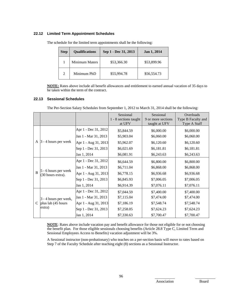#### **22.12 Limited Term Appointment Schedules**

| <b>Step</b>    | <b>Qualifications</b> | Sep 1 - Dec 31, 2013 |             |  |
|----------------|-----------------------|----------------------|-------------|--|
|                | Minimum Maters        | \$53,366.30          | \$53,899.96 |  |
| $\mathfrak{D}$ | Minimum PhD           | \$55,994.78          | \$56,554.73 |  |

The schedule for the limited term appointments shall be the following:

**NOTE:** Rates above include all benefit allowances and entitlement to earned annual vacation of 35 days to be taken within the term of the contract.

#### **22.13 Sessional Schedules**

The Per-Section Salary Schedules from September 1, 2012 to March 31, 2014 shall be the following:

|                |                                           |                      |                       | Sessional          | Overloads          |
|----------------|-------------------------------------------|----------------------|-----------------------|--------------------|--------------------|
|                |                                           |                      | 1 - 8 sections taught | 9 or more sections | Type B Faculty and |
|                |                                           |                      | at UFV                | taught at UFV      | Type A Staff       |
|                |                                           | Apr 1 - Dec 31, 2012 | \$5,844.59            | \$6,000.00         | \$6,000.00         |
|                |                                           | Jan 1 - Mar 31, 2013 | \$5,903.04            | \$6,060.00         | \$6,060.00         |
|                | A $\beta$ - 4 hours per week              | Apr 1 - Aug 31, 2013 | \$5,962.07            | \$6,120.60         | \$6,120.60         |
|                |                                           | Sep 1 - Dec 31, 2013 | \$6,021.69            | \$6,181.81         | \$6,181.81         |
|                |                                           | Jan 1, 2014          | \$6,081.91            | \$6,243.63         | \$6,243.63         |
|                |                                           | Apr 1 - Dec 31, 2012 | \$6,644.59            | \$6,800.00         | \$6,800.00         |
|                |                                           | Jan 1 - Mar 31, 2013 | \$6,711.04            | \$6,868.00         | \$6,868.00         |
| $\overline{B}$ | 5 - 6 hours per week<br>(30 hours extra). | Apr 1 - Aug 31, 2013 | \$6,778.15            | \$6,936.68         | \$6,936.68         |
|                |                                           | Sep 1 - Dec 31, 2013 | \$6,845.93            | \$7,006.05         | \$7,006.05         |
|                |                                           | Jan 1, 2014          | \$6,914.39            | \$7,076.11         | \$7,076.11         |
|                |                                           | Apr 1 - Dec 31, 2012 | \$7,044.59            | \$7,400.00         | \$7,400.00         |
|                | 3 - 4 hours per week,                     | Jan 1 - Mar 31, 2013 | \$7,115.04            | \$7,474.00         | \$7,474.00         |
| C              | plus lab (45 hours                        | Apr 1 - Aug 31, 2013 | \$7,186.19            | \$7,548.74         | \$7,548.74         |
|                | extra)                                    | Sep 1 - Dec 31, 2013 | \$7,258.05            | \$7,624.23         | \$7,624.23         |
|                |                                           | Jan 1, 2014          | \$7,330.63            | \$7,700.47         | \$7,700.47         |

**NOTE**: Rates above include vacation pay and benefit allowance for those not eligible for or not choosing the benefit plan. For those eligible sessionals choosing benefits (Article 28.8 Type C, Limited Term and Sessional Employees Access to Benefits) vacation adjustment will be 3%.

A Sessional instructor (non-probationary) who teaches on a per-section basis will move to rates based on Step 7 of the Faculty Schedule after teaching eight (8) sections as a Sessional Instructor.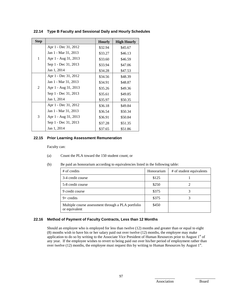| <b>Step</b>    |                      | <b>Hourly</b> | <b>High Hourly</b> |
|----------------|----------------------|---------------|--------------------|
|                | Apr 1 - Dec 31, 2012 | \$32.94       | \$45.67            |
|                | Jan 1 - Mar 31, 2013 | \$33.27       | \$46.13            |
| 1              | Apr 1 - Aug 31, 2013 | \$33.60       | \$46.59            |
|                | Sep 1 - Dec 31, 2013 | \$33.94       | \$47.06            |
|                | Jan 1, 2014          | \$34.28       | \$47.53            |
|                | Apr 1 - Dec 31, 2012 | \$34.56       | \$48.39            |
|                | Jan 1 - Mar 31, 2013 | \$34.91       | \$48.87            |
| $\overline{2}$ | Apr 1 - Aug 31, 2013 | \$35.26       | \$49.36            |
|                | Sep 1 - Dec 31, 2013 | \$35.61       | \$49.85            |
|                | Jan 1, 2014          | \$35.97       | \$50.35            |
|                | Apr 1 - Dec 31, 2012 | \$36.18       | \$49.84            |
|                | Jan 1 - Mar 31, 2013 | \$36.54       | \$50.34            |
| 3              | Apr 1 - Aug 31, 2013 | \$36.91       | \$50.84            |
|                | Sep 1 - Dec 31, 2013 | \$37.28       | \$51.35            |
|                | Jan 1, 2014          | \$37.65       | \$51.86            |

**22.14 Type B Faculty and Sessional Daily and Hourly Schedules** 

#### **22.15 Prior Learning Assessment Remuneration**

Faculty can:

- (a) Count the PLA toward the 150 student count; or
- (b) Be paid an honorarium according to equivalencies listed in the following table:

| # of credits                                                        | Honorarium | # of student equivalents |
|---------------------------------------------------------------------|------------|--------------------------|
| 3-4 credit course                                                   | \$125      |                          |
| 5-8 credit course                                                   | \$250      |                          |
| 9 credit course                                                     | \$375      |                          |
| $9+$ credits                                                        | \$375      |                          |
| Multiple course assessment through a PLA portfolio<br>or equivalent | \$450      |                          |

## **22.16 Method of Payment of Faculty Contracts, Less than 12 Months**

Should an employee who is employed for less than twelve (12) months and greater than or equal to eight (8) months wish to have his or her salary paid out over twelve (12) months, the employee may make application to do so by writing to the Associate Vice President of Human Resources prior to August 1st of any year. If the employee wishes to revert to being paid out over his/her period of employment rather than over twelve  $(12)$  months, the employee must request this by writing to Human Resources by August  $1<sup>st</sup>$ .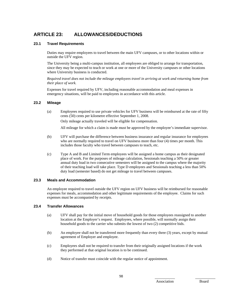# **ARTICLE 23: ALLOWANCES/DEDUCTIONS**

## **23.1 Travel Requirements**

Duties may require employees to travel between the main UFV campuses, or to other locations within or outside the UFV region.

The University being a multi-campus institution, all employees are obliged to arrange for transportation, since they may be expected to teach or work at one or more of the University campuses or other locations where University business is conducted.

*Required travel does not include the mileage employees travel in arriving at work and returning home from their place of work.*

Expenses for travel required by UFV, including reasonable accommodation and meal expenses in emergency situations, will be paid to employees in accordance with this article.

#### **23.2 Mileage**

(a) Employees required to use private vehicles for UFV business will be reimbursed at the rate of fifty cents (50) cents per kilometre effective September 1, 2008.

Only mileage actually traveled will be eligible for compensation.

All mileage for which a claim is made must be approved by the employee's immediate supervisor.

- (b) UFV will purchase the difference between business insurance and regular insurance for employees who are normally required to travel on UFV business more than four (4) times per month. This includes those faculty who travel between campuses to teach, etc.
- (c) Type A and B and Limited Term employees will be assigned a home campus as their designated place of work. For the purposes of mileage calculation, Sessionals teaching a 50% or greater annual duty load in two consecutive semesters will be assigned to the campus where the majority of their teaching load will take place. Type D employees and Sessionals teaching a less than 50% duty load (semester based) do not get mileage to travel between campuses.

### **23.3 Meals and Accommodation**

An employee required to travel outside the UFV region on UFV business will be reimbursed for reasonable expenses for meals, accommodation and other legitimate requirements of the employee. Claims for such expenses must be accompanied by receipts.

## **23.4 Transfer Allowances**

- (a) UFV shall pay for the initial move of household goods for those employees reassigned to another location at the Employer's request. Employees, where possible, will normally assign their household goods to the carrier who submits the lowest of two (2) competitive bids.
- (b) An employee shall not be transferred more frequently than every three (3) years, except by mutual agreement of Employer and employee.
- (c) Employees shall not be required to transfer from their originally assigned locations if the work they performed at that original location is to be continued.
- (d) Notice of transfer must coincide with the regular notice of appointment.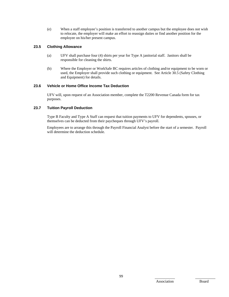(e) When a staff employee's position is transferred to another campus but the employee does not wish to relocate, the employer will make an effort to reassign duties or find another position for the employee on his/her present campus.

## **23.5 Clothing Allowance**

- (a) UFV shall purchase four (4) shirts per year for Type A janitorial staff. Janitors shall be responsible for cleaning the shirts.
- (b) Where the Employer or WorkSafe BC requires articles of clothing and/or equipment to be worn or used, the Employer shall provide such clothing or equipment. See Article 30.5 (Safety Clothing and Equipment) for details.

## **23.6 Vehicle or Home Office Income Tax Deduction**

UFV will, upon request of an Association member, complete the T2200 Revenue Canada form for tax purposes.

## **23.7 Tuition Payroll Deduction**

Type B Faculty and Type A Staff can request that tuition payments to UFV for dependents, spouses, or themselves can be deducted from their paycheques through UFV's payroll.

Employees are to arrange this through the Payroll Financial Analyst before the start of a semester. Payroll will determine the deduction schedule.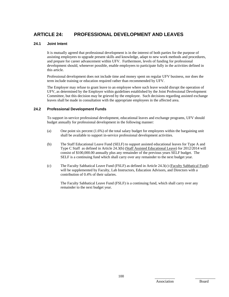# **ARTICLE 24: PROFESSIONAL DEVELOPMENT AND LEAVES**

## **24.1 Joint Intent**

It is mutually agreed that professional development is in the interest of both parties for the purpose of assisting employees to upgrade present skills and knowledge, adapt to new work methods and procedures, and prepare for career advancement within UFV. Furthermore, levels of funding for professional development should, whenever possible, enable employees to participate fully in the activities defined in this article.

Professional development does not include time and money spent on regular UFV business, nor does the term include training or education required rather than recommended by UFV.

The Employer may refuse to grant leave to an employee where such leave would disrupt the operation of UFV, as determined by the Employer within guidelines established by the Joint Professional Development Committee, but this decision may be grieved by the employee. Such decisions regarding assisted exchange leaves shall be made in consultation with the appropriate employees in the affected area.

## **24.2 Professional Development Funds**

To support in-service professional development, educational leaves and exchange programs, UFV should budget annually for professional development in the following manner:

- (a) One point six percent (1.6%) of the total salary budget for employees within the bargaining unit shall be available to support in-service professional development activities.
- (b) The Staff Educational Leave Fund (SELF) to support assisted educational leaves for Type A and Type C Staff as defined in Article 24.3(b) (Staff Assisted Educational Leave) for 2012/2014 will consist of \$100,000.00 annually plus any remainder of the previous years SELF budget. The SELF is a continuing fund which shall carry over any remainder to the next budget year.
- (c) The Faculty Sabbatical Leave Fund (FSLF) as defined in Article 24.3(c) (Faculty Sabbatical Fund) will be supplemented by Faculty, Lab Instructors, Education Advisors, and Directors with a contribution of 0.4% of their salaries.

The Faculty Sabbatical Leave Fund (FSLF) is a continuing fund, which shall carry over any remainder to the next budget year.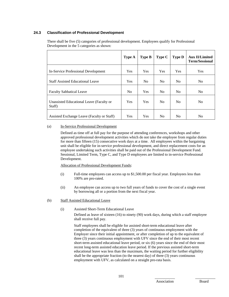## **24.3 Classification of Professional Development**

|                                                    | <b>Type A</b>  | <b>Type B</b> | Type C         | <b>Type D</b>  | <b>Aux II/Limited</b><br><b>Term/Sessional</b> |
|----------------------------------------------------|----------------|---------------|----------------|----------------|------------------------------------------------|
| In-Service Professional Development                | <b>Yes</b>     | Yes           | Yes            | <b>Yes</b>     | Yes                                            |
| <b>Staff Assisted Educational Leave</b>            | <b>Yes</b>     | No            | N <sub>o</sub> | N <sub>0</sub> | N <sub>0</sub>                                 |
| <b>Faculty Sabbatical Leave</b>                    | N <sub>0</sub> | Yes           | N <sub>0</sub> | No             | N <sub>o</sub>                                 |
| Unassisted Educational Leave (Faculty or<br>Staff) | <b>Yes</b>     | Yes           | N <sub>o</sub> | N <sub>0</sub> | N <sub>o</sub>                                 |
| Assisted Exchange Leave (Faculty or Staff)         | Yes            | Yes           | N <sub>0</sub> | N <sub>0</sub> | N <sub>0</sub>                                 |

There shall be five (5) categories of professional development. Employees qualify for Professional Development in the 5 categories as shown:

#### (a) In-Service Professional Development

Defined as time off at full pay for the purpose of attending conferences, workshops and other approved professional development activities which do not take the employee from regular duties for more than fifteen (15) consecutive work days at a time. All employees within the bargaining unit shall be eligible for in-service professional development, and direct replacement costs for an employee undertaking such activities shall be paid out of the Professional Development Fund. Sessional, Limited Term, Type C, and Type D employees are limited to in-service Professional Development.

Allocation of Professional Development Funds:

- (i) Full-time employees can access up to \$1,500.00 per fiscal year. Employees less than 100% are pro-rated.
- (ii) An employee can access up to two full years of funds to cover the cost of a single event by borrowing all or a portion from the next fiscal year.

#### (b) Staff Assisted Educational Leave

(i) Assisted Short-Term Educational Leave

Defined as leave of sixteen (16) to ninety (90) work days, during which a staff employee shall receive full pay.

Staff employees shall be eligible for assisted short-term educational leave after completion of the equivalent of three (3) years of continuous employment with the Employer since their initial appointment, or after completion of up to the equivalent of three (3) years continuous employment with UFV since the end of their most recent short-term assisted educational leave period, or six (6) years since the end of their most recent long-term assisted education leave period. If the previous assisted short-term educational leave was less than the maximum, the waiting period for further eligibility shall be the appropriate fraction (to the nearest day) of three (3) years continuous employment with UFV, as calculated on a straight pro-rata basis.

Parameters of the Association Board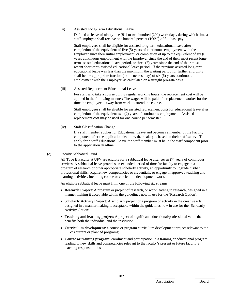(ii) Assisted Long-Term Educational Leave

Defined as leave of ninety-one (91) to two hundred (200) work days, during which time a staff employee shall receive one hundred percent (100%) of full base pay.

Staff employees shall be eligible for assisted long-term educational leave after completion of the equivalent of five (5) years of continuous employment with the Employer since their initial employment, or completion of up to the equivalent of six (6) years continuous employment with the Employer since the end of their most recent longterm assisted educational leave period, or three (3) years since the end of their most recent short-term assisted educational leave period. If the previous assisted long-term educational leave was less than the maximum, the waiting period for further eligibility shall be the appropriate fraction (to the nearest day) of six (6) years continuous employment with the Employer, as calculated on a straight pro-rata basis.

#### (iii) Assisted Replacement Educational Leave

For staff who take a course during regular working hours, the replacement cost will be applied in the following manner: The wages will be paid of a replacement worker for the time the employee is away from work to attend the course.

Staff employees shall be eligible for assisted replacement costs for educational leave after completion of the equivalent two (2) years of continuous employment. Assisted replacement cost may be used for one course per semester.

(iv) Staff Classification Change

If a staff member applies for Educational Leave and becomes a member of the Faculty component after the application deadline, their salary is based on their staff salary. To apply for a staff Educational Leave the staff member must be in the staff component prior to the application deadline.

#### (c) Faculty Sabbatical Fund

All Type B Faculty at UFV are eligible for a sabbatical leave after seven (7) years of continuous services. A sabbatical leave provides an extended period of time for faculty to engage in a program of research or other appropriate scholarly activity, an opportunity to upgrade his/her professional skills, acquire new competencies or credentials, or engage in approved teaching and learning activities, including course or curriculum development work.

An eligible sabbatical leave must fit in one of the following six streams:

- **Research Project**: A program or project of research, or work leading to research, designed in a manner making it acceptable within the guidelines now in use for the 'Research Option'.
- **Scholarly Activity Project**: A scholarly project or a program of activity in the creative arts. designed in a manner making it acceptable within the guidelines now in use for the 'Scholarly Activity Option'
- **Teaching and learning project**: A project of significant educational/professional value that benefits both the individual and the institution.
- **Curriculum development**: a course or program curriculum development project relevant to the UFV's current or planned programs;
- **Course or training program**: enrolment and participation in a training or educational program leading to new skills and competencies relevant to the faculty's present or future faculty's teaching responsibilities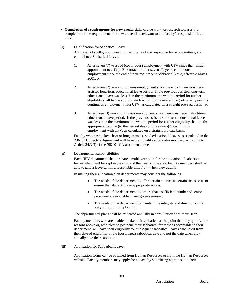- **Completion of requirements for new credentials**: course work, or research towards the completion of the requirements for new credentials relevant to the faculty's responsibilities at UFV.
- (i) Qualification for Sabbatical Leave All Type B Faculty, upon meeting the criteria of the respective leave committees, are entitled to a Sabbatical Leave:
	- 1. After seven (7) years of (continuous) employment with UFV since their initial appointment to a Type B contract or after seven (7) years continuous employment since the end of their most recent Sabbatical leave, effective May 1, 2001, or
	- 2. After seven (7) years continuous employment since the end of their most recent assisted long-term educational leave period. If the previous assisted long-term educational leave was less than the maximum, the waiting period for further eligibility shall be the appropriate fraction (to the nearest day) of seven years (7) continuous employment with UFV, as calculated on a straight pro-rata basis. or
	- 3. After three (3) years continuous employment since their most recent short-term educational leave period. If the previous assisted short-term educational leave was less than the maximum, the waiting period for further eligibility shall be the appropriate fraction (to the nearest day) of three years(3) continuous employment with UFV, as calculated on a straight pro-rata basis.

Faculty who have taken short or long- term assisted educational leaves as stipulated in the '98-'01 Collective Agreement will have their qualification dates modified according to Article 24.3 (i) of the '98-'01 CA as shown above.

#### (ii) Departmental Responsibilities

Each UFV department shall prepare a multi-year plan for the allocation of sabbatical leaves which will be kept in the office of the Dean of the area. Faculty members shall be able to take a leave within a reasonable time from when they qualify.

In making their allocation plan departments may consider the following:

- The needs of the department to offer certain courses at certain times so as to ensure that students have appropriate access.
- The needs of the department to ensure that a sufficient number of senior personnel are available in any given semester.
- The needs of the department to maintain the integrity and direction of its long term program planning.

The departmental plans shall be reviewed annually in consultation with their Dean.

Faculty members who are unable to take their sabbatical at the point that they qualify, for reasons above or, who elect to postpone their sabbatical for reasons acceptable to their department, will have their eligibility for subsequent sabbatical leaves calculated from their date of eligibility of the (postponed) sabbatical date and not the date when they actually take their sabbatical.

(iii) Application for Sabbatical Leave

Application forms can be obtained from Human Resources or from the Human Resources website. Faculty members may apply for a leave by submitting a proposal to their

Board Material Securities of the Board Board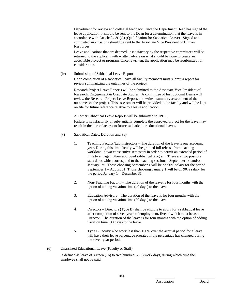Department for review and collegial feedback. Once the Department Head has signed the leave application, it should be sent to the Dean for a determination that the leave is in accordance with Article 24.3(c)(i) (Qualification for Sabbatical Leave). Signed and completed submissions should be sent to the Associate Vice President of Human Resources.

Leave applications that are deemed unsatisfactory by the respective committees will be returned to the applicant with written advice on what should be done to create an acceptable project or program. Once rewritten, the application may be resubmitted for consideration.

#### (iv) Submission of Sabbatical Leave Report

Upon completion of a sabbatical leave all faculty members must submit a report for review summarizing the outcomes of the project.

Research Project Leave Reports will be submitted to the Associate Vice President of Research, Engagement & Graduate Studies. A committee of Instructional Deans will review the Research Project Leave Report, and write a summary assessment of the outcomes of the project. This assessment will be provided to the faculty and will be kept on file for future reference relative to a leave application.

All other Sabbatical Leave Reports will be submitted to JPDC.

Failure to satisfactorily or substantially complete the approved project for the leave may result in the loss of access to future sabbatical or educational leaves.

- (v) Sabbatical Dates, Duration and Pay
	- 1. Teaching Faculty/Lab Instructors The duration of the leave is one academic year. During this time faculty will be granted full release from teaching workload in two consecutive semesters in order to permit an extended period of time to engage in their approved sabbatical program. There are two possible start dates which correspond to the teaching sessions: September 1st and/or January 1st. Those choosing September 1 will be on 90% salary for the period September 1 – August 31. Those choosing January 1 will be on 90% salary for the period January 1 – December 31.
	- 2. Non-Teaching Faculty The duration of the leave is for four months with the option of adding vacation time (40 days) to the leave.
	- 3. Education Advisors The duration of the leave is for four months with the option of adding vacation time (30 days) to the leave.
	- 4. Directors Directors (Type B) shall be eligible to apply for a sabbatical leave after completion of seven years of employment, five of which must be as a Director. The duration of the leave is for four months with the option of adding vacation time (30 days) to the leave.
	- 5. Type B Faculty who work less than 100% over the accrual period for a leave will have their leave percentage prorated if the percentage has changed during the seven-year period.

#### (d) Unassisted Educational Leave (Faculty or Staff)

Is defined as leave of sixteen (16) to two hundred (200) work days, during which time the employee shall not be paid.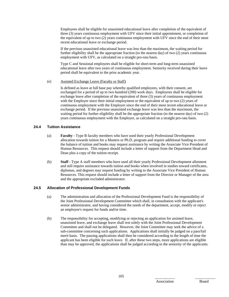Employees shall be eligible for unassisted educational leave after completion of the equivalent of three (3) years continuous employment with UFV since their initial appointment, or completion of the equivalent of up to two (2) years continuous employment with UFV since the end of their most recent educational leave or exchange period.

If the previous unassisted educational leave was less than the maximum, the waiting period for further eligibility shall be the appropriate fraction (to the nearest day) of two (2) years continuous employment with UFV, as calculated on a straight pro-rata basis.

Type C and Sessional employees shall be eligible for short-term and long-term unassisted educational leave after two years of continuous employment. Seniority received during their leave period shall be equivalent to the prior academic year.

#### (e) Assisted Exchange Leave (Faculty or Staff)

Is defined as leave at full base pay whereby qualified employees, with their consent, are exchanged for a period of up to two hundred (200) work days. Employees shall be eligible for exchange leave after completion of the equivalent of three (3) years of continuous employment with the Employer since their initial employment or the equivalent of up to two (2) years of continuous employment with the Employer since the end of their most recent educational leave or exchange period. If the previous unassisted exchange leave was less than the maximum, the waiting period for further eligibility shall be the appropriate fraction (to the nearest day) of two (2) years continuous employment with the Employer, as calculated on a straight pro-rata basis.

#### **24.4 Tuition Assistance**

- (a) **Faculty** Type B faculty members who have used their yearly Professional Development allocation towards tuition for a Masters or Ph.D. program and require additional funding to cover the balance of tuition and books may request assistance by writing the Associate Vice President of Human Resources. This request should include a letter of support from the Department Head and Dean plus a copy of the tuition receipt.
- (b) **Staff** Type A staff members who have used all their yearly Professional Development allotment and still require assistance towards tuition and books when involved in studies toward certificates, diplomas, and degrees may request funding by writing to the Associate Vice President of Human Resources. This request should include a letter of support from the Director or Manager of the area and the appropriate excluded administrator.

## **24.5 Allocation of Professional Development Funds**

- (a) The administration and allocation of the Professional Development Fund is the responsibility of the Joint Professional Development Committee which shall, in consultation with the applicant's senior administrator, and having considered the needs of the department, accept, modify or reject an employee's request for funds and/or time.
- (b) The responsibility for accepting, modifying or rejecting an application for assisted leave, unassisted leave, and exchange leave shall rest solely with the Joint Professional Development Committee and shall not be delegated. However, the Joint Committee may seek the advice of a sub-committee concerning such applications. Applications shall initially be judged on a pass/fail merit basis. The passing applications shall then be considered according to the length of time the applicant has been eligible for such leave. If, after these two steps, more applications are eligible than may be approved, the applications shall be judged according to the seniority of the applicants.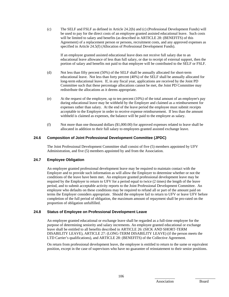(c) The SELF and FSLF as defined in Article 24.2(b) and (c) (Professional Development Funds) will be used to pay for the direct costs of an employee granted assisted educational leave. Such costs will be limited to salary and benefits (as described in ARTICLE 28: (BENEFITS) of this Agreement) of a replacement person or persons, recruitment costs, and any approved expenses as specified in Article 24.5(f) (Allocation of Professional Development Funds).

If an employee granted assisted educational leave does not receive full salary due to an educational leave allowance of less than full salary, or due to receipt of external support, then the portion of salary and benefits not paid to that employee will be contributed to the SELF or FSLF.

- (d) Not less than fifty percent (50%) of the SELF shall be annually allocated for short-term educational leave. Not less than forty percent (40%) of the SELF shall be annually allocated for long-term educational leave. If, in any fiscal year, applications are received by the Joint PD Committee such that these percentage allocations cannot be met, the Joint PD Committee may redistribute the allocations as it deems appropriate.
- (e) At the request of the employee, up to ten percent (10%) of the total amount of an employee's pay during educational leave may be withheld by the Employer and claimed as a reimbursement for expenses rather than salary. At the end of the leave period the employee must submit receipts acceptable to the Employer in order to receive expense reimbursement. If less than the amount withheld is claimed as expenses, the balance will be paid to the employee as salary.
- (f) Not more than one thousand dollars (\$1,000.00) for approved expenses related to leave shall be allocated in addition to their full salary to employees granted assisted exchange leave.

## **24.6 Composition of Joint Professional Development Committee (JPDC)**

The Joint Professional Development Committee shall consist of five (5) members appointed by UFV Administration, and five (5) members appointed by and from the Association.

## **24.7 Employee Obligation**

An employee granted professional development leave may be required to maintain contact with the Employer and to provide such information as will allow the Employer to determine whether or not the conditions of the leave have been met. An employee granted professional development leave may be required by the Employer to return to UFV for a period equal to twice (2 times) the length of the leave period, and to submit acceptable activity reports to the Joint Professional Development Committee. An employee who defaults on these conditions may be required to refund all or part of the amount paid on terms the Employer considers appropriate. Should the employee fail to return to UFV or leave UFV before completion of the full period of obligation, the maximum amount of repayment shall be pro-rated on the proportion of obligation unfulfilled.

#### **24.8 Status of Employee on Professional Development Leave**

An employee granted educational or exchange leave shall be regarded as a full-time employee for the purpose of determining seniority and salary increments. An employee granted educational or exchange leave shall be entitled to all benefits described in ARTICLE 26: (SICK AND SHORT-TERM DISABILITY LEAVE), ARTICLE 27: (LONG-TERM DISABILITY LEAVE) (if the person meets the LTD Carrier's qualifications), and ARTICLE 28: (BENEFITS) of the Collective Agreement.

On return from professional development leave, the employee is entitled to return to the same or equivalent position, except in the case of supervisors who have no guarantee of reinstatement to their senior positions.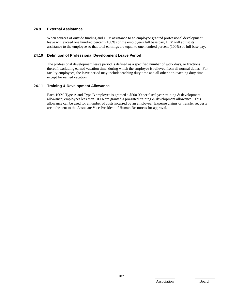## **24.9 External Assistance**

When sources of outside funding and UFV assistance to an employee granted professional development leave will exceed one hundred percent (100%) of the employee's full base pay, UFV will adjust its assistance to the employee so that total earnings are equal to one hundred percent (100%) of full base pay.

## **24.10 Definition of Professional Development Leave Period**

The professional development leave period is defined as a specified number of work days, or fractions thereof, excluding earned vacation time, during which the employee is relieved from all normal duties. For faculty employees, the leave period may include teaching duty time and all other non-teaching duty time except for earned vacation.

## **24.11 Training & Development Allowance**

Each 100% Type A and Type B employee is granted a \$500.00 per fiscal year training & development allowance; employees less than 100% are granted a pro-rated training & development allowance. This allowance can be used for a number of costs incurred by an employee. Expense claims or transfer requests are to be sent to the Associate Vice President of Human Resources for approval.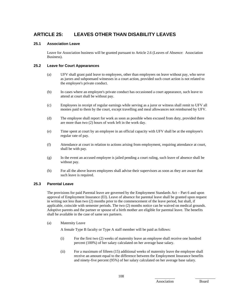# **ARTICLE 25: LEAVES OTHER THAN DISABILITY LEAVES**

## **25.1 Association Leave**

Leave for Association business will be granted pursuant to Article 2.6 (Leaves of Absence: Association Business).

## **25.2 Leave for Court Appearances**

- (a) UFV shall grant paid leave to employees, other than employees on leave without pay, who serve as jurors and subpoenaed witnesses in a court action, provided such court action is not related to the employee's private conduct.
- (b) In cases where an employee's private conduct has occasioned a court appearance, such leave to attend at court shall be without pay.
- (c) Employees in receipt of regular earnings while serving as a juror or witness shall remit to UFV all monies paid to them by the court, except travelling and meal allowances not reimbursed by UFV.
- (d) The employee shall report for work as soon as possible when excused from duty, provided there are more than two (2) hours of work left in the work day.
- (e) Time spent at court by an employee in an official capacity with UFV shall be at the employee's regular rate of pay.
- (f) Attendance at court in relation to actions arising from employment, requiring attendance at court, shall be with pay.
- (g) In the event an accused employee is jailed pending a court ruling, such leave of absence shall be without pay.
- (h) For all the above leaves employees shall advise their supervisors as soon as they are aware that such leave is required.

#### **25.3 Parental Leave**

The provisions for paid Parental leave are governed by the Employment Standards Act – Part 6 and upon approval of Employment Insurance (EI). Leave of absence for parental leave shall be granted upon request in writing not less than two (2) months prior to the commencement of the leave period, but shall, if applicable, coincide with semester periods. The two (2) months notice can be waived on medical grounds. Adoptive parents and the partner or spouse of a birth mother are eligible for parental leave. The benefits shall be available in the case of same sex partners.

(a) Maternity Leave

A female Type B faculty or Type A staff member will be paid as follows:

- (i) For the first two (2) weeks of maternity leave an employee shall receive one hundred percent (100%) of her salary calculated on her average base salary.
- (ii) For a maximum of fifteen (15) additional weeks of maternity leave the employee shall receive an amount equal to the difference between the Employment Insurance benefits and ninety-five percent (95%) of her salary calculated on her average base salary.

Property and Association Board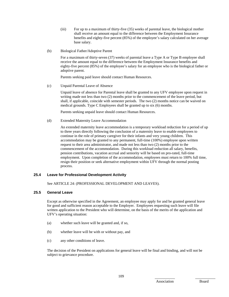- (iii) For up to a maximum of thirty-five (35) weeks of parental leave, the biological mother shall receive an amount equal to the difference between the Employment Insurance benefits and eighty-five percent (85%) of the employee's salary calculated on her average base salary.
- (b) Biological Father/Adoptive Parent

For a maximum of thirty-seven (37) weeks of parental leave a Type A or Type B employee shall receive the amount equal to the difference between the Employment Insurance benefits and eighty-five percent (85%) of the employee's salary for an employee who is the biological father or adoptive parent.

Parents seeking paid leave should contact Human Resources.

(c) Unpaid Parental Leave of Absence

Unpaid leave of absence for Parental leave shall be granted to any UFV employee upon request in writing made not less than two (2) months prior to the commencement of the leave period, but shall, if applicable, coincide with semester periods. The two (2) months notice can be waived on medical grounds. Type C Employees shall be granted up to six (6) months.

Parents seeking unpaid leave should contact Human Resources.

(d) Extended Maternity Leave Accommodation

An extended maternity leave accommodation is a temporary workload reduction for a period of up to three years directly following the conclusion of a maternity leave to enable employees to continue in the role of primary caregiver for their infants and very young children. This accommodation may be granted to any permanent, full-time (100%) employee upon written request to their area administrator, and made not less than two (2) months prior to the commencement of the accommodation. During this workload reduction all salary, benefits, pension contributions, vacation accrual and seniority will be based on pro-rated, full-time employment. Upon completion of the accommodation, employees must return to 100% full time, resign their position or seek alternative employment within UFV through the normal posting process.

#### **25.4 Leave for Professional Development Activity**

See ARTICLE 24: (PROFESSIONAL DEVELOPMENT AND LEAVES).

## **25.5 General Leave**

Except as otherwise specified in the Agreement, an employee may apply for and be granted general leave for good and sufficient reason acceptable to the Employer. Employees requesting such leave will file written application to the President who will determine, on the basis of the merits of the application and UFV's operating situation:

- (a) whether such leave will be granted and, if so,
- (b) whether leave will be with or without pay, and
- (c) any other conditions of leave.

The decision of the President on applications for general leave will be final and binding, and will not be subject to grievance procedure.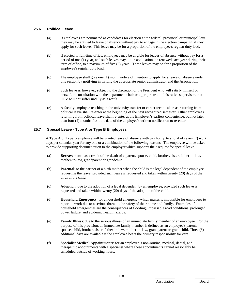## **25.6 Political Leave**

- (a) If employees are nominated as candidates for election at the federal, provincial or municipal level, they may be entitled to leave of absence without pay to engage in the election campaign, if they apply for such leave. This leave may be for a proportion of the employee's regular duty load.
- (b) If elected to full-time office, employees may be eligible for leaves of absence without pay for a period of one (1) year, and such leaves may, upon application, be renewed each year during their term of office, to a maximum of five (5) years. These leaves may be for a proportion of the employee's regular duty load.
- (c) The employee shall give one (1) month notice of intention to apply for a leave of absence under this section by notifying in writing the appropriate senior administrator and the Association.
- (d) Such leave is, however, subject to the discretion of the President who will satisfy himself or herself, in consultation with the department chair or appropriate administrative supervisor, that UFV will not suffer unduly as a result.
- (e) A faculty employee teaching in the university transfer or career technical areas returning from political leave shall re-enter at the beginning of the next recognized semester. Other employees returning from political leave shall re-enter at the Employer's earliest convenience, but not later than four (4) months from the date of the employee's written notification to re-enter.

## **25.7 Special Leave - Type A or Type B Employees**

A Type A or Type B employee will be granted leave of absence with pay for up to a total of seven (7) work days per calendar year for any one or a combination of the following reasons. The employee will be asked to provide supporting documentation to the employer which supports their request for special leave.

- (a) **Bereavement**: as a result of the death of a parent, spouse, child, brother, sister, father-in-law, mother-in-law, grandparent or grandchild.
- (b) **Parental**: to the partner of a birth mother when the child is the legal dependent of the employee requesting the leave, provided such leave is requested and taken within twenty (20) days of the birth of the child.
- (c) **Adoption**: due to the adoption of a legal dependent by an employee, provided such leave is requested and taken within twenty (20) days of the adoption of the child.
- (d) **Household Emergency**: for a household emergency which makes it impossible for employees to report to work due to a serious threat to the safety of their home and family. Examples of household emergencies are the consequences of flooding, impassable road conditions, prolonged power failure, and epidemic health hazards.
- (e) **Family Illness**: due to the serious illness of an immediate family member of an employee. For the purpose of this provision, an immediate family member is defined as an employee's parent, spouse, child, brother, sister, father-in-law, mother-in-law, grandparent or grandchild. Three (3) additional days are available if the employee bears the primary responsibility for care.
- (f) **Specialist Medical Appointments**: for an employee's non-routine, medical, dental, and therapeutic appointments with a specialist where these appointments cannot reasonably be scheduled outside of working hours.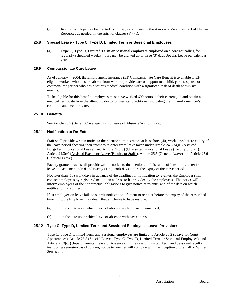(g) **Additional days** may be granted to primary care givers by the Associate Vice President of Human Resources as needed, in the spirit of clauses (a) - (f).

## **25.8 Special Leave - Type C, Type D, Limited Term or Sessional Employees**

(a) **Type C, Type D, Limited Term or Sessional employees** employed on a contract calling for regularly scheduled weekly hours may be granted up to three (3) days Special Leave per calendar year.

### **25.9 Compassionate Care Leave**

As of January 4, 2004, the Employment Insurance (EI) Compassionate Care Benefit is available to EIeligible workers who must be absent from work to provide care or support to a child, parent, spouse or common-law partner who has a serious medical condition with a significant risk of death within six months.

To be eligible for this benefit, employees must have worked 600 hours at their current job and obtain a medical certificate from the attending doctor or medical practitioner indicating the ill family member's condition and need for care.

## **25.10 Benefits**

See Article 28.7 (Benefit Coverage During Leave of Absence Without Pay).

## **25.11 Notification to Re-Enter**

Staff shall provide written notice to their senior administrators at least forty (40) work days before expiry of the leave period showing their intent to re-enter from leave taken under Article 24.3(b)(ii) (Assisted Long-Term Educational Leave), and Article 24.3(d) (Unassisted Educational Leave (Faculty or Staff)), Article 24.3(e) (Assisted Exchange Leave (Faculty or Staff)), Article 25.5 (General Leave) and Article 25.6 (Political Leave).

Faculty granted leave shall provide written notice to their senior administrators of intent to re-enter from leave at least one hundred and twenty (120) work days before the expiry of the leave period.

Not later than (15) work days in advance of the deadline for notification to re-enter, the Employer shall contact employees by registered mail to an address to be provided by the employees. The notice will inform employees of their contractual obligations to give notice of re-entry and of the date on which notification is required.

If an employee on leave fails to submit notification of intent to re-enter before the expiry of the prescribed time limit, the Employer may deem that employee to have resigned

- (a) on the date upon which leave of absence without pay commenced, or
- (b) on the date upon which leave of absence with pay expires.

#### **25.12 Type C, Type D, Limited Term and Sessional Employees Leave Provisions**

Type C, Type D, Limited Term and Sessional employees are limited to Article 25.2 (Leave for Court Appearances), Article 25.8 (Special Leave - Type C, Type D, Limited Term or Sessional Employees), and Article 25.3(c) (Unpaid Parental Leave of Absence). In the case of Limited Term and Sessional faculty instructing semester-based courses, notice to re-enter will coincide with the inception of the Fall or Winter Semesters.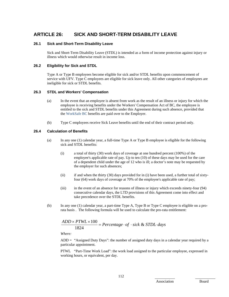# **ARTICLE 26: SICK AND SHORT-TERM DISABILITY LEAVE**

### **26.1 Sick and Short-Term Disability Leave**

Sick and Short-Term Disability Leave (STDL) is intended as a form of income protection against injury or illness which would otherwise result in income loss.

### **26.2 Eligibility for Sick and STDL**

Type A or Type B employees become eligible for sick and/or STDL benefits upon commencement of service with UFV. Type C employees are eligible for sick leave only. All other categories of employees are ineligible for sick or STDL benefits.

## **26.3 STDL and Workers' Compensation**

- (a) In the event that an employee is absent from work as the result of an illness or injury for which the employee is receiving benefits under the Workers' Compensation Act of BC, the employee is entitled to the sick and STDL benefits under this Agreement during such absence, provided that the WorkSafe BC benefits are paid over to the Employer.
- (b) Type C employees receive Sick Leave benefits until the end of their contract period only.

#### **26.4 Calculation of Benefits**

- (a) In any one (1) calendar year, a full-time Type A or Type B employee is eligible for the following sick and STDL benefits:
	- (i) a total of thirty (30) work days of coverage at one hundred percent (100%) of the employee's applicable rate of pay. Up to ten (10) of these days may be used for the care of a dependent child under the age of 12 who is ill; a doctor's note may be requested by the employer for such absences;
	- (ii) if and when the thirty  $(30)$  days provided for in (i) have been used, a further total of sixtyfour (64) work days of coverage at 70% of the employee's applicable rate of pay;
	- (iii) in the event of an absence for reasons of illness or injury which exceeds ninety-four (94) consecutive calendar days, the LTD provisions of this Agreement come into effect and take precedence over the STDL benefits.
- (b) In any one (1) calendar year, a part-time Type A, Type B or Type C employee is eligible on a prorata basis . The following formula will be used to calculate the pro-rata entitlement:

$$
\frac{ADD \times PTWL \times 100}{1824} = Percentage \cdot of \cdot sick \& STDL \; days
$$

*Where:* 

ADD = "Assigned Duty Days": the number of assigned duty days in a calendar year required by a particular appointment.

PTWL "Part-Time Work Load": the work load assigned to the particular employee, expressed in working hours, or equivalent, per day.

12 Association Board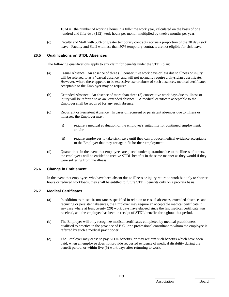1824 = the number of working hours in a full-time work year, calculated on the basis of one hundred and fifty-two (152) work hours per month, multiplied by twelve months per year.

(c) Faculty and Staff with 50% or greater temporary contracts accrue a proportion of the 30 days sick leave. Faculty and Staff with less than 50% temporary contracts are not eligible for sick leave.

## **26.5 Qualifications on STDL Absences**

The following qualifications apply to any claim for benefits under the STDL plan:

- (a) Casual Absence: An absence of three (3) consecutive work days or less due to illness or injury will be referred to as a "casual absence" and will not normally require a physician's certificate. However, where there appears to be excessive use or abuse of such absences, medical certificates acceptable to the Employer may be required.
- (b) Extended Absence: An absence of more than three (3) consecutive work days due to illness or injury will be referred to as an "extended absence". A medical certificate acceptable to the Employer shall be required for any such absence.
- (c) Recurrent or Persistent Absence: In cases of recurrent or persistent absences due to illness or illnesses, the Employer may:
	- (i) require a medical evaluation of the employee's suitability for continued employment, and/or
	- (ii) require employees to take sick leave until they can produce medical evidence acceptable to the Employer that they are again fit for their employment.
- (d) Quarantine: In the event that employees are placed under quarantine due to the illness of others, the employees will be entitled to receive STDL benefits in the same manner as they would if they were suffering from the illness.

## **26.6 Change in Entitlement**

In the event that employees who have been absent due to illness or injury return to work but only to shorter hours or reduced workloads, they shall be entitled to future STDL benefits only on a pro-rata basis.

#### **26.7 Medical Certificates**

- (a) In addition to those circumstances specified in relation to casual absences, extended absences and recurring or persistent absences, the Employer may require an acceptable medical certificate in any case where at least twenty (20) work days have elapsed since the last medical certificate was received, and the employee has been in receipt of STDL benefits throughout that period.
- (b) The Employer will only recognize medical certificates completed by medical practitioners qualified to practice in the province of B.C., or a professional consultant to whom the employee is referred by such a medical practitioner.
- (c) The Employer may cease to pay STDL benefits, or may reclaim such benefits which have been paid, when an employee does not provide requested evidence of medical disability during the benefit period, or within five (5) work days after returning to work.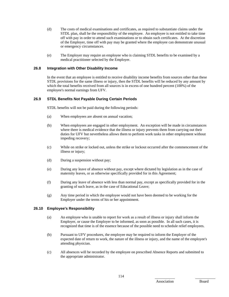- (d) The costs of medical examinations and certificates, as required to substantiate claims under the STDL plan, shall be the responsibility of the employee. An employee is not entitled to take time off with pay in order to attend such examinations or to obtain such certificates. At the discretion of the Employer, time off with pay may be granted where the employee can demonstrate unusual or emergency circumstances.
- (e) The Employer may require an employee who is claiming STDL benefits to be examined by a medical practitioner selected by the Employer.

#### **26.8 Integration with Other Disability Income**

In the event that an employee is entitled to receive disability income benefits from sources other than these STDL provisions for the same illness or injury, then the STDL benefits will be reduced by any amount by which the total benefits received from all sources is in excess of one hundred percent (100%) of the employee's normal earnings from UFV.

## **26.9 STDL Benefits Not Payable During Certain Periods**

STDL benefits will not be paid during the following periods:

- (a) When employees are absent on annual vacation;
- (b) When employees are engaged in other employment. An exception will be made in circumstances where there is medical evidence that the illness or injury prevents them from carrying out their duties for UFV but nevertheless allows them to perform work tasks in other employment without impeding recovery;
- (c) While on strike or locked out, unless the strike or lockout occurred after the commencement of the illness or injury;
- (d) During a suspension without pay;
- (e) During any leave of absence without pay, except where dictated by legislation as in the case of maternity leaves, or as otherwise specifically provided for in this Agreement;
- (f) During any leave of absence with less than normal pay, except as specifically provided for in the granting of such leave, as in the case of Educational Leave;
- (g) Any time period in which the employee would not have been deemed to be working for the Employer under the terms of his or her appointment.

#### **26.10 Employee's Responsibility**

- (a) An employee who is unable to report for work as a result of illness or injury shall inform the Employer, or cause the Employer to be informed, as soon as possible. In all such cases, it is recognized that time is of the essence because of the possible need to schedule relief employees.
- (b) Pursuant to UFV procedures, the employee may be required to inform the Employer of the expected date of return to work, the nature of the illness or injury, and the name of the employee's attending physician.
- (c) All absences will be recorded by the employee on prescribed Absence Reports and submitted to the appropriate administrator.

14 Association Board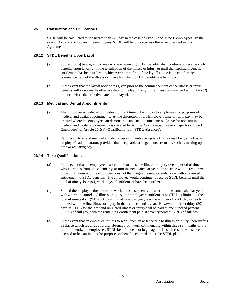## **26.11 Calculation of STDL Periods**

STDL will be calculated to the nearest half  $(\frac{1}{2})$  day in the case of Type A and Type B employees. In the case of Type A and B part-time employees, STDL will be pro-rated as otherwise provided in this Agreement.

## **26.12 STDL Benefits Upon Layoff**

- (a) Subject to (b) below, employees who are receiving STDL benefits shall continue to receive such benefits upon layoff until the termination of the illness or injury or until the maximum benefit entitlement has been utilized, whichever comes first, if the layoff notice is given after the commencement of the illness or injury for which STDL benefits are being paid.
- (b) In the event that the layoff notice was given prior to the commencement of the illness or injury, benefits will cease on the effective date of the layoff only if the illness commenced within two (2) months before the effective date of the layoff.

## **26.13 Medical and Dental Appointments**

- (a) The Employer is under no obligation to grant time off with pay to employees for purposes of medical and dental appointments. At the discretion of the Employer, time off with pay may be granted where the employee can demonstrate unusual circumstances. Leave for non-routine medical and dental appointments is covered by Article 25.7 (Special Leave - Type A or Type B Employees) or Article 26.5(a) (Qualifications on STDL Absences).
- (b) Permission to attend medical and dental appointments during work hours may be granted by an employee's administrator, provided that acceptable arrangements are made, such as making up time or adjusting pay.

#### **26.14 Time Qualifications**

- (a) In the event that an employee is absent due to the same illness or injury over a period of time which bridges from one calendar year into the next calendar year, the absence will be recognized to be continuous and the employee does not then begin the new calendar year with a renewed entitlement to STDL benefits. The employee would continue to receive STDL benefits until the total of ninety-four (94) work days of entitlement have been utilized.
- (b) Should the employee then return to work and subsequently be absent in the same calendar year with a new and unrelated illness or injury, the employee's entitlement to STDL is limited to the total of ninety-four (94) work days in that calendar year, less the number of work days already utilized with the first illness or injury in that same calendar year. However, the first thirty (30) days of STDL for the new and unrelated illness or injury will be paid at one hundred percent (100%) of full pay, with the remaining entitlement paid at seventy percent (70%) of full pay.
- (c) In the event that an employee returns to work from an absence due to illness or injury, then suffers a relapse which requires a further absence from work commencing within three (3) months of the return to work, the employee's STDL benefit does not begin again. In such case, the absence is deemed to be continuous for purposes of benefits claimed under the STDL plan.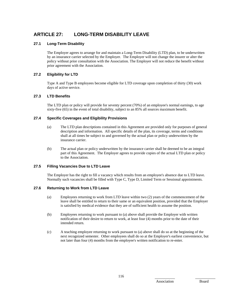# **ARTICLE 27: LONG-TERM DISABILITY LEAVE**

## **27.1 Long-Term Disability**

The Employer agrees to arrange for and maintain a Long-Term Disability (LTD) plan, to be underwritten by an insurance carrier selected by the Employer. The Employer will not change the insurer or alter the policy without prior consultation with the Association. The Employer will not reduce the benefit without prior agreement with the Association.

## **27.2 Eligibility for LTD**

Type A and Type B employees become eligible for LTD coverage upon completion of thirty (30) work days of active service.

## **27.3 LTD Benefits**

The LTD plan or policy will provide for seventy percent (70%) of an employee's normal earnings, to age sixty-five (65) in the event of total disability, subject to an 85% all sources maximum benefit.

## **27.4 Specific Coverages and Eligibility Provisions**

- (a) The LTD plan descriptions contained in this Agreement are provided only for purposes of general description and information. All specific details of the plan, its coverage, terms and conditions shall at all times be subject to and governed by the actual plan or policy underwritten by the insurance carrier.
- (b) The actual plan or policy underwritten by the insurance carrier shall be deemed to be an integral part of this Agreement. The Employer agrees to provide copies of the actual LTD plan or policy to the Association.

## **27.5 Filling Vacancies Due to LTD Leave**

The Employer has the right to fill a vacancy which results from an employee's absence due to LTD leave. Normally such vacancies shall be filled with Type C, Type D, Limited Term or Sessional appointments.

## **27.6 Returning to Work from LTD Leave**

- (a) Employees returning to work from LTD leave within two (2) years of the commencement of the leave shall be entitled to return to their same or an equivalent position, provided that the Employer is satisfied by medical evidence that they are of sufficient health to assume the position.
- (b) Employees returning to work pursuant to (a) above shall provide the Employer with written notification of their desire to return to work, at least four (4) months prior to the date of their intended return.
- (c) A teaching employee returning to work pursuant to (a) above shall do so at the beginning of the next recognized semester. Other employees shall do so at the Employer's earliest convenience, but not later than four (4) months from the employee's written notification to re-enter.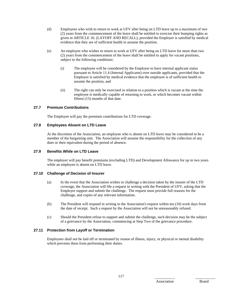- (d) Employees who wish to return to work at UFV after being on LTD leave up to a maximum of two (2) years from the commencement of the leave shall be entitled to exercise their bumping rights as given in ARTICLE 16: (LAYOFF AND RECALL), provided the Employer is satisfied by medical evidence that they are of sufficient health to assume the position.
- (e) An employee who wishes to return to work at UFV after being on LTD leave for more than two (2) years from the commencement of the leave shall be entitled to apply for vacant positions, subject to the following conditions:
	- (i) The employee will be considered by the Employer to have internal applicant status pursuant to Article 11.4 (Internal Applicants) over outside applicants, provided that the Employer is satisfied by medical evidence that the employee is of sufficient health to assume the position, and
	- (ii) The right can only be exercised in relation to a position which is vacant at the time the employee is medically capable of returning to work, or which becomes vacant within fifteen (15) months of that date.

## **27.7 Premium Contributions**

The Employee will pay the premium contributions for LTD coverage.

#### **27.8 Employees Absent on LTD Leave**

At the discretion of the Association, an employee who is absent on LTD leave may be considered to be a member of the bargaining unit. The Association will assume the responsibility for the collection of any dues or their equivalent during the period of absence.

#### **27.9 Benefits While on LTD Leave**

The employer will pay benefit premiums (excluding LTD) and Development Allowance for up to two years while an employee is absent on LTD leave.

#### **27.10 Challenge of Decision of Insurer**

- (a) In the event that the Association wishes to challenge a decision taken by the insurer of the LTD coverage, the Association will file a request in writing with the President of UFV, asking that the Employer support and submit the challenge. The request must provide full reasons for the challenge, and copies of any relevant information.
- (b) The President will respond in writing to the Association's request within ten (10) work days from the date of receipt. Such a request by the Association will not be unreasonably refused.
- (c) Should the President refuse to support and submit the challenge, such decision may be the subject of a grievance by the Association, commencing at Step Two of the grievance procedure.

## **27.11 Protection from Layoff or Termination**

Employees shall not be laid off or terminated by reason of illness, injury, or physical or mental disability which prevents them from performing their duties.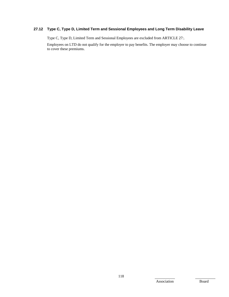## **27.12 Type C, Type D, Limited Term and Sessional Employees and Long Term Disability Leave**

Type C, Type D, Limited Term and Sessional Employees are excluded from ARTICLE 27:.

Employees on LTD do not qualify for the employer to pay benefits. The employer may choose to continue to cover these premiums.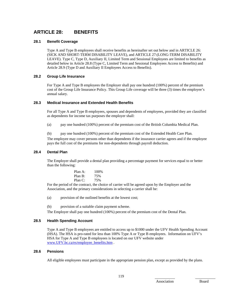# **ARTICLE 28: BENEFITS**

## **28.1 Benefit Coverage**

Type A and Type B employees shall receive benefits as hereinafter set out below and in ARTICLE 26: (SICK AND SHORT-TERM DISABILITY LEAVE), and ARTICLE 27:(LONG-TERM DISABILITY LEAVE). Type C, Type D, Auxiliary II, Limited Term and Sessional Employees are limited to benefits as detailed below in Article 28.8 (Type C, Limited Term and Sessional Employees Access to Benefits) and Article 28.9 (Type D and Auxiliary II Employees Access to Benefits).

## **28.2 Group Life Insurance**

For Type A and Type B employees the Employer shall pay one hundred (100%) percent of the premium cost of the Group Life Insurance Policy. This Group Life coverage will be three (3) times the employee's annual salary.

## **28.3 Medical Insurance and Extended Health Benefits**

For all Type A and Type B employees, spouses and dependents of employees, provided they are classified as dependents for income tax purposes the employer shall:

- (a) pay one hundred (100%) percent of the premium cost of the British Columbia Medical Plan.
- (b) pay one hundred (100%) percent of the premium cost of the Extended Health Care Plan.

The employee may cover persons other than dependents if the insurance carrier agrees and if the employee pays the full cost of the premiums for non-dependents through payroll deduction.

## **28.4 Dental Plan**

The Employer shall provide a dental plan providing a percentage payment for services equal to or better than the following:

| 100% |
|------|
| 75%  |
| 75%  |
|      |

For the period of the contract, the choice of carrier will be agreed upon by the Employer and the Association, and the primary considerations in selecting a carrier shall be:

(a) provision of the outlined benefits at the lowest cost;

(b) provision of a suitable claim payment scheme.

The Employer shall pay one hundred (100%) percent of the premium cost of the Dental Plan.

## **28.5 Health Spending Account**

Type A and Type B employees are entitled to access up to \$1000 under the UFV Health Spending Account (HSA). The HSA is pro-rated for less than 100% Type A or Type B employees. Information on UFV's HSA for Type A and Type B employees is located on our UFV website under www.UFV.bc.ca/es/employee\_benefits.htm .

#### **28.6 Pensions**

All eligible employees must participate in the appropriate pension plan, except as provided by the plans.

19 Association Board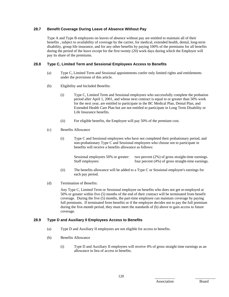## **28.7 Benefit Coverage During Leave of Absence Without Pay**

Type A and Type B employees on leaves of absence without pay are entitled to maintain all of their benefits , subject to availability of coverage by the carrier, for medical, extended health, dental, long-term disability, group life insurance, and for any other benefits by paying 100% of the premiums for all benefits during the period of the leave except for the first twenty (20) work days during which the Employer will pay its share of the premiums.

## **28.8 Type C, Limited Term and Sessional Employees Access to Benefits**

- (a) Type C, Limited Term and Sessional appointments confer only limited rights and entitlements under the provisions of this article.
- (b) Eligibility and Included Benefits:
	- (i) Type C, Limited Term and Sessional employees who successfully complete the probation period after April 1, 2001, and whose next contract is equal to or greater than 50% work for the next year, are entitled to participate in the BC Medical Plan, Dental Plan, and Extended Health Care Plan but are not entitled to participate in Long Term Disability or Life Insurance benefits.
	- (ii) For eligible benefits, the Employee will pay 50% of the premium cost.
- (c) Benefits Allowance
	- (i) Type C and Sessional employees who have not completed their probationary period, and non-probationary Type C and Sessional employees who choose not to participate in benefits will receive a benefits allowance as follows:

Sessional employees 50% or greater: two percent (2%) of gross straight-time earnings. Staff employees: four percent (4%) of gross straight-time earnings.

- (ii) The benefits allowance will be added to a Type C or Sessional employee's earnings for each pay period.
- (d) Termination of Benefits:

Any Type C, Limited Term or Sessional employee on benefits who does not get re-employed at 50% or greater within five (5) months of the end of their contract will be terminated from benefit coverage. During the five (5) months, the part-time employee can maintain coverage by paying full premiums. If terminated from benefits or if the employee decides not to pay the full premium during the five-month period, they must meet the standards of (b) above to gain access to future coverage.

#### **28.9 Type D and Auxiliary II Employees Access to Benefits**

- (a) Type D and Auxiliary II employees are not eligible for access to benefits.
- (b) Benefits Allowance
	- (i) Type D and Auxiliary II employees will receive 4% of gross straight time earnings as an allowance in lieu of access to benefits.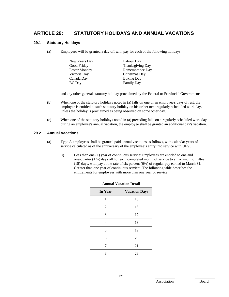## **ARTICLE 29: STATUTORY HOLIDAYS AND ANNUAL VACATIONS**

## **29.1 Statutory Holidays**

(a) Employees will be granted a day off with pay for each of the following holidays:

| New Years Day | Labour Day        |
|---------------|-------------------|
| Good Fridav   | Thanksgiving Day  |
| Easter Mondav | Remembrance Day   |
| Victoria Dav  | Christmas Day     |
| Canada Dav    | <b>Boxing Day</b> |
| <b>BC</b> Day | <b>Family Day</b> |

and any other general statutory holiday proclaimed by the Federal or Provincial Governments.

- (b) When one of the statutory holidays noted in (a) falls on one of an employee's days of rest, the employee is entitled to such statutory holiday on his or her next regularly scheduled work day, unless the holiday is proclaimed as being observed on some other day.
- (c) When one of the statutory holidays noted in (a) preceding falls on a regularly scheduled work day during an employee's annual vacation, the employee shall be granted an additional day's vacation.

## **29.2 Annual Vacations**

- (a) Type A employees shall be granted paid annual vacations as follows, with calendar years of service calculated as of the anniversary of the employee's entry into service with UFV.
	- (i) Less than one (1) year of continuous service: Employees are entitled to one and one-quarter  $(1 \frac{1}{4})$  days off for each completed month of service to a maximum of fifteen (15) days, with pay at the rate of six percent (6%) of regular pay earned to March 31. Greater than one year of continuous service: The following table describes the entitlements for employees with more than one year of service.

| <b>Annual Vacation Detail</b> |                      |  |  |  |
|-------------------------------|----------------------|--|--|--|
| In Year                       | <b>Vacation Days</b> |  |  |  |
| 1                             | 15                   |  |  |  |
| 2                             | 16                   |  |  |  |
| 3                             | 17                   |  |  |  |
| 4                             | 18                   |  |  |  |
| 5                             | 19                   |  |  |  |
| 6                             | 20                   |  |  |  |
| 7                             | 21                   |  |  |  |
| 8                             | 23                   |  |  |  |
|                               |                      |  |  |  |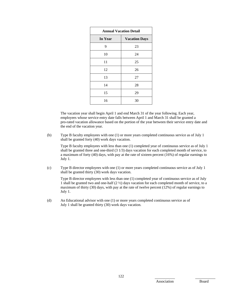| <b>Annual Vacation Detail</b> |                      |  |  |  |
|-------------------------------|----------------------|--|--|--|
| In Year                       | <b>Vacation Days</b> |  |  |  |
| 9                             | 23                   |  |  |  |
| 10                            | 24                   |  |  |  |
| 11                            | 25                   |  |  |  |
| 12                            | 26                   |  |  |  |
| 13                            | 27                   |  |  |  |
| 14                            | 28                   |  |  |  |
| 15                            | 29                   |  |  |  |
| 16                            | 30                   |  |  |  |

The vacation year shall begin April 1 and end March 31 of the year following. Each year, employees whose service entry date falls between April 1 and March 31 shall be granted a pro-rated vacation allowance based on the portion of the year between their service entry date and the end of the vacation year.

(b) Type B faculty employees with one (1) or more years completed continuous service as of July 1 shall be granted forty (40) work days vacation.

Type B faculty employees with less than one (1) completed year of continuous service as of July 1 shall be granted three and one-third (3 1/3) days vacation for each completed month of service, to a maximum of forty (40) days, with pay at the rate of sixteen percent (16%) of regular earnings to July 1.

(c) Type B director employees with one (1) or more years completed continuous service as of July 1 shall be granted thirty (30) work days vacation.

Type B director employees with less than one (1) completed year of continuous service as of July 1 shall be granted two and one-half (2 ½) days vacation for each completed month of service, to a maximum of thirty (30) days, with pay at the rate of twelve percent (12%) of regular earnings to July 1.

(d) An Educational advisor with one (1) or more years completed continuous service as of July 1 shall be granted thirty (30) work days vacation.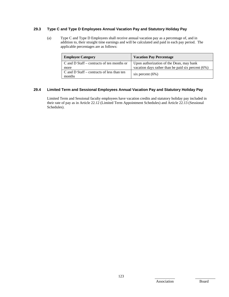## **29.3 Type C and Type D Employees Annual Vacation Pay and Statutory Holiday Pay**

(a) Type C and Type D Employees shall receive annual vacation pay as a percentage of, and in addition to, their straight time earnings and will be calculated and paid in each pay period. The applicable percentages are as follows:

| <b>Employee Category</b>                             | <b>Vacation Pay Percentage</b>                                                                    |
|------------------------------------------------------|---------------------------------------------------------------------------------------------------|
| C and D Staff $-$ contracts of ten months or<br>more | Upon authorization of the Dean, may bank<br>vacation days rather than be paid six percent $(6\%)$ |
| C and D Staff – contracts of less than ten<br>months | six percent $(6\%)$                                                                               |

## **29.4 Limited Term and Sessional Employees Annual Vacation Pay and Statutory Holiday Pay**

Limited Term and Sessional faculty employees have vacation credits and statutory holiday pay included in their rate of pay as in Article 22.12 (Limited Term Appointment Schedules) and Article 22.13 (Sessional Schedules).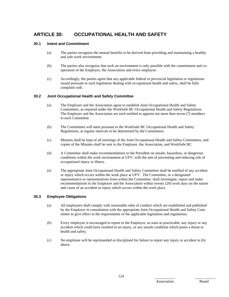# **ARTICLE 30: OCCUPATIONAL HEALTH AND SAFETY**

## **30.1 Intent and Commitment**

- (a) The parties recognize the mutual benefits to be derived from providing and maintaining a healthy and safe work environment.
- (b) The parties also recognize that such an environment is only possible with the commitment and cooperation of the Employer, the Association and every employee.
- (c) Accordingly, the parties agree that any applicable federal or provincial legislation or regulations issued pursuant to such legislation dealing with occupational health and safety, shall be fully complied with.

## **30.2 Joint Occupational Health and Safety Committee**

- (a) The Employer and the Association agree to establish Joint Occupational Health and Safety Committees, as required under the WorkSafe BC Occupational Health and Safety Regulations. The Employer and the Association are each entitled to appoint not more than seven (7) members to each Committee.
- (b) The Committees will meet pursuant to the WorkSafe BC Occupational Health and Safety Regulations, at regular intervals to be determined by the Committees.
- (c) Minutes shall be kept of all meetings of the Joint Occupational Health and Safety Committees, and copies of the Minutes shall be sent to the Employer, the Association, and WorkSafe BC.
- (d) A Committee shall make recommendations to the President on unsafe, hazardous, or dangerous conditions within the work environment at UFV, with the aim of preventing and reducing risk of occupational injury or illness.
- (e) The appropriate Joint Occupational Health and Safety Committee shall be notified of any accident or injury which occurs within the work place at UFV. The Committee, or a designated representative or representatives from within the Committee, shall investigate, report and make recommendations to the Employer and the Association within twenty (20) work days on the nature and cause of an accident or injury which occurs within the work place.

## **30.3 Employee Obligations**

- (a) All employees shall comply with reasonable rules of conduct which are established and published by the Employer in consultation with the appropriate Joint Occupational Health and Safety Committee to give effect to the requirements of the applicable legislation and regulations.
- (b) Every employee is encouraged to report to the Employer, as soon as practicable, any injury or any accident which could have resulted in an injury, or any unsafe condition which poses a threat to health and safety.
- (c) No employee will be reprimanded or disciplined for failure to report any injury or accident in (b) above.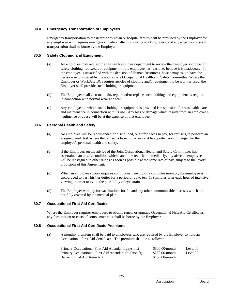## **30.4 Emergency Transportation of Employees**

Emergency transportation to the nearest physician or hospital facility will be provided by the Employer for any employee who requires emergency medical attention during working hours, and any expenses of such transportation shall be borne by the Employer.

## **30.5 Safety Clothing and Equipment**

- (a) An employee may request the Human Resources department to review the Employer's choice of safety clothing, footwear, or equipment, if the employee has reason to believe it is inadequate. If the employee is unsatisfied with the decision of Human Resources, he/she may ask to have the decision reconsidered by the appropriate Occupational Health and Safety Committee. Where the Employer or WorkSafe BC requires articles of clothing and/or equipment to be worn or used, the Employer shall provide such clothing or equipment.
- (b) The Employer shall also maintain, repair and/or replace such clothing and equipment as required in connection with normal wear and tear.
- (c) Any employee to whom such clothing or equipment is provided is responsible for reasonable care and maintenance in connection with its use. Any loss or damage which results from an employee's negligence or abuse will be at the expense of that employee.

## **30.6 Personal Health and Safety**

- (a) No employee will be reprimanded or disciplined, or suffer a loss in pay, for refusing to perform an assigned work task where the refusal is based on a reasonable apprehension of danger for the employee's personal health and safety.
- (b) If the Employer, on the advice of the Joint Occupational Health and Safety Committee, has ascertained an unsafe condition which cannot be rectified immediately, any affected employees will be reassigned to other duties as soon as possible at the same rate of pay, subject to the layoff provisions of this Agreement.
- (c) When an employee's work requires continuous viewing of a computer monitor, the employee is encouraged to vary his/her duties for a period of up to ten (10) minutes after each hour of intensive viewing in order to avoid the possibility of eye strain.
- (d) The Employer will pay for vaccinations for flu and any other communicable diseases which are not fully covered by the medical plan.

## **30.7 Occupational First Aid Certificates**

Where the Employer requires employees to obtain, renew or upgrade Occupational First Aid Certificates, any fees, tuition or costs of course materials shall be borne by the Employer.

#### **30.8 Occupational First Aid Certificate Premiums**

(a) A monthly premium shall be paid to employees who are required by the Employer to hold an Occupational First Aid Certificate. The premium shall be as follows:

| Primary Occupational First Aid Attendant (dayshift)   | \$300.00/month   | Level II |
|-------------------------------------------------------|------------------|----------|
| Primary Occupational First Aid Attendant (nightshift) | \$250.00/month   | Level II |
| Back-up First Aid Attendant                           | $$150.00/m$ onth |          |

25 Association Board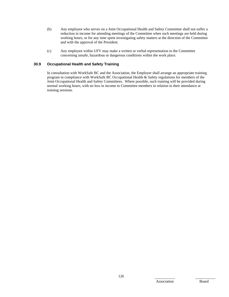- (b) Any employee who serves on a Joint Occupational Health and Safety Committee shall not suffer a reduction in income for attending meetings of the Committee when such meetings are held during working hours, or for any time spent investigating safety matters at the direction of the Committee and with the approval of the President.
- (c) Any employee within UFV may make a written or verbal representation to the Committee concerning unsafe, hazardous or dangerous conditions within the work place.

## **30.9 Occupational Health and Safety Training**

In consultation with WorkSafe BC and the Association, the Employer shall arrange an appropriate training program in compliance with WorkSafe BC Occupational Health & Safety regulations for members of the Joint Occupational Health and Safety Committees. Where possible, such training will be provided during normal working hours, with no loss in income to Committee members in relation to their attendance at training sessions.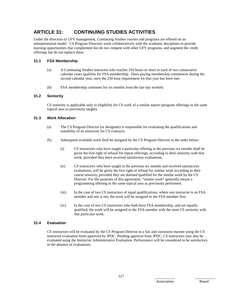# **ARTICLE 31: CONTINUING STUDIES ACTIVITIES**

Under the direction of UFV management, Continuing Studies courses and programs are offered on an entrepreneurial model. CS Program Directors work collaboratively with the academic disciplines to provide learning opportunities that complement but do not compete with other UFV programs, and augment the credit offerings but do not replace them.

## **31.1 FSA Membership**

- (a) A Continuing Studies instructor who teaches 250 hours or more in each of two consecutive calendar years qualifies for FSA membership. Dues-paying membership commences during the second calendar year, once the 250 hour requirement for that year has been met.
- (b) FSA membership continues for six months from the last day worked.

## **31.2 Seniority**

CS seniority is applicable only to eligibility for CS work of a similar nature (program offerings in the same topical area as previously taught).

#### **31.3 Work Allocation**

- (a) The CS Program Director (or designate) is responsible for evaluating the qualifications and suitability of an instructor for CS contracts.
- (b) Subsequent available work shall be assigned by the CS Program Director in the order below:
	- (i) CS instructors who have taught a particular offering in the previous six months shall be given the first right of refusal for repeat offerings, according to their seniority with that work, provided they have received satisfactory evaluations.
	- (ii) CS instructors who have taught in the previous six months and received satisfactory evaluations, will be given the first right of refusal for similar work according to their course seniority provided they are deemed qualified for the similar work by the CS Director. For the purposes of this agreement, "similar work" generally means a programming offering in the same topical area as previously performed.
	- (iii) In the case of two CS instructors of equal qualifications, where one instructor is an FSA member and one is not, the work will be assigned to the FSA member first.
	- (iv) In the case of two CS instructors who both have FSA membership, and are equally qualified, the work will be assigned to the FSA member with the most CS seniority with that particular work.

#### **31.4 Evaluation**

CS instructors will be evaluated by the CS Program Director in a fair and consistent manner using the CS instructor evaluation form approved by JPDC. Pending approval from JPDC, CS instructors may also be evaluated using the Instructor Administrative Evaluation. Performance will be considered to be satisfactory in the absence of evaluations.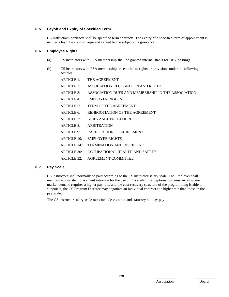## **31.5 Layoff and Expiry of Specified Term**

CS Instructors' contracts shall be specified term contracts. The expiry of a specified term of appointment is neither a layoff nor a discharge and cannot be the subject of a grievance.

## **31.6 Employee Rights**

- (a) CS instructors with FSA membership shall be granted internal status for UFV postings.
- (b) CS instructors with FSA membership are entitled to rights or provisions under the following Articles:

| ARTICLE 1:         | THE AGREEMENT                                      |
|--------------------|----------------------------------------------------|
| ARTICLE 2:         | ASSOCIATION RECOGNITION AND RIGHTS                 |
| <b>ARTICLE 3:</b>  | ASSOCIATION DUES AND MEMBERSHIP IN THE ASSOCIATION |
| <b>ARTICLE 4:</b>  | <b>EMPLOYER RIGHTS</b>                             |
| ARTICLE 5:         | TERM OF THE AGREEMENT                              |
| ARTICLE 6:         | RENEGOTIATION OF THE AGREEMENT                     |
| ARTICLE 7:         | <b>GRIEVANCE PROCEDURE</b>                         |
| ARTICLE 8:         | <b>ARBITRATION</b>                                 |
| ARTICLE 9:         | RATIFICATION OF AGREEMENT                          |
| ARTICLE 10:        | <b>EMPLOYEE RIGHTS</b>                             |
| <b>ARTICLE 14:</b> | <b>TERMINATION AND DISCIPLINE</b>                  |
| <b>ARTICLE 30:</b> | OCCUPATIONAL HEALTH AND SAFETY                     |
|                    | ARTICLE 32: AGREEMENT COMMITTEE                    |

### **31.7 Pay Scale**

CS instructors shall normally be paid according to the CS instructor salary scale. The Employer shall maintain a consistent placement rationale for the use of this scale. In exceptional circumstances where market demand requires a higher pay rate, and the cost-recovery structure of the programming is able to support it, the CS Program Director may negotiate an individual contract at a higher rate than those in the pay scale.

The CS instructor salary scale rates include vacation and statutory holiday pay.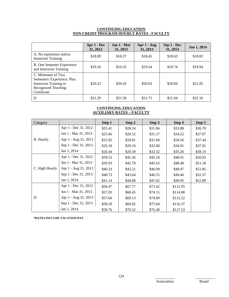#### **CONTINUING EDUCATION NON-CREDIT PROGRAM HOURLY RATES - FACULTY**

|                                                                                                                         | Apr 1 - Dec<br>31, 2012 | Jan 1 - Mar<br>31, 2013 | Apr $1 - Aug$<br>31, 2013 | Sep 1 - Dec<br>31, 2013 | Jan 1, 2014 |
|-------------------------------------------------------------------------------------------------------------------------|-------------------------|-------------------------|---------------------------|-------------------------|-------------|
| A. No experience and/or<br><b>Instructor Training</b>                                                                   | \$18.09                 | \$18.27                 | \$18.45                   | \$18.63                 | \$18.82     |
| B. One Semester Experience<br>and Instructor Training                                                                   | \$19.16                 | \$19.35                 | \$19.54                   | \$19.74                 | \$19.94     |
| C. Minimum of Two<br>Semesters' Experience, Plus<br><b>Instructor Training or</b><br>Recognized Teaching<br>Certificate | \$20.23                 | \$20.43                 | \$20.63                   | \$20.84                 | \$21.05     |
| D.                                                                                                                      | \$21.29                 | \$21.50                 | \$21.72                   | \$21.94                 | \$22.16     |

### **CONTINUING EDUCATION AUXILIARY RATES – FACULTY**

| Category         |                      | Step 1  | Step 2  | Step 3  | Step 4   | Step 5  |
|------------------|----------------------|---------|---------|---------|----------|---------|
|                  | Apr 1 - Dec 31, 2012 | \$25.41 | \$28.24 | \$31.06 | \$33.88  | \$36.70 |
|                  | Jan 1 - Mar 31, 2013 | \$25.66 | \$28.52 | \$31.37 | \$34.22  | \$37.07 |
| <b>B.</b> Hourly | Apr 1 - Aug 31, 2013 | \$25.92 | \$28.81 | \$31.68 | \$34.56  | \$37.44 |
|                  | Sep 1 - Dec 31, 2013 | \$26.18 | \$29.10 | \$32.00 | \$34.91  | \$37.81 |
|                  | Jan 1, 2014          | \$26.44 | \$29.39 | \$32.32 | \$35.26  | \$38.19 |
| C. High Hourly   | Apr 1 - Dec 31, 2012 | \$39.53 | \$42.36 | \$45.18 | \$48.01  | \$50.83 |
|                  | Jan 1 - Mar 31, 2013 | \$39.93 | \$42.78 | \$45.63 | \$48.49  | \$51.34 |
|                  | Apr 1 - Aug 31, 2013 | \$40.33 | \$43.21 | \$46.09 | \$48.97  | \$51.85 |
|                  | Sep 1 - Dec 31, 2013 | \$40.73 | \$43.64 | \$46.55 | \$49.46  | \$52.37 |
|                  | Jan 1, 2014          | \$41.14 | \$44.08 | \$47.02 | \$49.95  | \$52.89 |
|                  | Apr 1 - Dec 31, 2012 | \$56.47 | \$67.77 | \$73.42 | \$112.95 |         |
| D.               | Jan 1 - Mar 31, 2013 | \$57.03 | \$68.45 | \$74.15 | \$114.08 |         |
|                  | Apr 1 - Aug 31, 2013 | \$57.60 | \$69.13 | \$74.89 | \$115.22 |         |
|                  | Sep 1 - Dec 31, 2013 | \$58.18 | \$69.82 | \$75.64 | \$116.37 |         |
|                  | Jan 1, 2014          | \$58.76 | \$70.52 | \$76.40 | \$117.53 |         |

**\*RATES INCLUDE VACATION PAY**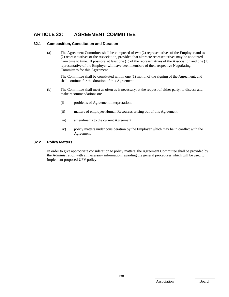# **ARTICLE 32: AGREEMENT COMMITTEE**

## **32.1 Composition, Constitution and Duration**

(a) The Agreement Committee shall be composed of two (2) representatives of the Employer and two (2) representatives of the Association, provided that alternate representatives may be appointed from time to time. If possible, at least one (1) of the representatives of the Association and one (1) representative of the Employer will have been members of their respective Negotiating Committees for this Agreement.

The Committee shall be constituted within one (1) month of the signing of the Agreement, and shall continue for the duration of this Agreement.

- (b) The Committee shall meet as often as is necessary, at the request of either party, to discuss and make recommendations on:
	- (i) problems of Agreement interpretation;
	- (ii) matters of employer-Human Resources arising out of this Agreement;
	- (iii) amendments to the current Agreement;
	- (iv) policy matters under consideration by the Employer which may be in conflict with the Agreement.

#### **32.2 Policy Matters**

In order to give appropriate consideration to policy matters, the Agreement Committee shall be provided by the Administration with all necessary information regarding the general procedures which will be used to implement proposed UFV policy.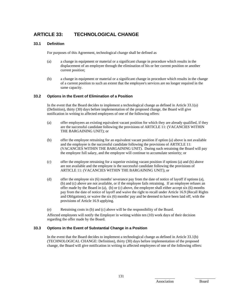# **ARTICLE 33: TECHNOLOGICAL CHANGE**

## **33.1 Definition**

For purposes of this Agreement, technological change shall be defined as

- (a) a change in equipment or material or a significant change in procedure which results in the displacement of an employee through the elimination of his or her current position or another current position;
- (b) a change in equipment or material or a significant change in procedure which results in the change of a current position to such an extent that the employee's services are no longer required in the same capacity.

## **33.2 Options in the Event of Elimination of a Position**

In the event that the Board decides to implement a technological change as defined in Article 33.1(a) (Definition), thirty (30) days before implementation of the proposed change, the Board will give notification in writing to affected employees of one of the following offers:

- (a) offer employees an existing equivalent vacant position for which they are already qualified, if they are the successful candidate following the provisions of ARTICLE 11: (VACANCIES WITHIN THE BARGAINING UNIT); or
- (b) offer the employee retraining for an equivalent vacant position if option (a) above is not available and the employee is the successful candidate following the provisions of ARTICLE 11: (VACANCIES WITHIN THE BARGAINING UNIT). During such retraining the Board will pay the employee full salary, and the employee will continue to accumulate seniority; or
- (c) offer the employee retraining for a superior existing vacant position if options (a) and (b) above are not available and the employee is the successful candidate following the provisions of ARTICLE 11: (VACANCIES WITHIN THE BARGAINING UNIT); or
- (d) offer the employee six (6) months' severance pay from the date of notice of layoff if options (a), (b) and (c) above are not available, or if the employee fails retraining. If an employee refuses an offer made by the Board in (a), (b) or (c) above, the employee shall either accept six (6) months pay from the date of notice of layoff and waive the right to recall under Article 16.9 (Recall Rights and Obligations), or waive the six (6) months' pay and be deemed to have been laid off, with the provisions of Article 16.9 applying.
- (e) Retraining costs in (b) and (c) above will be the responsibility of the Board.

Affected employees will notify the Employer in writing within ten (10) work days of their decision regarding the offer made by the Board.

## **33.3 Options in the Event of Substantial Change in a Position**

In the event that the Board decides to implement a technological change as defined in Article 33.1(b) (TECHNOLOGICAL CHANGE: Definition), thirty (30) days before implementation of the proposed change, the Board will give notification in writing to affected employees of one of the following offers: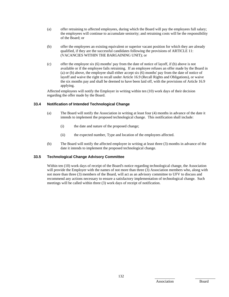- (a) offer retraining to affected employees, during which the Board will pay the employees full salary; the employees will continue to accumulate seniority; and retraining costs will be the responsibility of the Board; or
- (b) offer the employees an existing equivalent or superior vacant position for which they are already qualified, if they are the successful candidates following the provisions of ARTICLE 11: (VACANCIES WITHIN THE BARGAINING UNIT); or
- (c) offer the employee six (6) months' pay from the date of notice of layoff, if (b) above is not available or if the employee fails retraining. If an employee refuses an offer made by the Board in (a) or (b) above, the employee shall either accept six (6) months' pay from the date of notice of layoff and waive the right to recall under Article 16.9 (Recall Rights and Obligations), or waive the six months pay and shall be deemed to have been laid off, with the provisions of Article 16.9 applying.

Affected employees will notify the Employer in writing within ten (10) work days of their decision regarding the offer made by the Board.

## **33.4 Notification of Intended Technological Change**

- (a) The Board will notify the Association in writing at least four (4) months in advance of the date it intends to implement the proposed technological change. This notification shall include:
	- (i) the date and nature of the proposed change;
	- (ii) the expected number, Type and location of the employees affected.
- (b) The Board will notify the affected employee in writing at least three (3) months in advance of the date it intends to implement the proposed technological change.

## **33.5 Technological Change Advisory Committee**

Within ten (10) work days of receipt of the Board's notice regarding technological change, the Association will provide the Employer with the names of not more than three (3) Association members who, along with not more than three (3) members of the Board, will act as an advisory committee to UFV to discuss and recommend any actions necessary to ensure a satisfactory implementation of technological change. Such meetings will be called within three (3) work days of receipt of notification.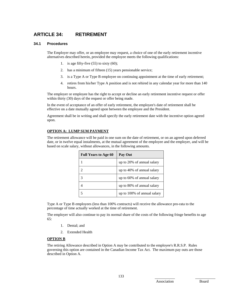# **ARTICLE 34: RETIREMENT**

## **34.1 Procedures**

The Employer may offer, or an employee may request, a choice of one of the early retirement incentive alternatives described herein, provided the employee meets the following qualifications:

- 1. is age fifty-five (55) to sixty (60);
- 2. has a minimum of fifteen (15) years pensionable service;
- 3. is a Type A or Type B employee on continuing appointment at the time of early retirement;
- 4. retires from his/her Type A position and is not rehired in any calendar year for more than 140 hours.

The employer or employee has the right to accept or decline an early retirement incentive request or offer within thirty (30) days of the request or offer being made.

In the event of acceptance of an offer of early retirement, the employee's date of retirement shall be effective on a date mutually agreed upon between the employee and the President.

Agreement shall be in writing and shall specify the early retirement date with the incentive option agreed upon.

#### **OPTION A: LUMP SUM PAYMENT**

The retirement allowance will be paid in one sum on the date of retirement, or on an agreed upon deferred date, or in twelve equal instalments, at the mutual agreement of the employee and the employer, and will be based on scale salary, without allowances, in the following amounts.

| <b>Full Years to Age 60</b> | Pay Out                     |
|-----------------------------|-----------------------------|
|                             | up to 20% of annual salary  |
|                             | up to 40% of annual salary  |
|                             | up to 60% of annual salary  |
|                             | up to 80% of annual salary  |
|                             | up to 100% of annual salary |

Type A or Type B employees (less than 100% contracts) will receive the allowance pro-rata to the percentage of time actually worked at the time of retirement.

The employer will also continue to pay its normal share of the costs of the following fringe benefits to age 65:

- 1. Dental; and
- 2. Extended Health

#### **OPTION B**

The retiring Allowance described in Option A may be contributed to the employee's R.R.S.P. Rules governing this option are contained in the Canadian Income Tax Act. The maximum pay outs are those described in Option A.

Board Association Board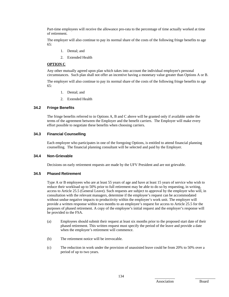Part-time employees will receive the allowance pro-rata to the percentage of time actually worked at time of retirement.

The employer will also continue to pay its normal share of the costs of the following fringe benefits to age 65:

- 1. Dental; and
- 2. Extended Health

#### **OPTION C**

Any other mutually agreed upon plan which takes into account the individual employee's personal circumstances. Such plan shall not offer an incentive having a monetary value greater than Options A or B.

The employer will also continue to pay its normal share of the costs of the following fringe benefits to age 65:

- 1. Dental; and
- 2. Extended Health

#### **34.2 Fringe Benefits**

The fringe benefits referred to in Options A, B and C above will be granted only if available under the terms of the agreement between the Employer and the benefit carriers. The Employer will make every effort possible to negotiate these benefits when choosing carriers.

## **34.3 Financial Counselling**

Each employee who participates in one of the foregoing Options, is entitled to attend financial planning counselling. The financial planning consultant will be selected and paid by the Employer.

## **34.4 Non-Grievable**

Decisions on early retirement requests are made by the UFV President and are not grievable.

## **34.5 Phased Retirement**

Type A or B employees who are at least 55 years of age and have at least 15 years of service who wish to reduce their workload up to 50% prior to full retirement may be able to do so by requesting, in writing, access to Article 25.5 (General Leave). Such requests are subject to approval by the employer who will, in consultation with the relevant managers, determine if the employee's request can be accommodated without undue negative impacts to productivity within the employee's work unit. The employer will provide a written response within two months to an employee's request for access to Article 25.5 for the purposes of phased retirement. A copy of the employee's initial request and the employer's response will be provided to the FSA.

- (a) Employees should submit their request at least six months prior to the proposed start date of their phased retirement. This written request must specify the period of the leave and provide a date when the employee's retirement will commence.
- (b) The retirement notice will be irrevocable.
- (c) The reduction in work under the provision of unassisted leave could be from 20% to 50% over a period of up to two years.

Report of the Association Board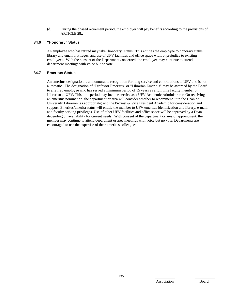(d) During the phased retirement period, the employer will pay benefits according to the provisions of ARTICLE 28:.

### **34.6 "Honorary" Status**

An employee who has retired may take "honorary" status. This entitles the employee to honorary status, library and email privileges, and use of UFV facilities and office space without prejudice to existing employees. With the consent of the Department concerned, the employee may continue to attend department meetings with voice but no vote.

## **34.7 Emeritus Status**

An emeritus designation is an honourable recognition for long service and contributions to UFV and is not automatic. The designation of "Professor Emeritus" or "Librarian Emeritus" may be awarded by the Board to a retired employee who has served a minimum period of 15 years as a full time faculty member or Librarian at UFV. This time period may include service as a UFV Academic Administrator. On receiving an emeritus nomination, the department or area will consider whether to recommend it to the Dean or University Librarian (as appropriate) and the Provost & Vice President Academic for consideration and support. Emeritus/emerita status will entitle the member to UFV emeritus identification and library, e-mail, and faculty parking privileges. Use of other UFV facilities and office space will be approved by a Dean depending on availability for current needs. With consent of the department or area of appointment, the member may continue to attend department or area meetings with voice but no vote. Departments are encouraged to use the expertise of their emeritus colleagues.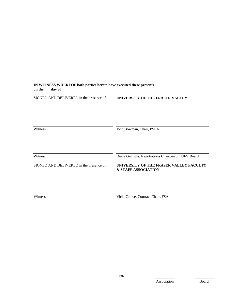|                                    | IN WITNESS WHEREOF both parties hereto have executed these presents |
|------------------------------------|---------------------------------------------------------------------|
| on the $\rule{1em}{0.15mm}$ day of |                                                                     |

## SIGNED AND DELIVERED in the presence of: **UNIVERSITY OF THE FRASER VALLEY**

Witness John Bowman, Chair, PSEA

Witness Diane Griffiths, Negotiations Chairperson, UFV Board

SIGNED AND DELIVERED in the presence of: **UNIVERSITY OF THE FRASER VALLEY FACULTY & STAFF ASSOCIATION** 

Witness Vicki Grieve, Contract Chair, FSA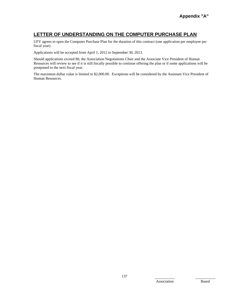### **LETTER OF UNDERSTANDING ON THE COMPUTER PURCHASE PLAN**

UFV agrees to open the Computer Purchase Plan for the duration of this contract (one application per employee per fiscal year).

Applications will be accepted from April 1, 2012 to September 30, 2013.

Should applications exceed 80, the Association Negotiations Chair and the Associate Vice President of Human Resources will review to see if it is still fiscally possible to continue offering the plan or if some applications will be postponed to the next fiscal year.

The maximum dollar value is limited to \$2,000.00. Exceptions will be considered by the Assistant Vice President of Human Resources.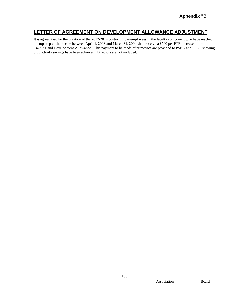#### **LETTER OF AGREEMENT ON DEVELOPMENT ALLOWANCE ADJUSTMENT**

It is agreed that for the duration of the 2012-2014 contract those employees in the faculty component who have reached the top step of their scale between April 1, 2003 and March 31, 2004 shall receive a \$700 per FTE increase in the Training and Development Allowance. This payment to be made after metrics are provided to PSEA and PSEC showing productivity savings have been achieved. Directors are not included.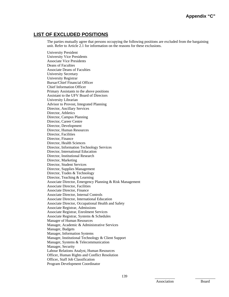#### **LIST OF EXCLUDED POSITIONS**

The parties mutually agree that persons occupying the following positions are excluded from the bargaining unit. Refer to Article 2.1 for information on the reasons for these exclusions.

University President University Vice Presidents Associate Vice Presidents Deans of Faculties Associate Deans of Faculties University Secretary University Registrar Bursar/Chief Financial Officer Chief Information Officer Primary Assistants to the above positions Assistant to the UFV Board of Directors University Librarian Advisor to Provost, Integrated Planning Director, Ancillary Services Director, Athletics Director, Campus Planning Director, Career Centre Director, Development Director, Human Resources Director, Facilities Director, Finance Director, Health Sciences Director, Information Technology Services Director, International Education Director, Institutional Research Director, Marketing Director, Student Services Director, Supplies Management Director, Trades & Technology Director, Teaching & Learning Associate Director, Emergency Planning & Risk Management Associate Director, Facilities Associate Director, Finance Associate Director, Internal Controls Associate Director, International Education Associate Director, Occupational Health and Safety Associate Registrar, Admissions Associate Registrar, Enrolment Services Associate Registrar, Systems & Schedules Manager of Human Resources Manager, Academic & Administrative Services Manager, Budgets Manager, Information Systems Manager, Institutional Technology & Client Support Manager, Systems & Telecommunication Manager, Security Labour Relations Analyst, Human Resources Officer, Human Rights and Conflict Resolution Officer, Staff Job Classification Program Development Coordinator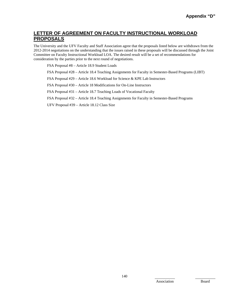#### **LETTER OF AGREEMENT ON FACULTY INSTRUCTIONAL WORKLOAD PROPOSALS**

The University and the UFV Faculty and Staff Association agree that the proposals listed below are withdrawn from the 2012-2014 negotiations on the understanding that the issues raised in these proposals will be discussed through the Joint Committee on Faculty Instructional Workload LOA. The desired result will be a set of recommendations for consideration by the parties prior to the next round of negotiations.

FSA Proposal #8 – Article 18.9 Student Loads

FSA Proposal #28 – Article 18.4 Teaching Assignments for Faculty in Semester-Based Programs (LIBT)

FSA Proposal #29 – Article 18.6 Workload for Science & KPE Lab Instructors

FSA Proposal #30 – Article 18 Modifications for On-Line Instructors

FSA Proposal #31 – Article 18.7 Teaching Loads of Vocational Faculty

FSA Proposal #32 – Article 18.4 Teaching Assignments for Faculty in Semester-Based Programs

UFV Proposal #39 – Article 18.12 Class Size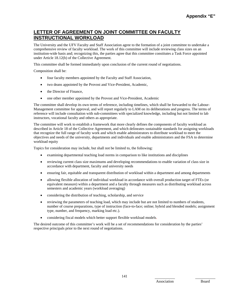### **LETTER OF AGREEMENT ON JOINT COMMITTEE ON FACULTY INSTRUCTIONAL WORKLOAD**

The University and the UFV Faculty and Staff Association agree to the formation of a joint committee to undertake a comprehensive review of faculty workload. The work of this committee will include reviewing class sizes on an institution-wide basis and; recognizing this, the parties agree that this committee constitutes a Task Force appointed under Article 18.12(h) of the Collective Agreement.

This committee shall be formed immediately upon conclusion of the current round of negotiations.

Composition shall be:

- four faculty members appointed by the Faculty and Staff Association,
- two deans appointed by the Provost and Vice-President, Academic,
- the Director of Finance,
- one other member appointed by the Provost and Vice-President, Academic

The committee shall develop its own terms of reference, including timelines, which shall be forwarded to the Labour-Management committee for approval, and will report regularly to LAM on its deliberations and progress. The terms of reference will include consultation with sub-committees with specialized knowledge, including but not limited to lab instructors, vocational faculty and others as appropriate.

The committee will work to establish a framework that more clearly defines the components of faculty workload as described in Article 18 of the Collective Agreement, and which delineates sustainable standards for assigning workloads that recognize the full range of faculty work and which enable administrators to distribute workload to meet the objectives and needs of the university, departments and individuals and enable administrators and the FSA to determine workload equity

Topics for consideration may include, but shall not be limited to, the following:

- examining departmental teaching load norms in comparison to like institutions and disciplines
- reviewing current class size maximums and developing recommendations to enable variation of class size in accordance with department, faculty and university needs
- ensuring fair, equitable and transparent distribution of workload within a department and among departments
- allowing flexible allocation of individual workload in accordance with overall production target of FTEs (or equivalent measure) within a department and a faculty through measures such as distributing workload across semesters and academic years (workload averaging)
- considering the distribution of teaching, scholarship, and service
- reviewing the parameters of teaching load, which may include but are not limited to numbers of students, number of course preparations, type of instruction (face-to-face; online; hybrid and blended models; assignment type, number, and frequency, marking load etc.).
- considering fiscal models which better support flexible workload models.

The desired outcome of this committee's work will be a set of recommendations for consideration by the parties' respective principals prior to the next round of negotiations.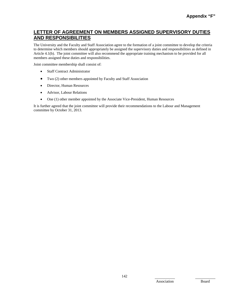## **LETTER OF AGREEMENT ON MEMBERS ASSIGNED SUPERVISORY DUTIES AND RESPONSIBILITIES**

The University and the Faculty and Staff Association agree to the formation of a joint committee to develop the criteria to determine which members should appropriately be assigned the supervisory duties and responsibilities as defined in Article 4.1(b). The joint committee will also recommend the appropriate training mechanism to be provided for all members assigned these duties and responsibilities.

Joint committee membership shall consist of:

- Staff Contract Administrator
- Two (2) other members appointed by Faculty and Staff Association
- Director, Human Resources
- Advisor, Labour Relations
- One (1) other member appointed by the Associate Vice-President, Human Resources

It is further agreed that the joint committee will provide their recommendations to the Labour and Management committee by October 31, 2013.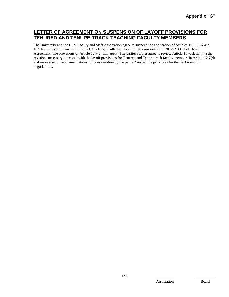### **LETTER OF AGREEMENT ON SUSPENSION OF LAYOFF PROVISIONS FOR TENURED AND TENURE-TRACK TEACHING FACULTY MEMBERS**

The University and the UFV Faculty and Staff Association agree to suspend the application of Articles 16.1, 16.4 and 16.5 for the Tenured and Tenure-track teaching faculty members for the duration of the 2012-2014 Collective Agreement. The provisions of Article 12.7(d) will apply. The parties further agree to review Article 16 to determine the revisions necessary to accord with the layoff provisions for Tenured and Tenure-track faculty members in Article 12.7(d) and make a set of recommendations for consideration by the parties' respective principles for the next round of negotiations.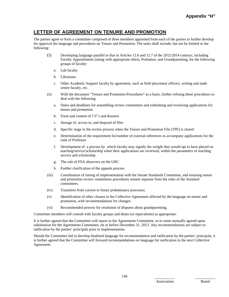#### **LETTER OF AGREEMENT ON TENURE AND PROMOTION**

The parties agree to form a committee composed of three members appointed from each of the parties to further develop for approval the language and procedures on Tenure and Promotion. The tasks shall include, but not be limited to the following:

- (i) Developing language parallel to that in Articles 12.6 and 12.7 of the 2012/2014 contract, including Faculty Appointments (along with appropriate titles), Probation, and Grandparenting, for the following groups of faculty:
	- a. Lab faculty
	- b. Librarians
	- c. Other Academic Support faculty by agreement, such as field placement officers, writing and math centre faculty, etc.
- (ii) With the document "Tenure and Promotion Procedures" as a basis, further refining these procedures to deal with the following:
	- a. Dates and deadlines for assembling review committees and submitting and reviewing applications for tenure and promotion
	- b. Form and content of CV's and dossiers
	- c. Storage of, access to, and disposal of files
	- d. Specific stage in the review process when the Tenure and Promotion File (TPF) is closed
	- e. Determination of the requirement for/number of external references to accompany applications for the rank of Professor
	- f. Development of a process by which faculty may signify the weight they would opt to have placed on teaching/service/scholarship when their applications are reviewed, within the parameters of teaching service and scholarship
	- g. The role of FSA observers on the URC
	- h. Further clarification of the appeals process
- (iii) Coordination of timing of implementation with the Senate Standards Committee, and ensuring tenure and promotion review committees procedures remain separate from the roles of the Standard committees.
- (iv) Transition from current to future probationary processes.
- (v) Identification of other clauses in the Collective Agreement affected by the language on tenure and promotion, with recommendations for changes.
- (vi) Recommended process for resolution of disputes about grandparenting.

Committee members will consult with faculty groups and deans (or equivalents) as appropriate.

It is further agreed that the Committee will report to the Agreements Committee, or to some mutually agreed-upon substitution for the Agreements Committee, on or before December 31, 2013. Any recommendations are subject to ratification by the parties' principals prior to implementation.

Should the Committee fail to develop finalized language for recommendation and ratification by the parties' principals, it is further agreed that the Committee will forward recommendations on language for ratification in the next Collective Agreement.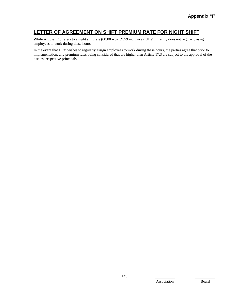### **LETTER OF AGREEMENT ON SHIFT PREMIUM RATE FOR NIGHT SHIFT**

While Article 17.3 refers to a night shift rate (00:00 – 07:59:59 inclusive), UFV currently does not regularly assign employees to work during these hours.

In the event that UFV wishes to regularly assign employees to work during these hours, the parties agree that prior to implementation, any premium rates being considered that are higher than Article 17.3 are subject to the approval of the parties' respective principals.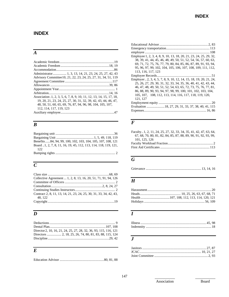# **INDEX**

### *A*

| Advisory Committee 10, 21, 22, 23, 24, 25, 27, 31, 34, 51, 119       |  |
|----------------------------------------------------------------------|--|
|                                                                      |  |
|                                                                      |  |
|                                                                      |  |
|                                                                      |  |
| Association .1, 2, 3, 5, 6, 7, 8, 9, 10, 11, 12, 13, 14, 15, 17, 18, |  |
| 19, 20, 21, 23, 24, 25, 27, 30, 31, 32, 39, 42, 43, 44, 46, 47,      |  |
| 48, 50, 51, 60, 65, 69, 76, 87, 94, 96, 98, 104, 105, 107,           |  |
| 112, 114, 117, 119, 123                                              |  |
|                                                                      |  |

## *B*

| Benefits84, 94, 99, 100, 102, 103, 104, 105, 107, 108, 121      |  |
|-----------------------------------------------------------------|--|
| Board 1, 2, 7, 8, 11, 16, 19, 45, 112, 113, 114, 118, 119, 121, |  |
| 122                                                             |  |
|                                                                 |  |

# *C*

| Collective Agreement  1, 2, 8, 13, 16, 20, 51, 71, 91, 94, 126     |
|--------------------------------------------------------------------|
|                                                                    |
|                                                                    |
|                                                                    |
| Contract 2, 8, 11, 13, 14, 21, 23, 24, 25, 30, 31, 33, 34, 42, 43, |
| 48.122                                                             |
|                                                                    |

# *D*

| Director 2, 10, 16, 21, 24, 25, 27, 28, 32, 36, 93, 115, 116, 121 |  |
|-------------------------------------------------------------------|--|
|                                                                   |  |
|                                                                   |  |

## *E*

Education Advisor .................................................... 80, 81, 88

| Employee 1, 2, 3, 4, 8, 9, 10, 13, 18, 20, 21, 23, 24, 25, 29, 32, |
|--------------------------------------------------------------------|
| 38, 39, 41, 44, 45, 46, 48, 49, 50, 51, 52, 54, 56, 57, 60, 63,    |
| 69, 71, 72, 75, 76, 77, 79, 80, 84, 85, 86, 87, 89, 91, 93, 94,    |
| 95, 96, 97, 99, 102, 104, 105, 106, 107, 108, 109, 111, 112,       |
| 113, 116, 117, 123                                                 |
|                                                                    |
| Employer2, 3, 4, 5, 7, 8, 9, 10, 12, 14, 15, 18, 19, 20, 21, 24,   |
| 25, 26, 27, 29, 30, 31, 32, 33, 34, 35, 36, 40, 41, 42, 43, 44,    |
| 46, 47, 48, 49, 50, 51, 52, 54, 63, 65, 72, 73, 75, 76, 77, 81,    |
| 86, 88, 89, 90, 93, 94, 97, 98, 99, 100, 101, 102, 103, 104,       |
| 105, 107, 108, 112, 113, 114, 116, 117, 118, 119, 120,             |
| 121, 127                                                           |
|                                                                    |
| Evaluation 18, 27, 29, 31, 33, 37, 38, 40, 41, 115                 |
|                                                                    |
|                                                                    |

### *F*

| Faculty 1, 2, 11, 24, 25, 27, 32, 33, 34, 35, 41, 42, 47, 63, 64, |
|-------------------------------------------------------------------|
| 67, 68, 70, 80, 81, 82, 84, 85, 87, 88, 89, 90, 91, 92, 93, 99,   |
| 101, 125, 126                                                     |
|                                                                   |
|                                                                   |

## *G*

|--|--|--|--|

# *H*

## *I*

# *J*